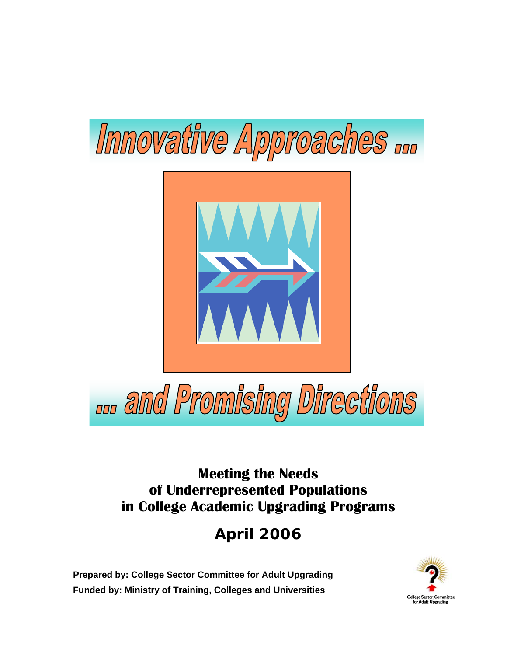



# **Meeting the Needs of Underrepresented Populations in College Academic Upgrading Programs**

# **April 2006**

**Prepared by: College Sector Committee for Adult Upgrading Funded by: Ministry of Training, Colleges and Universities** 

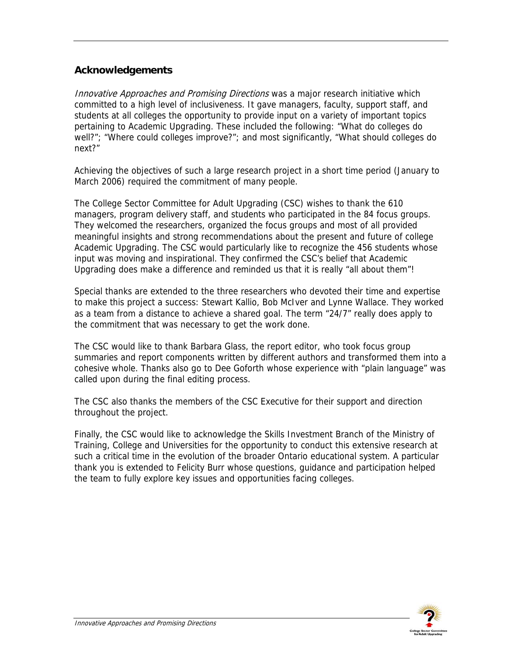# **Acknowledgements**

Innovative Approaches and Promising Directions was a major research initiative which committed to a high level of inclusiveness. It gave managers, faculty, support staff, and students at all colleges the opportunity to provide input on a variety of important topics pertaining to Academic Upgrading. These included the following: "What do colleges do well?"; "Where could colleges improve?"; and most significantly, "What should colleges do next?"

Achieving the objectives of such a large research project in a short time period (January to March 2006) required the commitment of many people.

The College Sector Committee for Adult Upgrading (CSC) wishes to thank the 610 managers, program delivery staff, and students who participated in the 84 focus groups. They welcomed the researchers, organized the focus groups and most of all provided meaningful insights and strong recommendations about the present and future of college Academic Upgrading. The CSC would particularly like to recognize the 456 students whose input was moving and inspirational. They confirmed the CSC's belief that Academic Upgrading does make a difference and reminded us that it is really "all about them"!

Special thanks are extended to the three researchers who devoted their time and expertise to make this project a success: Stewart Kallio, Bob McIver and Lynne Wallace. They worked as a team from a distance to achieve a shared goal. The term "24/7" really does apply to the commitment that was necessary to get the work done.

The CSC would like to thank Barbara Glass, the report editor, who took focus group summaries and report components written by different authors and transformed them into a cohesive whole. Thanks also go to Dee Goforth whose experience with "plain language" was called upon during the final editing process.

The CSC also thanks the members of the CSC Executive for their support and direction throughout the project.

Finally, the CSC would like to acknowledge the Skills Investment Branch of the Ministry of Training, College and Universities for the opportunity to conduct this extensive research at such a critical time in the evolution of the broader Ontario educational system. A particular thank you is extended to Felicity Burr whose questions, guidance and participation helped the team to fully explore key issues and opportunities facing colleges.

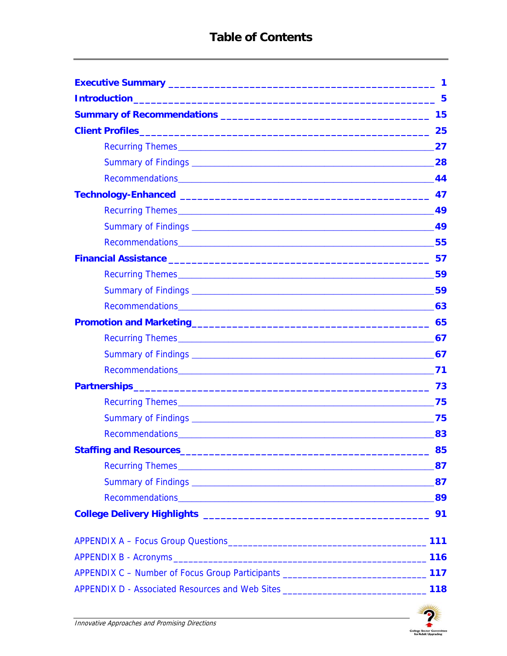# **Table of Contents**

| Summary of Findings <b>Contract Contract Contract Contract Contract Contract Contract Contract Contract Contract Contract Contract Contract Contract Contract Contract Contract Contract Contract Contract Contract Contract Con</b> | 28    |
|--------------------------------------------------------------------------------------------------------------------------------------------------------------------------------------------------------------------------------------|-------|
|                                                                                                                                                                                                                                      |       |
|                                                                                                                                                                                                                                      |       |
|                                                                                                                                                                                                                                      |       |
|                                                                                                                                                                                                                                      |       |
|                                                                                                                                                                                                                                      |       |
|                                                                                                                                                                                                                                      | 57 57 |
|                                                                                                                                                                                                                                      | 59    |
|                                                                                                                                                                                                                                      | 59    |
|                                                                                                                                                                                                                                      |       |
|                                                                                                                                                                                                                                      |       |
|                                                                                                                                                                                                                                      |       |
|                                                                                                                                                                                                                                      |       |
|                                                                                                                                                                                                                                      | 71    |
|                                                                                                                                                                                                                                      | 73    |
|                                                                                                                                                                                                                                      | 75    |
|                                                                                                                                                                                                                                      | 75    |
| Recommendations and the community of the community of the community of the community of the community of the community of the community of the community of the community of the community of the community of the community o       | 83    |
|                                                                                                                                                                                                                                      | 85    |
|                                                                                                                                                                                                                                      | 87    |
|                                                                                                                                                                                                                                      |       |
|                                                                                                                                                                                                                                      |       |
|                                                                                                                                                                                                                                      | 91    |
|                                                                                                                                                                                                                                      |       |
|                                                                                                                                                                                                                                      |       |
|                                                                                                                                                                                                                                      |       |
| APPENDIX D - Associated Resources and Web Sites _________________________________118                                                                                                                                                 |       |

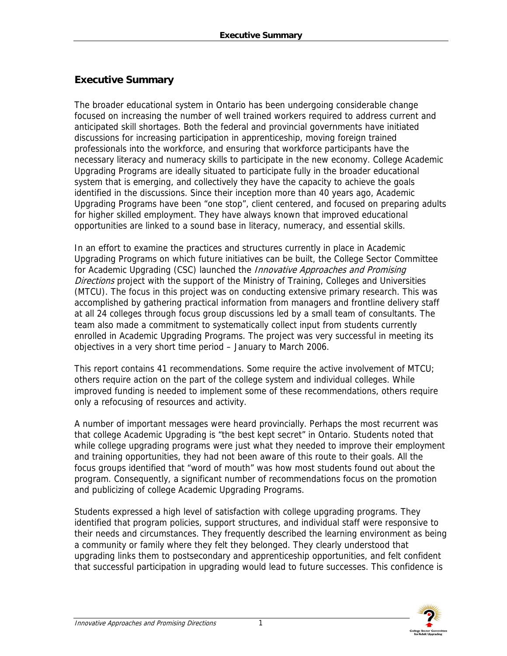# <span id="page-5-0"></span>**Executive Summary**

The broader educational system in Ontario has been undergoing considerable change focused on increasing the number of well trained workers required to address current and anticipated skill shortages. Both the federal and provincial governments have initiated discussions for increasing participation in apprenticeship, moving foreign trained professionals into the workforce, and ensuring that workforce participants have the necessary literacy and numeracy skills to participate in the new economy. College Academic Upgrading Programs are ideally situated to participate fully in the broader educational system that is emerging, and collectively they have the capacity to achieve the goals identified in the discussions. Since their inception more than 40 years ago, Academic Upgrading Programs have been "one stop", client centered, and focused on preparing adults for higher skilled employment. They have always known that improved educational opportunities are linked to a sound base in literacy, numeracy, and essential skills.

In an effort to examine the practices and structures currently in place in Academic Upgrading Programs on which future initiatives can be built, the College Sector Committee for Academic Upgrading (CSC) launched the *Innovative Approaches and Promising* Directions project with the support of the Ministry of Training, Colleges and Universities (MTCU). The focus in this project was on conducting extensive primary research. This was accomplished by gathering practical information from managers and frontline delivery staff at all 24 colleges through focus group discussions led by a small team of consultants. The team also made a commitment to systematically collect input from students currently enrolled in Academic Upgrading Programs. The project was very successful in meeting its objectives in a very short time period – January to March 2006.

This report contains 41 recommendations. Some require the active involvement of MTCU; others require action on the part of the college system and individual colleges. While improved funding is needed to implement some of these recommendations, others require only a refocusing of resources and activity.

A number of important messages were heard provincially. Perhaps the most recurrent was that college Academic Upgrading is "the best kept secret" in Ontario. Students noted that while college upgrading programs were just what they needed to improve their employment and training opportunities, they had not been aware of this route to their goals. All the focus groups identified that "word of mouth" was how most students found out about the program. Consequently, a significant number of recommendations focus on the promotion and publicizing of college Academic Upgrading Programs.

Students expressed a high level of satisfaction with college upgrading programs. They identified that program policies, support structures, and individual staff were responsive to their needs and circumstances. They frequently described the learning environment as being a community or family where they felt they belonged. They clearly understood that upgrading links them to postsecondary and apprenticeship opportunities, and felt confident that successful participation in upgrading would lead to future successes. This confidence is

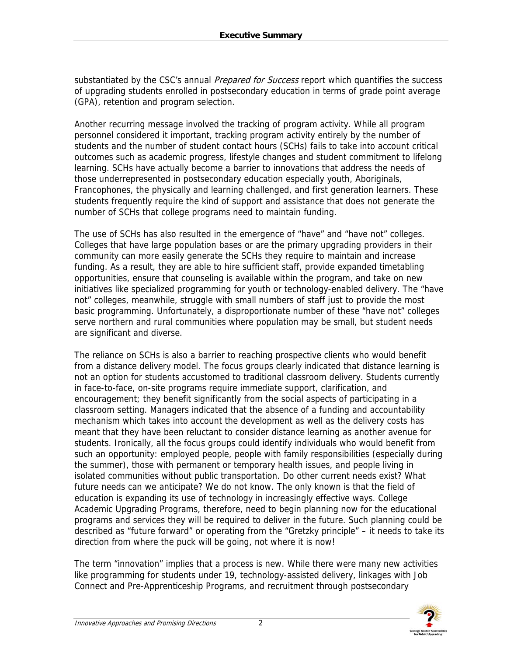substantiated by the CSC's annual *Prepared for Success* report which quantifies the success of upgrading students enrolled in postsecondary education in terms of grade point average (GPA), retention and program selection.

Another recurring message involved the tracking of program activity. While all program personnel considered it important, tracking program activity entirely by the number of students and the number of student contact hours (SCHs) fails to take into account critical outcomes such as academic progress, lifestyle changes and student commitment to lifelong learning. SCHs have actually become a barrier to innovations that address the needs of those underrepresented in postsecondary education especially youth, Aboriginals, Francophones, the physically and learning challenged, and first generation learners. These students frequently require the kind of support and assistance that does not generate the number of SCHs that college programs need to maintain funding.

The use of SCHs has also resulted in the emergence of "have" and "have not" colleges. Colleges that have large population bases or are the primary upgrading providers in their community can more easily generate the SCHs they require to maintain and increase funding. As a result, they are able to hire sufficient staff, provide expanded timetabling opportunities, ensure that counseling is available within the program, and take on new initiatives like specialized programming for youth or technology-enabled delivery. The "have not" colleges, meanwhile, struggle with small numbers of staff just to provide the most basic programming. Unfortunately, a disproportionate number of these "have not" colleges serve northern and rural communities where population may be small, but student needs are significant and diverse.

The reliance on SCHs is also a barrier to reaching prospective clients who would benefit from a distance delivery model. The focus groups clearly indicated that distance learning is not an option for students accustomed to traditional classroom delivery. Students currently in face-to-face, on-site programs require immediate support, clarification, and encouragement; they benefit significantly from the social aspects of participating in a classroom setting. Managers indicated that the absence of a funding and accountability mechanism which takes into account the development as well as the delivery costs has meant that they have been reluctant to consider distance learning as another avenue for students. Ironically, all the focus groups could identify individuals who would benefit from such an opportunity: employed people, people with family responsibilities (especially during the summer), those with permanent or temporary health issues, and people living in isolated communities without public transportation. Do other current needs exist? What future needs can we anticipate? We do not know. The only known is that the field of education is expanding its use of technology in increasingly effective ways. College Academic Upgrading Programs, therefore, need to begin planning now for the educational programs and services they will be required to deliver in the future. Such planning could be described as "future forward" or operating from the "Gretzky principle" – it needs to take its direction from where the puck will be going, not where it is now!

The term "innovation" implies that a process is new. While there were many new activities like programming for students under 19, technology-assisted delivery, linkages with Job Connect and Pre-Apprenticeship Programs, and recruitment through postsecondary

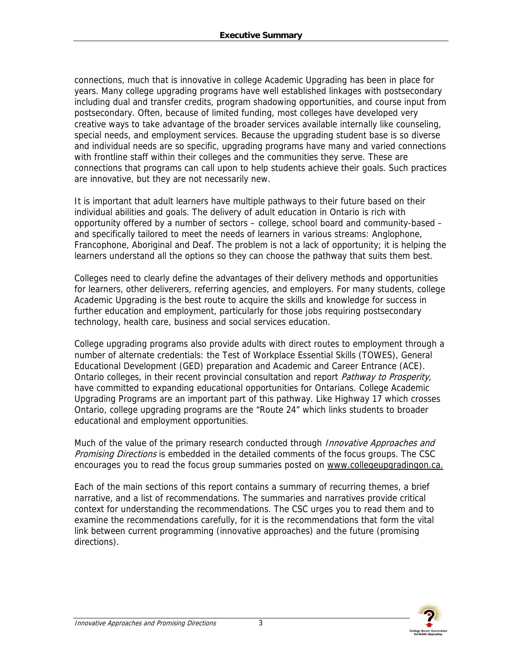connections, much that is innovative in college Academic Upgrading has been in place for years. Many college upgrading programs have well established linkages with postsecondary including dual and transfer credits, program shadowing opportunities, and course input from postsecondary. Often, because of limited funding, most colleges have developed very creative ways to take advantage of the broader services available internally like counseling, special needs, and employment services. Because the upgrading student base is so diverse and individual needs are so specific, upgrading programs have many and varied connections with frontline staff within their colleges and the communities they serve. These are connections that programs can call upon to help students achieve their goals. Such practices are innovative, but they are not necessarily new.

It is important that adult learners have multiple pathways to their future based on their individual abilities and goals. The delivery of adult education in Ontario is rich with opportunity offered by a number of sectors – college, school board and community-based – and specifically tailored to meet the needs of learners in various streams: Anglophone, Francophone, Aboriginal and Deaf. The problem is not a lack of opportunity; it is helping the learners understand all the options so they can choose the pathway that suits them best.

Colleges need to clearly define the advantages of their delivery methods and opportunities for learners, other deliverers, referring agencies, and employers. For many students, college Academic Upgrading is the best route to acquire the skills and knowledge for success in further education and employment, particularly for those jobs requiring postsecondary technology, health care, business and social services education.

College upgrading programs also provide adults with direct routes to employment through a number of alternate credentials: the Test of Workplace Essential Skills (TOWES), General Educational Development (GED) preparation and Academic and Career Entrance (ACE). Ontario colleges, in their recent provincial consultation and report *Pathway to Prosperity*, have committed to expanding educational opportunities for Ontarians. College Academic Upgrading Programs are an important part of this pathway. Like Highway 17 which crosses Ontario, college upgrading programs are the "Route 24" which links students to broader educational and employment opportunities.

Much of the value of the primary research conducted through *Innovative Approaches and* Promising Directions is embedded in the detailed comments of the focus groups. The CSC encourages you to read the focus group summaries posted on www.collegeupgradingon.ca.

Each of the main sections of this report contains a summary of recurring themes, a brief narrative, and a list of recommendations. The summaries and narratives provide critical context for understanding the recommendations. The CSC urges you to read them and to examine the recommendations carefully, for it is the recommendations that form the vital link between current programming (innovative approaches) and the future (promising directions).

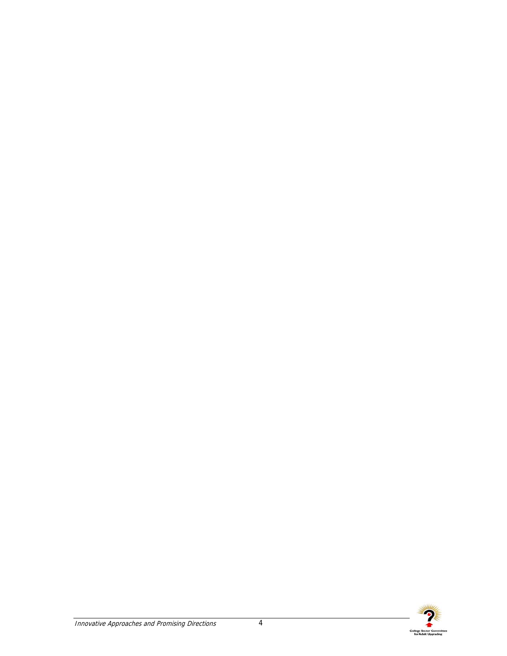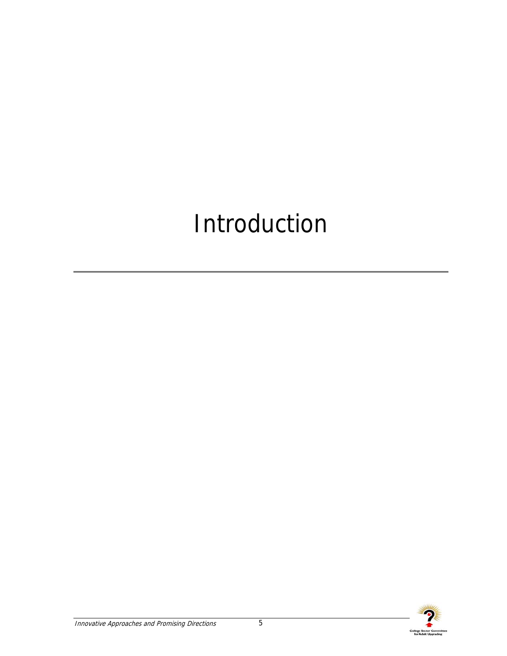# <span id="page-9-0"></span>Introduction

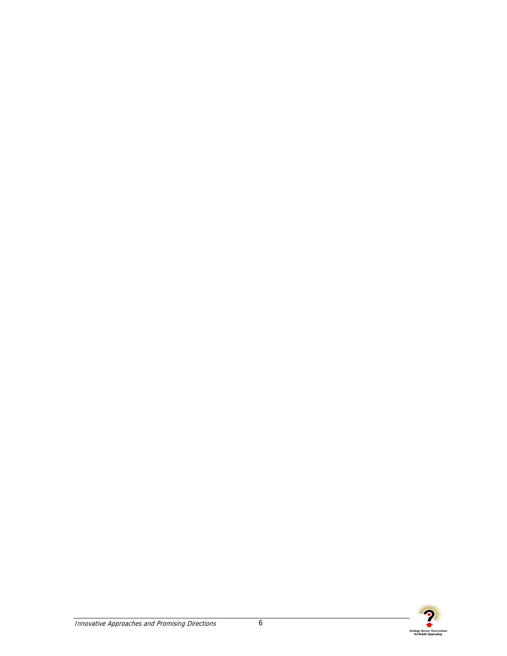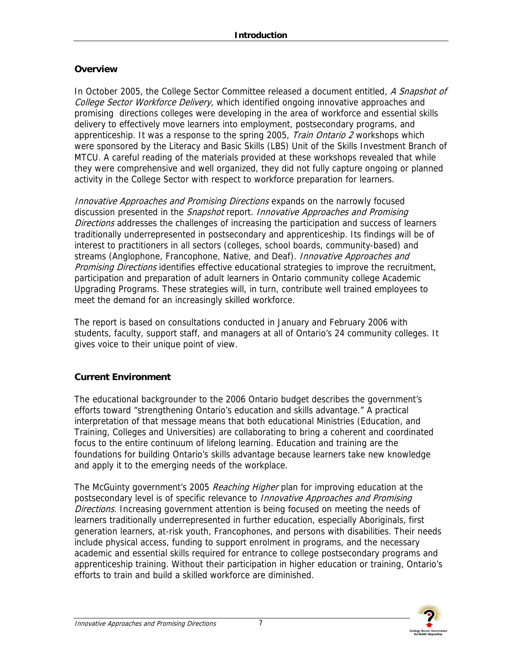#### **Overview**

In October 2005, the College Sector Committee released a document entitled, A Snapshot of College Sector Workforce Delivery, which identified ongoing innovative approaches and promising directions colleges were developing in the area of workforce and essential skills delivery to effectively move learners into employment, postsecondary programs, and apprenticeship. It was a response to the spring 2005, *Train Ontario 2* workshops which were sponsored by the Literacy and Basic Skills (LBS) Unit of the Skills Investment Branch of MTCU. A careful reading of the materials provided at these workshops revealed that while they were comprehensive and well organized, they did not fully capture ongoing or planned activity in the College Sector with respect to workforce preparation for learners.

Innovative Approaches and Promising Directions expands on the narrowly focused discussion presented in the *Snapshot* report. *Innovative Approaches and Promising* Directions addresses the challenges of increasing the participation and success of learners traditionally underrepresented in postsecondary and apprenticeship. Its findings will be of interest to practitioners in all sectors (colleges, school boards, community-based) and streams (Anglophone, Francophone, Native, and Deaf). *Innovative Approaches and* Promising Directions identifies effective educational strategies to improve the recruitment, participation and preparation of adult learners in Ontario community college Academic Upgrading Programs. These strategies will, in turn, contribute well trained employees to meet the demand for an increasingly skilled workforce.

The report is based on consultations conducted in January and February 2006 with students, faculty, support staff, and managers at all of Ontario's 24 community colleges. It gives voice to their unique point of view.

#### **Current Environment**

The educational backgrounder to the 2006 Ontario budget describes the government's efforts toward "strengthening Ontario's education and skills advantage." A practical interpretation of that message means that both educational Ministries (Education, and Training, Colleges and Universities) are collaborating to bring a coherent and coordinated focus to the entire continuum of lifelong learning. Education and training are the foundations for building Ontario's skills advantage because learners take new knowledge and apply it to the emerging needs of the workplace.

The McGuinty government's 2005 Reaching Higher plan for improving education at the postsecondary level is of specific relevance to *Innovative Approaches and Promising* Directions. Increasing government attention is being focused on meeting the needs of learners traditionally underrepresented in further education, especially Aboriginals, first generation learners, at-risk youth, Francophones, and persons with disabilities. Their needs include physical access, funding to support enrolment in programs, and the necessary academic and essential skills required for entrance to college postsecondary programs and apprenticeship training. Without their participation in higher education or training, Ontario's efforts to train and build a skilled workforce are diminished.

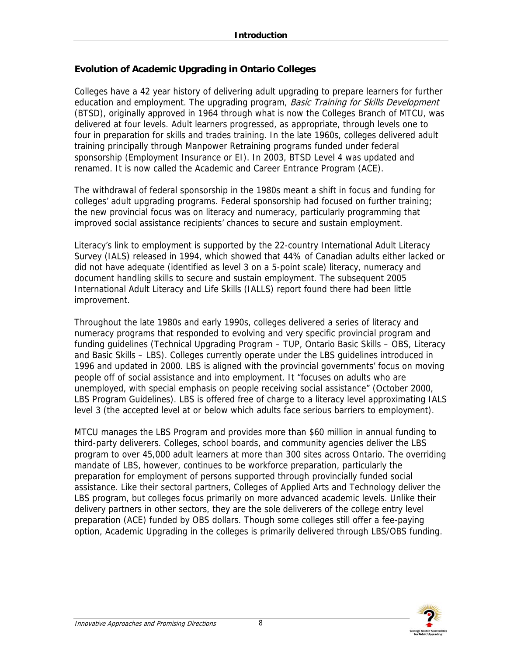#### **Evolution of Academic Upgrading in Ontario Colleges**

Colleges have a 42 year history of delivering adult upgrading to prepare learners for further education and employment. The upgrading program, Basic Training for Skills Development (BTSD), originally approved in 1964 through what is now the Colleges Branch of MTCU, was delivered at four levels. Adult learners progressed, as appropriate, through levels one to four in preparation for skills and trades training. In the late 1960s, colleges delivered adult training principally through Manpower Retraining programs funded under federal sponsorship (Employment Insurance or EI). In 2003, BTSD Level 4 was updated and renamed. It is now called the Academic and Career Entrance Program (ACE).

The withdrawal of federal sponsorship in the 1980s meant a shift in focus and funding for colleges' adult upgrading programs. Federal sponsorship had focused on further training; the new provincial focus was on literacy and numeracy, particularly programming that improved social assistance recipients' chances to secure and sustain employment.

Literacy's link to employment is supported by the 22-country International Adult Literacy Survey (IALS) released in 1994, which showed that 44% of Canadian adults either lacked or did not have adequate (identified as level 3 on a 5-point scale) literacy, numeracy and document handling skills to secure and sustain employment. The subsequent 2005 International Adult Literacy and Life Skills (IALLS) report found there had been little improvement.

Throughout the late 1980s and early 1990s, colleges delivered a series of literacy and numeracy programs that responded to evolving and very specific provincial program and funding guidelines (Technical Upgrading Program – TUP, Ontario Basic Skills – OBS, Literacy and Basic Skills – LBS). Colleges currently operate under the LBS guidelines introduced in 1996 and updated in 2000. LBS is aligned with the provincial governments' focus on moving people off of social assistance and into employment. It "focuses on adults who are unemployed, with special emphasis on people receiving social assistance" (October 2000, LBS Program Guidelines). LBS is offered free of charge to a literacy level approximating IALS level 3 (the accepted level at or below which adults face serious barriers to employment).

MTCU manages the LBS Program and provides more than \$60 million in annual funding to third-party deliverers. Colleges, school boards, and community agencies deliver the LBS program to over 45,000 adult learners at more than 300 sites across Ontario. The overriding mandate of LBS, however, continues to be workforce preparation, particularly the preparation for employment of persons supported through provincially funded social assistance. Like their sectoral partners, Colleges of Applied Arts and Technology deliver the LBS program, but colleges focus primarily on more advanced academic levels. Unlike their delivery partners in other sectors, they are the sole deliverers of the college entry level preparation (ACE) funded by OBS dollars. Though some colleges still offer a fee-paying option, Academic Upgrading in the colleges is primarily delivered through LBS/OBS funding.

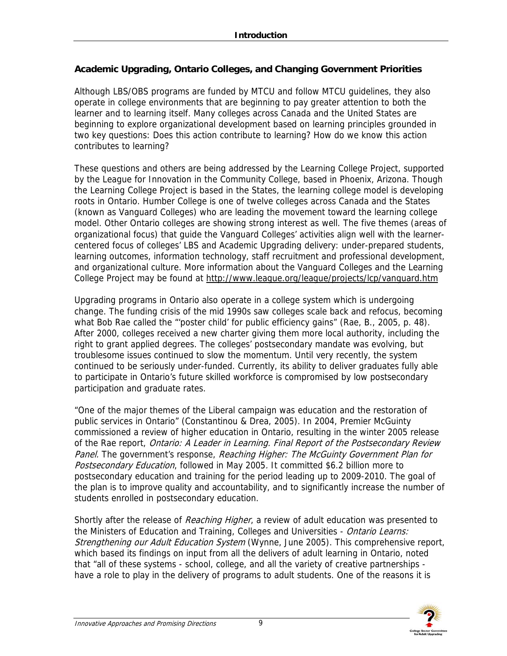#### **Academic Upgrading, Ontario Colleges, and Changing Government Priorities**

Although LBS/OBS programs are funded by MTCU and follow MTCU guidelines, they also operate in college environments that are beginning to pay greater attention to both the learner and to learning itself. Many colleges across Canada and the United States are beginning to explore organizational development based on learning principles grounded in two key questions: Does this action contribute to learning? How do we know this action contributes to learning?

These questions and others are being addressed by the Learning College Project, supported by the League for Innovation in the Community College, based in Phoenix, Arizona. Though the Learning College Project is based in the States, the learning college model is developing roots in Ontario. Humber College is one of twelve colleges across Canada and the States (known as Vanguard Colleges) who are leading the movement toward the learning college model. Other Ontario colleges are showing strong interest as well. The five themes (areas of organizational focus) that guide the Vanguard Colleges' activities align well with the learnercentered focus of colleges' LBS and Academic Upgrading delivery: under-prepared students, learning outcomes, information technology, staff recruitment and professional development, and organizational culture. More information about the Vanguard Colleges and the Learning College Project may be found at http://www.league.org/league/projects/lcp/vanguard.htm

Upgrading programs in Ontario also operate in a college system which is undergoing change. The funding crisis of the mid 1990s saw colleges scale back and refocus, becoming what Bob Rae called the "'poster child' for public efficiency gains" (Rae, B., 2005, p. 48). After 2000, colleges received a new charter giving them more local authority, including the right to grant applied degrees. The colleges' postsecondary mandate was evolving, but troublesome issues continued to slow the momentum. Until very recently, the system continued to be seriously under-funded. Currently, its ability to deliver graduates fully able to participate in Ontario's future skilled workforce is compromised by low postsecondary participation and graduate rates.

"One of the major themes of the Liberal campaign was education and the restoration of public services in Ontario" (Constantinou & Drea, 2005). In 2004, Premier McGuinty commissioned a review of higher education in Ontario, resulting in the winter 2005 release of the Rae report, *Ontario: A Leader in Learning. Final Report of the Postsecondary Review* Panel. The government's response, Reaching Higher: The McGuinty Government Plan for Postsecondary Education, followed in May 2005. It committed \$6.2 billion more to postsecondary education and training for the period leading up to 2009-2010. The goal of the plan is to improve quality and accountability, and to significantly increase the number of students enrolled in postsecondary education.

Shortly after the release of *Reaching Higher*, a review of adult education was presented to the Ministers of Education and Training, Colleges and Universities - Ontario Learns: Strengthening our Adult Education System (Wynne, June 2005). This comprehensive report, which based its findings on input from all the delivers of adult learning in Ontario, noted that "all of these systems - school, college, and all the variety of creative partnerships have a role to play in the delivery of programs to adult students. One of the reasons it is

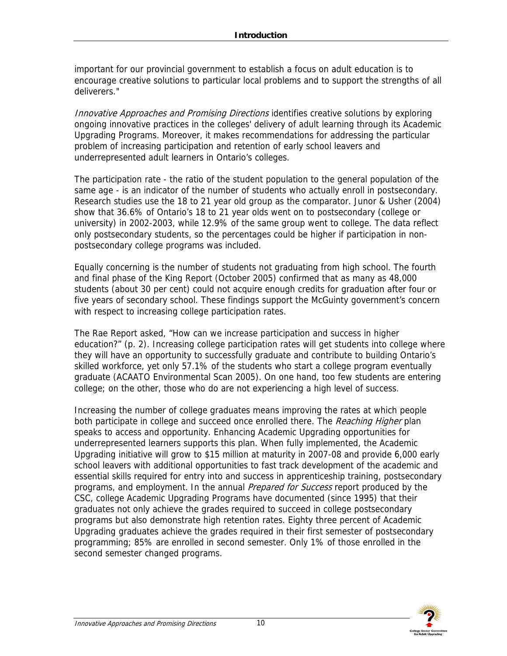important for our provincial government to establish a focus on adult education is to encourage creative solutions to particular local problems and to support the strengths of all deliverers."

Innovative Approaches and Promising Directions identifies creative solutions by exploring ongoing innovative practices in the colleges' delivery of adult learning through its Academic Upgrading Programs. Moreover, it makes recommendations for addressing the particular problem of increasing participation and retention of early school leavers and underrepresented adult learners in Ontario's colleges.

The participation rate - the ratio of the student population to the general population of the same age - is an indicator of the number of students who actually enroll in postsecondary. Research studies use the 18 to 21 year old group as the comparator. Junor & Usher (2004) show that 36.6% of Ontario's 18 to 21 year olds went on to postsecondary (college or university) in 2002-2003, while 12.9% of the same group went to college. The data reflect only postsecondary students, so the percentages could be higher if participation in nonpostsecondary college programs was included.

Equally concerning is the number of students not graduating from high school. The fourth and final phase of the King Report (October 2005) confirmed that as many as 48,000 students (about 30 per cent) could not acquire enough credits for graduation after four or five years of secondary school. These findings support the McGuinty government's concern with respect to increasing college participation rates.

The Rae Report asked, "How can we increase participation and success in higher education?" (p. 2). Increasing college participation rates will get students into college where they will have an opportunity to successfully graduate and contribute to building Ontario's skilled workforce, yet only 57.1% of the students who start a college program eventually graduate (ACAATO Environmental Scan 2005). On one hand, too few students are entering college; on the other, those who do are not experiencing a high level of success.

Increasing the number of college graduates means improving the rates at which people both participate in college and succeed once enrolled there. The Reaching Higher plan speaks to access and opportunity. Enhancing Academic Upgrading opportunities for underrepresented learners supports this plan. When fully implemented, the Academic Upgrading initiative will grow to \$15 million at maturity in 2007-08 and provide 6,000 early school leavers with additional opportunities to fast track development of the academic and essential skills required for entry into and success in apprenticeship training, postsecondary programs, and employment. In the annual Prepared for Success report produced by the CSC, college Academic Upgrading Programs have documented (since 1995) that their graduates not only achieve the grades required to succeed in college postsecondary programs but also demonstrate high retention rates. Eighty three percent of Academic Upgrading graduates achieve the grades required in their first semester of postsecondary programming; 85% are enrolled in second semester. Only 1% of those enrolled in the second semester changed programs.

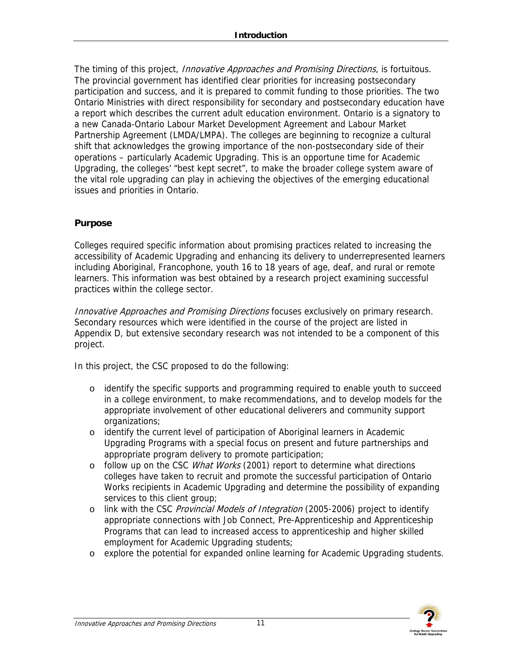The timing of this project, *Innovative Approaches and Promising Directions*, is fortuitous. The provincial government has identified clear priorities for increasing postsecondary participation and success, and it is prepared to commit funding to those priorities. The two Ontario Ministries with direct responsibility for secondary and postsecondary education have a report which describes the current adult education environment. Ontario is a signatory to a new Canada-Ontario Labour Market Development Agreement and Labour Market Partnership Agreement (LMDA/LMPA). The colleges are beginning to recognize a cultural shift that acknowledges the growing importance of the non-postsecondary side of their operations – particularly Academic Upgrading. This is an opportune time for Academic Upgrading, the colleges' "best kept secret", to make the broader college system aware of the vital role upgrading can play in achieving the objectives of the emerging educational issues and priorities in Ontario.

#### **Purpose**

Colleges required specific information about promising practices related to increasing the accessibility of Academic Upgrading and enhancing its delivery to underrepresented learners including Aboriginal, Francophone, youth 16 to 18 years of age, deaf, and rural or remote learners. This information was best obtained by a research project examining successful practices within the college sector.

Innovative Approaches and Promising Directions focuses exclusively on primary research. Secondary resources which were identified in the course of the project are listed in Appendix D, but extensive secondary research was not intended to be a component of this project.

In this project, the CSC proposed to do the following:

- o identify the specific supports and programming required to enable youth to succeed in a college environment, to make recommendations, and to develop models for the appropriate involvement of other educational deliverers and community support organizations;
- o identify the current level of participation of Aboriginal learners in Academic Upgrading Programs with a special focus on present and future partnerships and appropriate program delivery to promote participation;
- o follow up on the CSC *What Works* (2001) report to determine what directions colleges have taken to recruit and promote the successful participation of Ontario Works recipients in Academic Upgrading and determine the possibility of expanding services to this client group;
- o link with the CSC Provincial Models of Integration (2005-2006) project to identify appropriate connections with Job Connect, Pre-Apprenticeship and Apprenticeship Programs that can lead to increased access to apprenticeship and higher skilled employment for Academic Upgrading students;
- o explore the potential for expanded online learning for Academic Upgrading students.

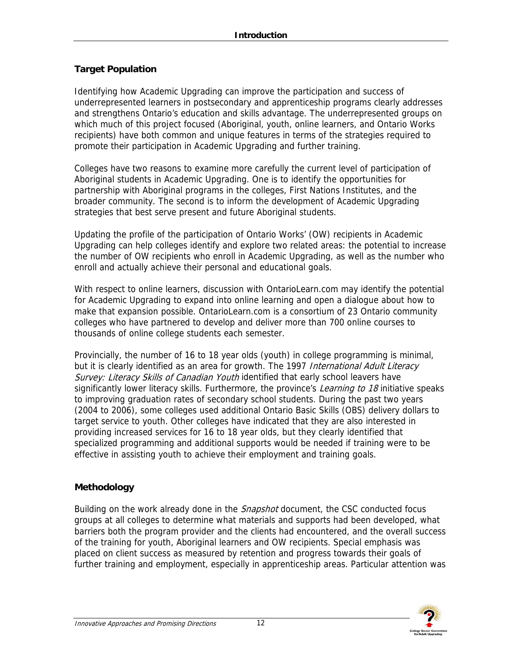#### **Target Population**

Identifying how Academic Upgrading can improve the participation and success of underrepresented learners in postsecondary and apprenticeship programs clearly addresses and strengthens Ontario's education and skills advantage. The underrepresented groups on which much of this project focused (Aboriginal, youth, online learners, and Ontario Works recipients) have both common and unique features in terms of the strategies required to promote their participation in Academic Upgrading and further training.

Colleges have two reasons to examine more carefully the current level of participation of Aboriginal students in Academic Upgrading. One is to identify the opportunities for partnership with Aboriginal programs in the colleges, First Nations Institutes, and the broader community. The second is to inform the development of Academic Upgrading strategies that best serve present and future Aboriginal students.

Updating the profile of the participation of Ontario Works' (OW) recipients in Academic Upgrading can help colleges identify and explore two related areas: the potential to increase the number of OW recipients who enroll in Academic Upgrading, as well as the number who enroll and actually achieve their personal and educational goals.

With respect to online learners, discussion with OntarioLearn.com may identify the potential for Academic Upgrading to expand into online learning and open a dialogue about how to make that expansion possible. OntarioLearn.com is a consortium of 23 Ontario community colleges who have partnered to develop and deliver more than 700 online courses to thousands of online college students each semester.

Provincially, the number of 16 to 18 year olds (youth) in college programming is minimal, but it is clearly identified as an area for growth. The 1997 International Adult Literacy Survey: Literacy Skills of Canadian Youth identified that early school leavers have significantly lower literacy skills. Furthermore, the province's *Learning to 18* initiative speaks to improving graduation rates of secondary school students. During the past two years (2004 to 2006), some colleges used additional Ontario Basic Skills (OBS) delivery dollars to target service to youth. Other colleges have indicated that they are also interested in providing increased services for 16 to 18 year olds, but they clearly identified that specialized programming and additional supports would be needed if training were to be effective in assisting youth to achieve their employment and training goals.

#### **Methodology**

Building on the work already done in the *Snapshot* document, the CSC conducted focus groups at all colleges to determine what materials and supports had been developed, what barriers both the program provider and the clients had encountered, and the overall success of the training for youth, Aboriginal learners and OW recipients. Special emphasis was placed on client success as measured by retention and progress towards their goals of further training and employment, especially in apprenticeship areas. Particular attention was

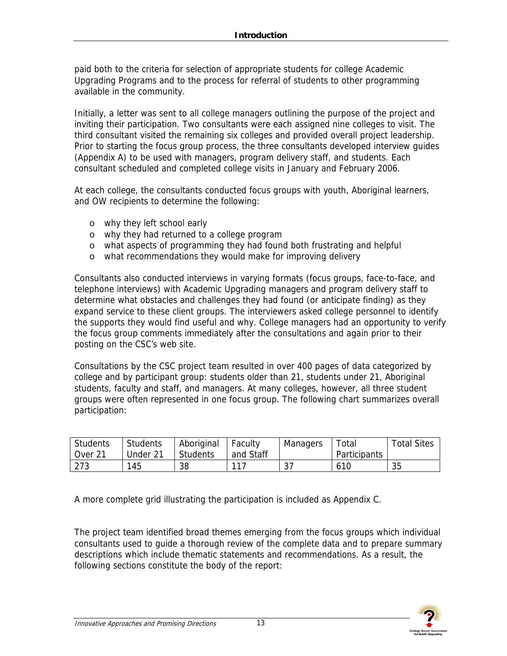paid both to the criteria for selection of appropriate students for college Academic Upgrading Programs and to the process for referral of students to other programming available in the community.

Initially, a letter was sent to all college managers outlining the purpose of the project and inviting their participation. Two consultants were each assigned nine colleges to visit. The third consultant visited the remaining six colleges and provided overall project leadership. Prior to starting the focus group process, the three consultants developed interview guides (Appendix A) to be used with managers, program delivery staff, and students. Each consultant scheduled and completed college visits in January and February 2006.

At each college, the consultants conducted focus groups with youth, Aboriginal learners, and OW recipients to determine the following:

- o why they left school early
- o why they had returned to a college program
- o what aspects of programming they had found both frustrating and helpful
- o what recommendations they would make for improving delivery

Consultants also conducted interviews in varying formats (focus groups, face-to-face, and telephone interviews) with Academic Upgrading managers and program delivery staff to determine what obstacles and challenges they had found (or anticipate finding) as they expand service to these client groups. The interviewers asked college personnel to identify the supports they would find useful and why. College managers had an opportunity to verify the focus group comments immediately after the consultations and again prior to their posting on the CSC's web site.

Consultations by the CSC project team resulted in over 400 pages of data categorized by college and by participant group: students older than 21, students under 21, Aboriginal students, faculty and staff, and managers. At many colleges, however, all three student groups were often represented in one focus group. The following chart summarizes overall participation:

| Students<br>Over 21 | Students<br>Under 21 | Aboriginal   Faculty<br>Students | and Staff | Managers | Total<br>Participants | <b>Total Sites</b> |
|---------------------|----------------------|----------------------------------|-----------|----------|-----------------------|--------------------|
| 273                 | 145                  | 38                               | 117       |          | 610                   | 35                 |

A more complete grid illustrating the participation is included as Appendix C.

The project team identified broad themes emerging from the focus groups which individual consultants used to guide a thorough review of the complete data and to prepare summary descriptions which include thematic statements and recommendations. As a result, the following sections constitute the body of the report:

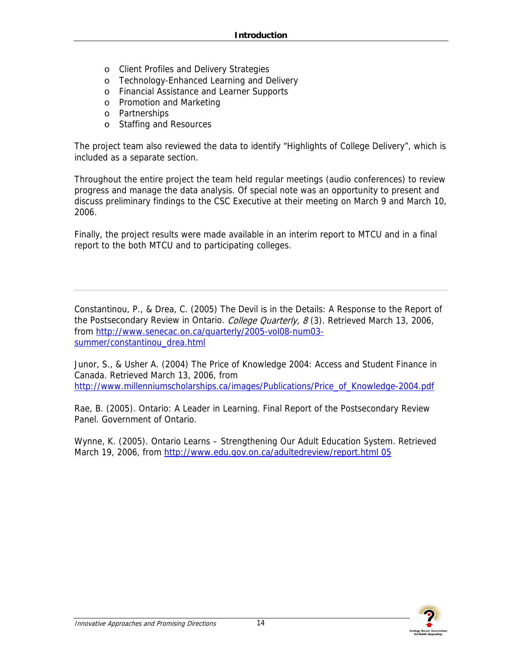- o Client Profiles and Delivery Strategies
- o Technology-Enhanced Learning and Delivery
- o Financial Assistance and Learner Supports
- o Promotion and Marketing
- o Partnerships
- o Staffing and Resources

The project team also reviewed the data to identify "Highlights of College Delivery", which is included as a separate section.

Throughout the entire project the team held regular meetings (audio conferences) to review progress and manage the data analysis. Of special note was an opportunity to present and discuss preliminary findings to the CSC Executive at their meeting on March 9 and March 10, 2006.

Finally, the project results were made available in an interim report to MTCU and in a final report to the both MTCU and to participating colleges.

Constantinou, P., & Drea, C. (2005) The Devil is in the Details: A Response to the Report of the Postsecondary Review in Ontario. College Quarterly, 8(3). Retrieved March 13, 2006, from http://www.senecac.on.ca/quarterly/2005-vol08-num03 summer/constantinou\_drea.html

Junor, S., & Usher A. (2004) The Price of Knowledge 2004: Access and Student Finance in Canada. Retrieved March 13, 2006, from http://www.millenniumscholarships.ca/images/Publications/Price\_of\_Knowledge-2004.pdf

Rae, B. (2005). Ontario: A Leader in Learning. Final Report of the Postsecondary Review Panel. Government of Ontario.

Wynne, K. (2005). Ontario Learns – Strengthening Our Adult Education System. Retrieved March 19, 2006, from http://www.edu.gov.on.ca/adultedreview/report.html 05

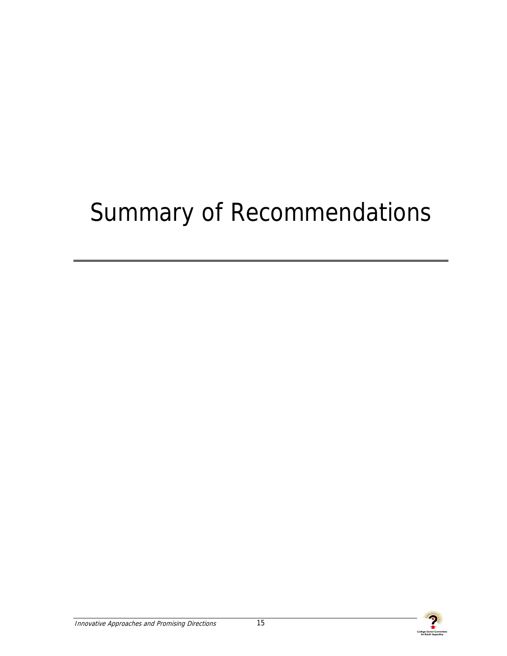# <span id="page-19-0"></span>Summary of Recommendations

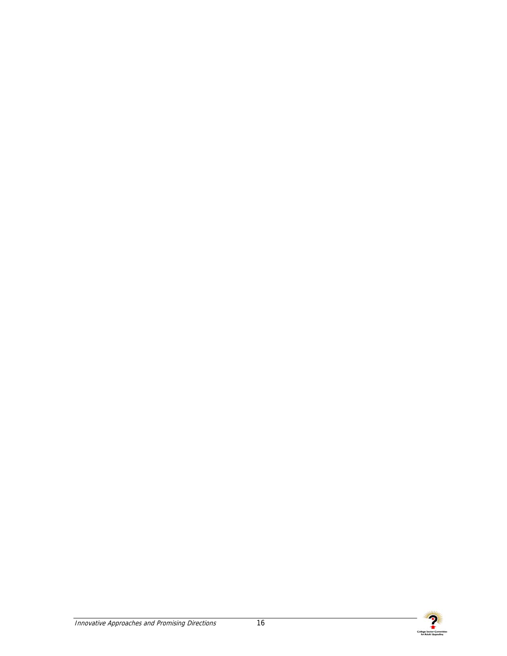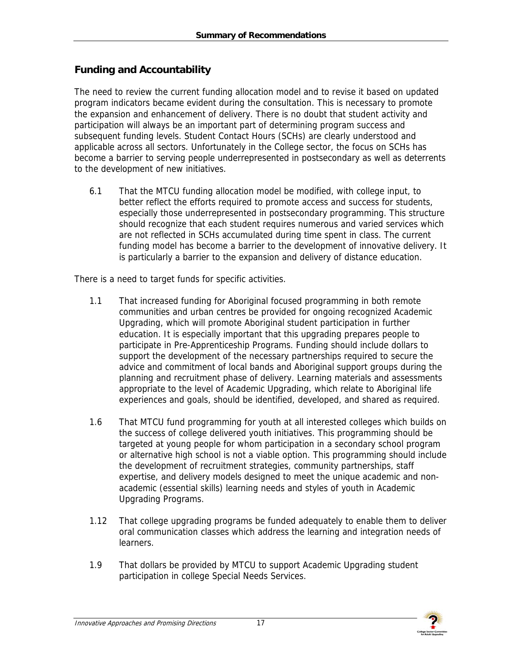# **Funding and Accountability**

The need to review the current funding allocation model and to revise it based on updated program indicators became evident during the consultation. This is necessary to promote the expansion and enhancement of delivery. There is no doubt that student activity and participation will always be an important part of determining program success and subsequent funding levels. Student Contact Hours (SCHs) are clearly understood and applicable across all sectors. Unfortunately in the College sector, the focus on SCHs has become a barrier to serving people underrepresented in postsecondary as well as deterrents to the development of new initiatives.

6.1 That the MTCU funding allocation model be modified, with college input, to better reflect the efforts required to promote access and success for students, especially those underrepresented in postsecondary programming. This structure should recognize that each student requires numerous and varied services which are not reflected in SCHs accumulated during time spent in class. The current funding model has become a barrier to the development of innovative delivery. It is particularly a barrier to the expansion and delivery of distance education.

There is a need to target funds for specific activities.

- 1.1 That increased funding for Aboriginal focused programming in both remote communities and urban centres be provided for ongoing recognized Academic Upgrading, which will promote Aboriginal student participation in further education. It is especially important that this upgrading prepares people to participate in Pre-Apprenticeship Programs. Funding should include dollars to support the development of the necessary partnerships required to secure the advice and commitment of local bands and Aboriginal support groups during the planning and recruitment phase of delivery. Learning materials and assessments appropriate to the level of Academic Upgrading, which relate to Aboriginal life experiences and goals, should be identified, developed, and shared as required.
- 1.6 That MTCU fund programming for youth at all interested colleges which builds on the success of college delivered youth initiatives. This programming should be targeted at young people for whom participation in a secondary school program or alternative high school is not a viable option. This programming should include the development of recruitment strategies, community partnerships, staff expertise, and delivery models designed to meet the unique academic and nonacademic (essential skills) learning needs and styles of youth in Academic Upgrading Programs.
- 1.12 That college upgrading programs be funded adequately to enable them to deliver oral communication classes which address the learning and integration needs of learners.
- 1.9 That dollars be provided by MTCU to support Academic Upgrading student participation in college Special Needs Services.



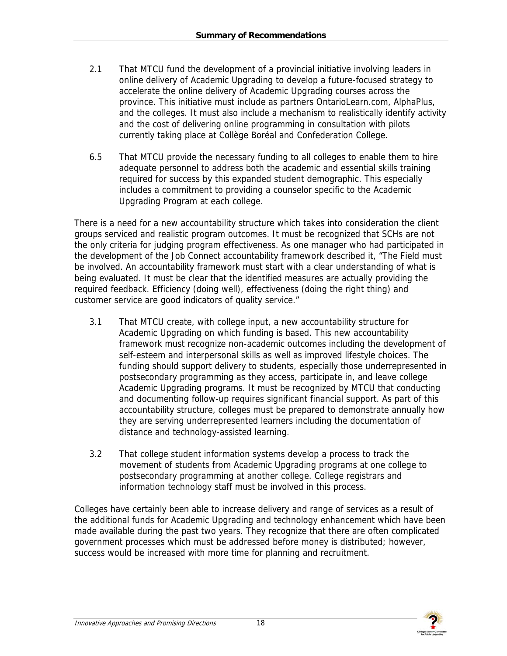- 2.1 That MTCU fund the development of a provincial initiative involving leaders in online delivery of Academic Upgrading to develop a future-focused strategy to accelerate the online delivery of Academic Upgrading courses across the province. This initiative must include as partners OntarioLearn.com, AlphaPlus, and the colleges. It must also include a mechanism to realistically identify activity and the cost of delivering online programming in consultation with pilots currently taking place at Collège Boréal and Confederation College.
- 6.5 That MTCU provide the necessary funding to all colleges to enable them to hire adequate personnel to address both the academic and essential skills training required for success by this expanded student demographic. This especially includes a commitment to providing a counselor specific to the Academic Upgrading Program at each college.

There is a need for a new accountability structure which takes into consideration the client groups serviced and realistic program outcomes. It must be recognized that SCHs are not the only criteria for judging program effectiveness. As one manager who had participated in the development of the Job Connect accountability framework described it, "The Field must be involved. An accountability framework must start with a clear understanding of what is being evaluated. It must be clear that the identified measures are actually providing the required feedback. Efficiency (doing well), effectiveness (doing the right thing) and customer service are good indicators of quality service."

- 3.1 That MTCU create, with college input, a new accountability structure for Academic Upgrading on which funding is based. This new accountability framework must recognize non-academic outcomes including the development of self-esteem and interpersonal skills as well as improved lifestyle choices. The funding should support delivery to students, especially those underrepresented in postsecondary programming as they access, participate in, and leave college Academic Upgrading programs. It must be recognized by MTCU that conducting and documenting follow-up requires significant financial support. As part of this accountability structure, colleges must be prepared to demonstrate annually how they are serving underrepresented learners including the documentation of distance and technology-assisted learning.
- 3.2 That college student information systems develop a process to track the movement of students from Academic Upgrading programs at one college to postsecondary programming at another college. College registrars and information technology staff must be involved in this process.

Colleges have certainly been able to increase delivery and range of services as a result of the additional funds for Academic Upgrading and technology enhancement which have been made available during the past two years. They recognize that there are often complicated government processes which must be addressed before money is distributed; however, success would be increased with more time for planning and recruitment.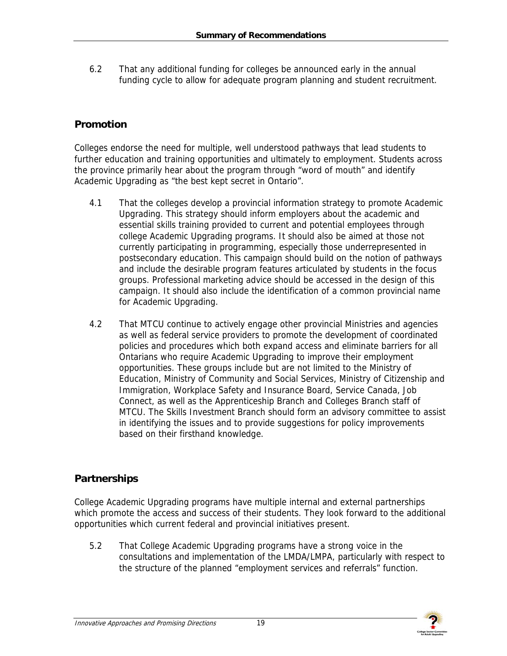6.2 That any additional funding for colleges be announced early in the annual funding cycle to allow for adequate program planning and student recruitment.

# **Promotion**

Colleges endorse the need for multiple, well understood pathways that lead students to further education and training opportunities and ultimately to employment. Students across the province primarily hear about the program through "word of mouth" and identify Academic Upgrading as "the best kept secret in Ontario".

- 4.1 That the colleges develop a provincial information strategy to promote Academic Upgrading. This strategy should inform employers about the academic and essential skills training provided to current and potential employees through college Academic Upgrading programs. It should also be aimed at those not currently participating in programming, especially those underrepresented in postsecondary education. This campaign should build on the notion of pathways and include the desirable program features articulated by students in the focus groups. Professional marketing advice should be accessed in the design of this campaign. It should also include the identification of a common provincial name for Academic Upgrading.
- 4.2 That MTCU continue to actively engage other provincial Ministries and agencies as well as federal service providers to promote the development of coordinated policies and procedures which both expand access and eliminate barriers for all Ontarians who require Academic Upgrading to improve their employment opportunities. These groups include but are not limited to the Ministry of Education, Ministry of Community and Social Services, Ministry of Citizenship and Immigration, Workplace Safety and Insurance Board, Service Canada, Job Connect, as well as the Apprenticeship Branch and Colleges Branch staff of MTCU. The Skills Investment Branch should form an advisory committee to assist in identifying the issues and to provide suggestions for policy improvements based on their firsthand knowledge.

# **Partnerships**

College Academic Upgrading programs have multiple internal and external partnerships which promote the access and success of their students. They look forward to the additional opportunities which current federal and provincial initiatives present.

5.2 That College Academic Upgrading programs have a strong voice in the consultations and implementation of the LMDA/LMPA, particularly with respect to the structure of the planned "employment services and referrals" function.

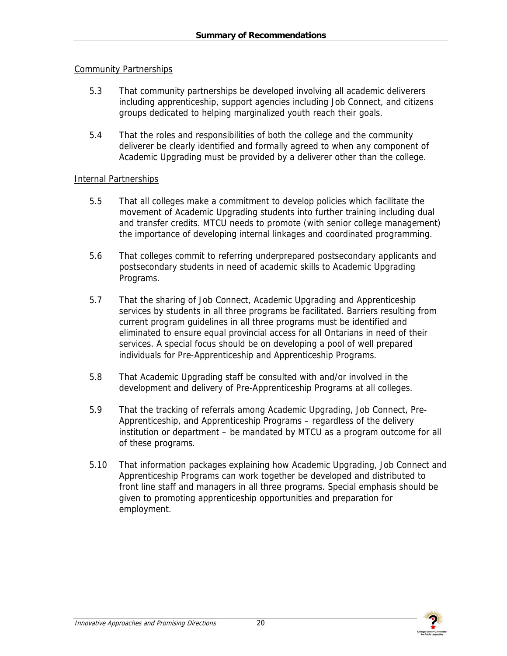#### Community Partnerships

- 5.3 That community partnerships be developed involving all academic deliverers including apprenticeship, support agencies including Job Connect, and citizens groups dedicated to helping marginalized youth reach their goals.
- 5.4 That the roles and responsibilities of both the college and the community deliverer be clearly identified and formally agreed to when any component of Academic Upgrading must be provided by a deliverer other than the college.

#### Internal Partnerships

- 5.5 That all colleges make a commitment to develop policies which facilitate the movement of Academic Upgrading students into further training including dual and transfer credits. MTCU needs to promote (with senior college management) the importance of developing internal linkages and coordinated programming.
- 5.6 That colleges commit to referring underprepared postsecondary applicants and postsecondary students in need of academic skills to Academic Upgrading Programs.
- 5.7 That the sharing of Job Connect, Academic Upgrading and Apprenticeship services by students in all three programs be facilitated. Barriers resulting from current program guidelines in all three programs must be identified and eliminated to ensure equal provincial access for all Ontarians in need of their services. A special focus should be on developing a pool of well prepared individuals for Pre-Apprenticeship and Apprenticeship Programs.
- 5.8 That Academic Upgrading staff be consulted with and/or involved in the development and delivery of Pre-Apprenticeship Programs at all colleges.
- 5.9 That the tracking of referrals among Academic Upgrading, Job Connect, Pre-Apprenticeship, and Apprenticeship Programs – regardless of the delivery institution or department – be mandated by MTCU as a program outcome for all of these programs.
- 5.10 That information packages explaining how Academic Upgrading, Job Connect and Apprenticeship Programs can work together be developed and distributed to front line staff and managers in all three programs. Special emphasis should be given to promoting apprenticeship opportunities and preparation for employment.

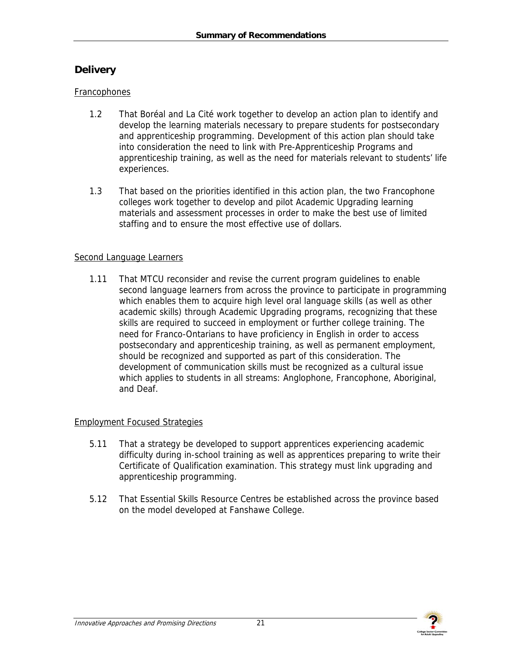# **Delivery**

#### Francophones

- 1.2 That Boréal and La Cité work together to develop an action plan to identify and develop the learning materials necessary to prepare students for postsecondary and apprenticeship programming. Development of this action plan should take into consideration the need to link with Pre-Apprenticeship Programs and apprenticeship training, as well as the need for materials relevant to students' life experiences.
- 1.3 That based on the priorities identified in this action plan, the two Francophone colleges work together to develop and pilot Academic Upgrading learning materials and assessment processes in order to make the best use of limited staffing and to ensure the most effective use of dollars.

#### Second Language Learners

1.11 That MTCU reconsider and revise the current program guidelines to enable second language learners from across the province to participate in programming which enables them to acquire high level oral language skills (as well as other academic skills) through Academic Upgrading programs, recognizing that these skills are required to succeed in employment or further college training. The need for Franco-Ontarians to have proficiency in English in order to access postsecondary and apprenticeship training, as well as permanent employment, should be recognized and supported as part of this consideration. The development of communication skills must be recognized as a cultural issue which applies to students in all streams: Anglophone, Francophone, Aboriginal, and Deaf.

#### Employment Focused Strategies

- 5.11 That a strategy be developed to support apprentices experiencing academic difficulty during in-school training as well as apprentices preparing to write their Certificate of Qualification examination. This strategy must link upgrading and apprenticeship programming.
- 5.12 That Essential Skills Resource Centres be established across the province based on the model developed at Fanshawe College.

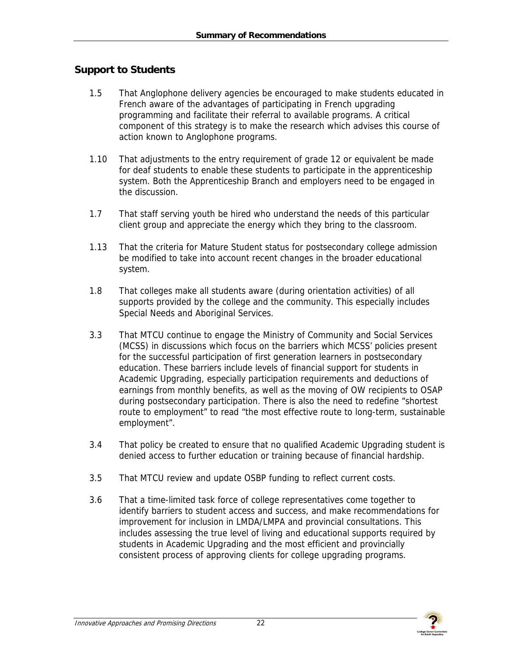## **Support to Students**

- 1.5 That Anglophone delivery agencies be encouraged to make students educated in French aware of the advantages of participating in French upgrading programming and facilitate their referral to available programs. A critical component of this strategy is to make the research which advises this course of action known to Anglophone programs.
- 1.10 That adjustments to the entry requirement of grade 12 or equivalent be made for deaf students to enable these students to participate in the apprenticeship system. Both the Apprenticeship Branch and employers need to be engaged in the discussion.
- 1.7 That staff serving youth be hired who understand the needs of this particular client group and appreciate the energy which they bring to the classroom.
- 1.13 That the criteria for Mature Student status for postsecondary college admission be modified to take into account recent changes in the broader educational system.
- 1.8 That colleges make all students aware (during orientation activities) of all supports provided by the college and the community. This especially includes Special Needs and Aboriginal Services.
- 3.3 That MTCU continue to engage the Ministry of Community and Social Services (MCSS) in discussions which focus on the barriers which MCSS' policies present for the successful participation of first generation learners in postsecondary education. These barriers include levels of financial support for students in Academic Upgrading, especially participation requirements and deductions of earnings from monthly benefits, as well as the moving of OW recipients to OSAP during postsecondary participation. There is also the need to redefine "shortest route to employment" to read "the most effective route to long-term, sustainable employment".
- 3.4 That policy be created to ensure that no qualified Academic Upgrading student is denied access to further education or training because of financial hardship.
- 3.5 That MTCU review and update OSBP funding to reflect current costs.
- 3.6 That a time-limited task force of college representatives come together to identify barriers to student access and success, and make recommendations for improvement for inclusion in LMDA/LMPA and provincial consultations. This includes assessing the true level of living and educational supports required by students in Academic Upgrading and the most efficient and provincially consistent process of approving clients for college upgrading programs.

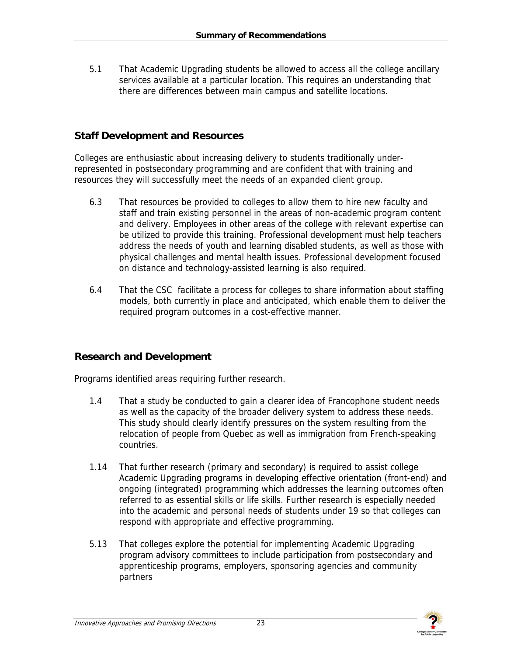5.1 That Academic Upgrading students be allowed to access all the college ancillary services available at a particular location. This requires an understanding that there are differences between main campus and satellite locations.

## **Staff Development and Resources**

Colleges are enthusiastic about increasing delivery to students traditionally underrepresented in postsecondary programming and are confident that with training and resources they will successfully meet the needs of an expanded client group.

- 6.3 That resources be provided to colleges to allow them to hire new faculty and staff and train existing personnel in the areas of non-academic program content and delivery. Employees in other areas of the college with relevant expertise can be utilized to provide this training. Professional development must help teachers address the needs of youth and learning disabled students, as well as those with physical challenges and mental health issues. Professional development focused on distance and technology-assisted learning is also required.
- 6.4 That the CSC facilitate a process for colleges to share information about staffing models, both currently in place and anticipated, which enable them to deliver the required program outcomes in a cost-effective manner.

## **Research and Development**

Programs identified areas requiring further research.

- 1.4 That a study be conducted to gain a clearer idea of Francophone student needs as well as the capacity of the broader delivery system to address these needs. This study should clearly identify pressures on the system resulting from the relocation of people from Quebec as well as immigration from French-speaking countries.
- 1.14 That further research (primary and secondary) is required to assist college Academic Upgrading programs in developing effective orientation (front-end) and ongoing (integrated) programming which addresses the learning outcomes often referred to as essential skills or life skills. Further research is especially needed into the academic and personal needs of students under 19 so that colleges can respond with appropriate and effective programming.
- 5.13 That colleges explore the potential for implementing Academic Upgrading program advisory committees to include participation from postsecondary and apprenticeship programs, employers, sponsoring agencies and community partners

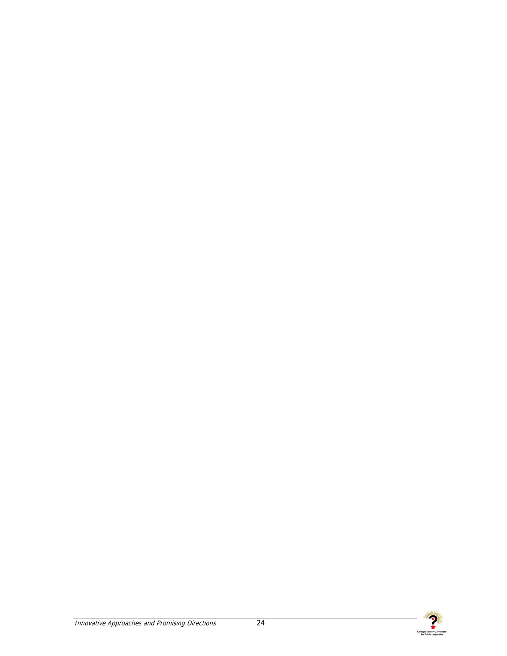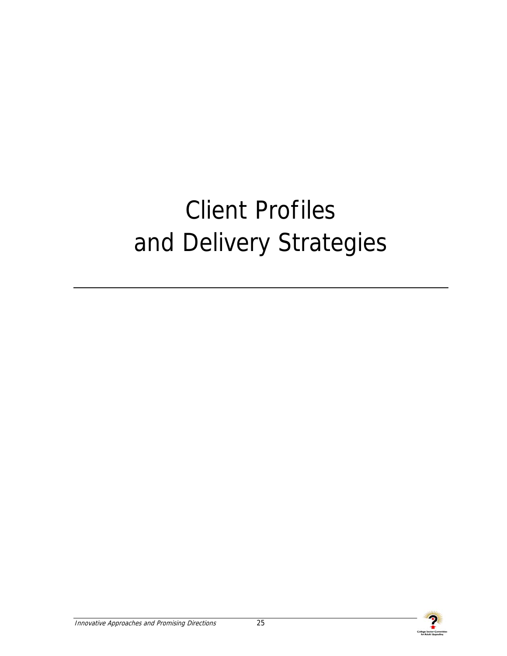# <span id="page-29-0"></span>Client Profiles and Delivery Strategies

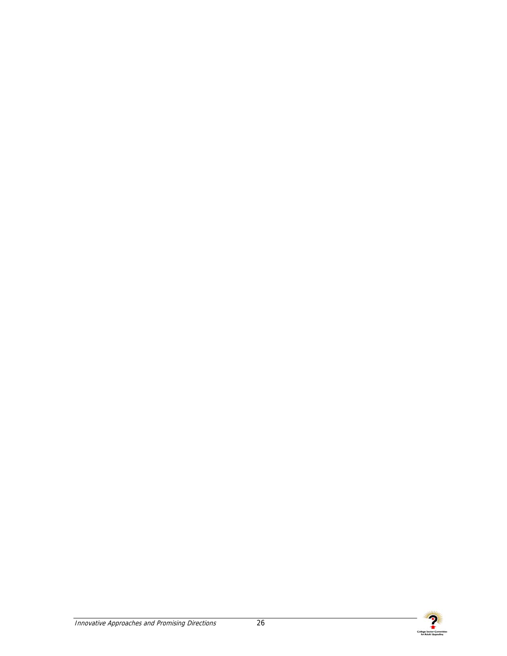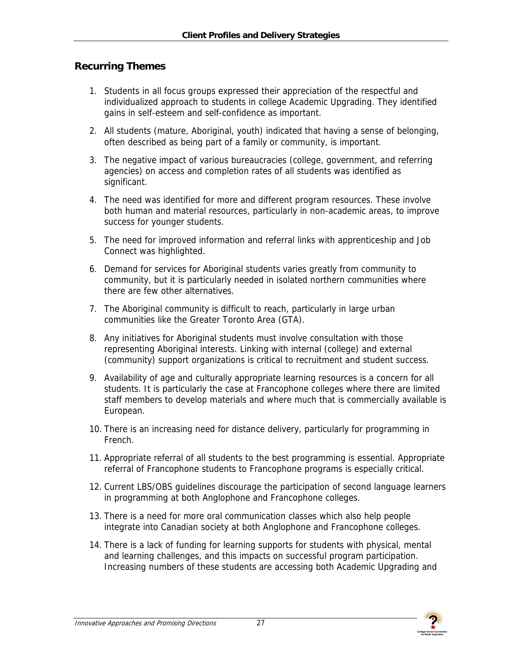# <span id="page-31-0"></span>**Recurring Themes**

- 1. Students in all focus groups expressed their appreciation of the respectful and individualized approach to students in college Academic Upgrading. They identified gains in self-esteem and self-confidence as important.
- 2. All students (mature, Aboriginal, youth) indicated that having a sense of belonging, often described as being part of a family or community, is important.
- 3. The negative impact of various bureaucracies (college, government, and referring agencies) on access and completion rates of all students was identified as significant.
- 4. The need was identified for more and different program resources. These involve both human and material resources, particularly in non-academic areas, to improve success for younger students.
- 5. The need for improved information and referral links with apprenticeship and Job Connect was highlighted.
- 6. Demand for services for Aboriginal students varies greatly from community to community, but it is particularly needed in isolated northern communities where there are few other alternatives.
- 7. The Aboriginal community is difficult to reach, particularly in large urban communities like the Greater Toronto Area (GTA).
- 8. Any initiatives for Aboriginal students must involve consultation with those representing Aboriginal interests. Linking with internal (college) and external (community) support organizations is critical to recruitment and student success.
- 9. Availability of age and culturally appropriate learning resources is a concern for all students. It is particularly the case at Francophone colleges where there are limited staff members to develop materials and where much that is commercially available is European.
- 10. There is an increasing need for distance delivery, particularly for programming in French.
- 11. Appropriate referral of all students to the best programming is essential. Appropriate referral of Francophone students to Francophone programs is especially critical.
- 12. Current LBS/OBS guidelines discourage the participation of second language learners in programming at both Anglophone and Francophone colleges.
- 13. There is a need for more oral communication classes which also help people integrate into Canadian society at both Anglophone and Francophone colleges.
- 14. There is a lack of funding for learning supports for students with physical, mental and learning challenges, and this impacts on successful program participation. Increasing numbers of these students are accessing both Academic Upgrading and

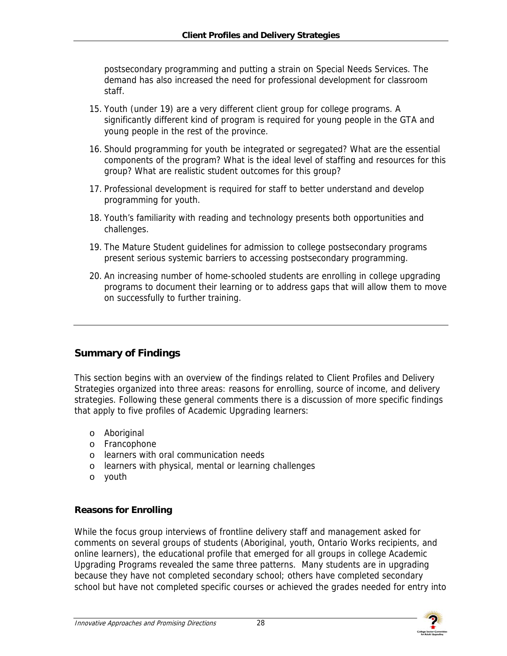<span id="page-32-0"></span>postsecondary programming and putting a strain on Special Needs Services. The demand has also increased the need for professional development for classroom staff.

- 15. Youth (under 19) are a very different client group for college programs. A significantly different kind of program is required for young people in the GTA and young people in the rest of the province.
- 16. Should programming for youth be integrated or segregated? What are the essential components of the program? What is the ideal level of staffing and resources for this group? What are realistic student outcomes for this group?
- 17. Professional development is required for staff to better understand and develop programming for youth.
- 18. Youth's familiarity with reading and technology presents both opportunities and challenges.
- 19. The Mature Student guidelines for admission to college postsecondary programs present serious systemic barriers to accessing postsecondary programming.
- 20. An increasing number of home-schooled students are enrolling in college upgrading programs to document their learning or to address gaps that will allow them to move on successfully to further training.

# **Summary of Findings**

This section begins with an overview of the findings related to Client Profiles and Delivery Strategies organized into three areas: reasons for enrolling, source of income, and delivery strategies. Following these general comments there is a discussion of more specific findings that apply to five profiles of Academic Upgrading learners:

- o Aboriginal
- o Francophone
- o learners with oral communication needs
- o learners with physical, mental or learning challenges
- o youth

## **Reasons for Enrolling**

While the focus group interviews of frontline delivery staff and management asked for comments on several groups of students (Aboriginal, youth, Ontario Works recipients, and online learners), the educational profile that emerged for all groups in college Academic Upgrading Programs revealed the same three patterns. Many students are in upgrading because they have not completed secondary school; others have completed secondary school but have not completed specific courses or achieved the grades needed for entry into

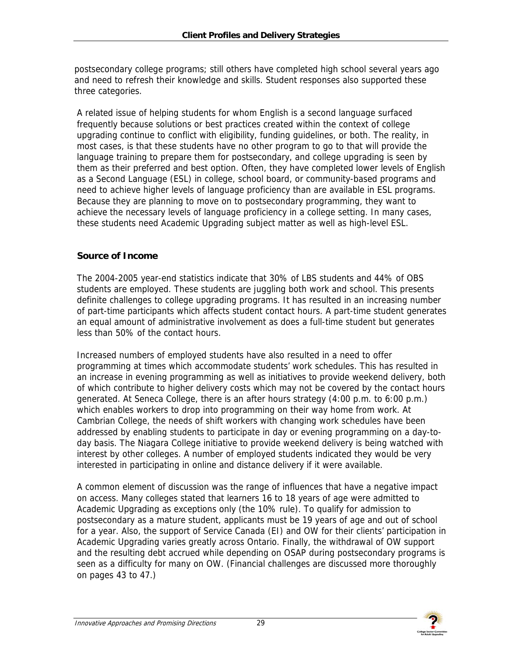postsecondary college programs; still others have completed high school several years ago and need to refresh their knowledge and skills. Student responses also supported these three categories.

A related issue of helping students for whom English is a second language surfaced frequently because solutions or best practices created within the context of college upgrading continue to conflict with eligibility, funding guidelines, or both. The reality, in most cases, is that these students have no other program to go to that will provide the language training to prepare them for postsecondary, and college upgrading is seen by them as their preferred and best option. Often, they have completed lower levels of English as a Second Language (ESL) in college, school board, or community-based programs and need to achieve higher levels of language proficiency than are available in ESL programs. Because they are planning to move on to postsecondary programming, they want to achieve the necessary levels of language proficiency in a college setting. In many cases, these students need Academic Upgrading subject matter as well as high-level ESL.

## **Source of Income**

The 2004-2005 year-end statistics indicate that 30% of LBS students and 44% of OBS students are employed. These students are juggling both work and school. This presents definite challenges to college upgrading programs. It has resulted in an increasing number of part-time participants which affects student contact hours. A part-time student generates an equal amount of administrative involvement as does a full-time student but generates less than 50% of the contact hours.

Increased numbers of employed students have also resulted in a need to offer programming at times which accommodate students' work schedules. This has resulted in an increase in evening programming as well as initiatives to provide weekend delivery, both of which contribute to higher delivery costs which may not be covered by the contact hours generated. At Seneca College, there is an after hours strategy (4:00 p.m. to 6:00 p.m.) which enables workers to drop into programming on their way home from work. At Cambrian College, the needs of shift workers with changing work schedules have been addressed by enabling students to participate in day or evening programming on a day-today basis. The Niagara College initiative to provide weekend delivery is being watched with interest by other colleges. A number of employed students indicated they would be very interested in participating in online and distance delivery if it were available.

A common element of discussion was the range of influences that have a negative impact on access. Many colleges stated that learners 16 to 18 years of age were admitted to Academic Upgrading as exceptions only (the 10% rule). To qualify for admission to postsecondary as a mature student, applicants must be 19 years of age and out of school for a year. Also, the support of Service Canada (EI) and OW for their clients' participation in Academic Upgrading varies greatly across Ontario. Finally, the withdrawal of OW support and the resulting debt accrued while depending on OSAP during postsecondary programs is seen as a difficulty for many on OW. (Financial challenges are discussed more thoroughly on pages 43 to 47.)

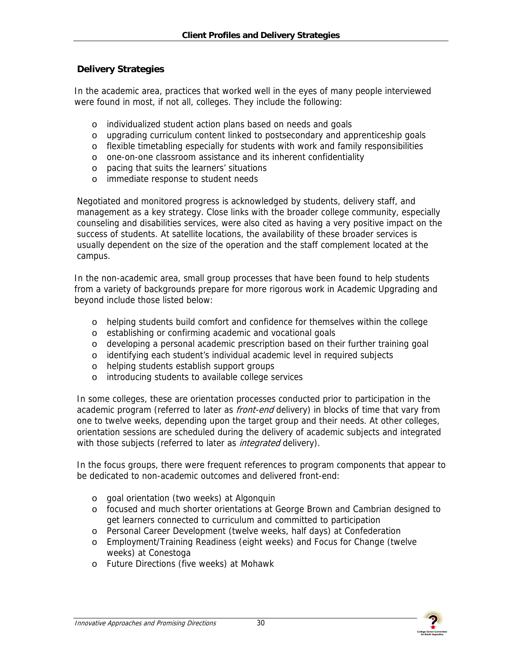## **Delivery Strategies**

In the academic area, practices that worked well in the eyes of many people interviewed were found in most, if not all, colleges. They include the following:

- o individualized student action plans based on needs and goals
- o upgrading curriculum content linked to postsecondary and apprenticeship goals
- o flexible timetabling especially for students with work and family responsibilities
- o one-on-one classroom assistance and its inherent confidentiality
- o pacing that suits the learners' situations
- o immediate response to student needs

Negotiated and monitored progress is acknowledged by students, delivery staff, and management as a key strategy. Close links with the broader college community, especially counseling and disabilities services, were also cited as having a very positive impact on the success of students. At satellite locations, the availability of these broader services is usually dependent on the size of the operation and the staff complement located at the campus.

In the non-academic area, small group processes that have been found to help students from a variety of backgrounds prepare for more rigorous work in Academic Upgrading and beyond include those listed below:

- o helping students build comfort and confidence for themselves within the college
- o establishing or confirming academic and vocational goals
- o developing a personal academic prescription based on their further training goal
- o identifying each student's individual academic level in required subjects
- o helping students establish support groups
- o introducing students to available college services

In some colleges, these are orientation processes conducted prior to participation in the academic program (referred to later as *front-end* delivery) in blocks of time that vary from one to twelve weeks, depending upon the target group and their needs. At other colleges, orientation sessions are scheduled during the delivery of academic subjects and integrated with those subjects (referred to later as *integrated* delivery).

In the focus groups, there were frequent references to program components that appear to be dedicated to non-academic outcomes and delivered front-end:

- o goal orientation (two weeks) at Algonquin
- o focused and much shorter orientations at George Brown and Cambrian designed to get learners connected to curriculum and committed to participation
- o Personal Career Development (twelve weeks, half days) at Confederation
- o Employment/Training Readiness (eight weeks) and Focus for Change (twelve weeks) at Conestoga
- o Future Directions (five weeks) at Mohawk

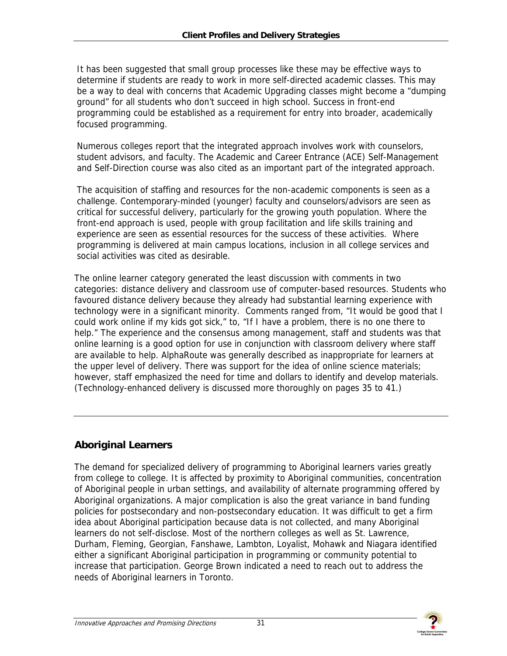It has been suggested that small group processes like these may be effective ways to determine if students are ready to work in more self-directed academic classes. This may be a way to deal with concerns that Academic Upgrading classes might become a "dumping ground" for all students who don't succeed in high school. Success in front-end programming could be established as a requirement for entry into broader, academically focused programming.

Numerous colleges report that the integrated approach involves work with counselors, student advisors, and faculty. The Academic and Career Entrance (ACE) Self-Management and Self-Direction course was also cited as an important part of the integrated approach.

The acquisition of staffing and resources for the non-academic components is seen as a challenge. Contemporary-minded (younger) faculty and counselors/advisors are seen as critical for successful delivery, particularly for the growing youth population. Where the front-end approach is used, people with group facilitation and life skills training and experience are seen as essential resources for the success of these activities. Where programming is delivered at main campus locations, inclusion in all college services and social activities was cited as desirable.

The online learner category generated the least discussion with comments in two categories: distance delivery and classroom use of computer-based resources. Students who favoured distance delivery because they already had substantial learning experience with technology were in a significant minority. Comments ranged from, "It would be good that I could work online if my kids got sick," to, "If I have a problem, there is no one there to help." The experience and the consensus among management, staff and students was that online learning is a good option for use in conjunction with classroom delivery where staff are available to help. AlphaRoute was generally described as inappropriate for learners at the upper level of delivery. There was support for the idea of online science materials; however, staff emphasized the need for time and dollars to identify and develop materials. (Technology-enhanced delivery is discussed more thoroughly on pages 35 to 41.)

# **Aboriginal Learners**

The demand for specialized delivery of programming to Aboriginal learners varies greatly from college to college. It is affected by proximity to Aboriginal communities, concentration of Aboriginal people in urban settings, and availability of alternate programming offered by Aboriginal organizations. A major complication is also the great variance in band funding policies for postsecondary and non-postsecondary education. It was difficult to get a firm idea about Aboriginal participation because data is not collected, and many Aboriginal learners do not self-disclose. Most of the northern colleges as well as St. Lawrence, Durham, Fleming, Georgian, Fanshawe, Lambton, Loyalist, Mohawk and Niagara identified either a significant Aboriginal participation in programming or community potential to increase that participation. George Brown indicated a need to reach out to address the needs of Aboriginal learners in Toronto.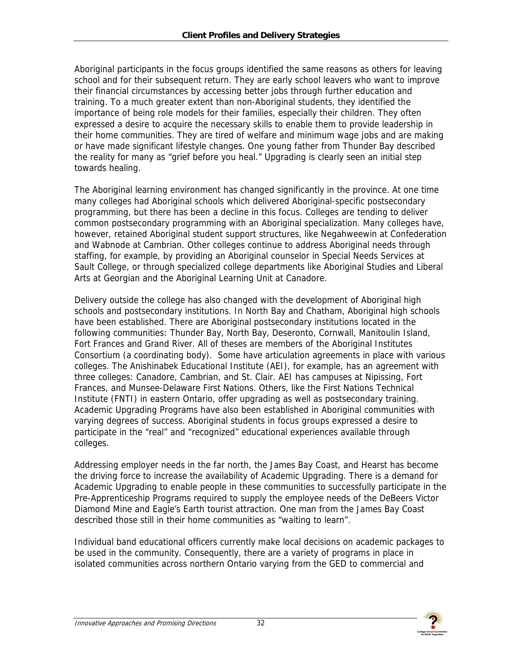Aboriginal participants in the focus groups identified the same reasons as others for leaving school and for their subsequent return. They are early school leavers who want to improve their financial circumstances by accessing better jobs through further education and training. To a much greater extent than non-Aboriginal students, they identified the importance of being role models for their families, especially their children. They often expressed a desire to acquire the necessary skills to enable them to provide leadership in their home communities. They are tired of welfare and minimum wage jobs and are making or have made significant lifestyle changes. One young father from Thunder Bay described the reality for many as "grief before you heal." Upgrading is clearly seen an initial step towards healing.

The Aboriginal learning environment has changed significantly in the province. At one time many colleges had Aboriginal schools which delivered Aboriginal-specific postsecondary programming, but there has been a decline in this focus. Colleges are tending to deliver common postsecondary programming with an Aboriginal specialization. Many colleges have, however, retained Aboriginal student support structures, like Negahweewin at Confederation and Wabnode at Cambrian. Other colleges continue to address Aboriginal needs through staffing, for example, by providing an Aboriginal counselor in Special Needs Services at Sault College, or through specialized college departments like Aboriginal Studies and Liberal Arts at Georgian and the Aboriginal Learning Unit at Canadore.

Delivery outside the college has also changed with the development of Aboriginal high schools and postsecondary institutions. In North Bay and Chatham, Aboriginal high schools have been established. There are Aboriginal postsecondary institutions located in the following communities: Thunder Bay, North Bay, Deseronto, Cornwall, Manitoulin Island, Fort Frances and Grand River. All of theses are members of the Aboriginal Institutes Consortium (a coordinating body). Some have articulation agreements in place with various colleges. The Anishinabek Educational Institute (AEI), for example, has an agreement with three colleges: Canadore, Cambrian, and St. Clair. AEI has campuses at Nipissing, Fort Frances, and Munsee-Delaware First Nations. Others, like the First Nations Technical Institute (FNTI) in eastern Ontario, offer upgrading as well as postsecondary training. Academic Upgrading Programs have also been established in Aboriginal communities with varying degrees of success. Aboriginal students in focus groups expressed a desire to participate in the "real" and "recognized" educational experiences available through colleges.

Addressing employer needs in the far north, the James Bay Coast, and Hearst has become the driving force to increase the availability of Academic Upgrading. There is a demand for Academic Upgrading to enable people in these communities to successfully participate in the Pre-Apprenticeship Programs required to supply the employee needs of the DeBeers Victor Diamond Mine and Eagle's Earth tourist attraction. One man from the James Bay Coast described those still in their home communities as "waiting to learn".

Individual band educational officers currently make local decisions on academic packages to be used in the community. Consequently, there are a variety of programs in place in isolated communities across northern Ontario varying from the GED to commercial and

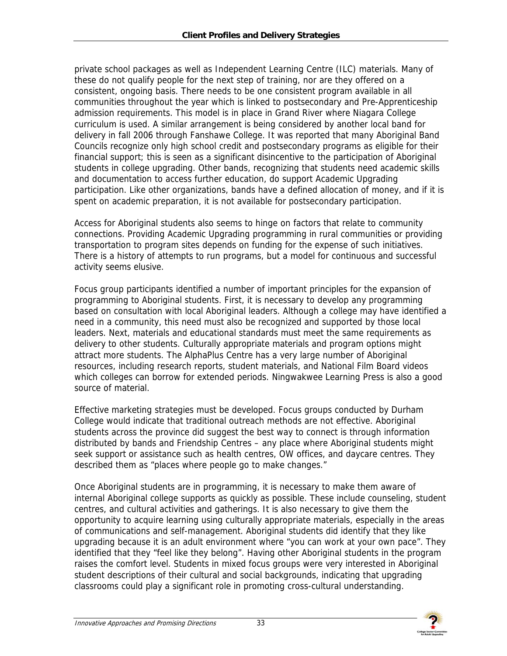private school packages as well as Independent Learning Centre (ILC) materials. Many of these do not qualify people for the next step of training, nor are they offered on a consistent, ongoing basis. There needs to be one consistent program available in all communities throughout the year which is linked to postsecondary and Pre-Apprenticeship admission requirements. This model is in place in Grand River where Niagara College curriculum is used. A similar arrangement is being considered by another local band for delivery in fall 2006 through Fanshawe College. It was reported that many Aboriginal Band Councils recognize only high school credit and postsecondary programs as eligible for their financial support; this is seen as a significant disincentive to the participation of Aboriginal students in college upgrading. Other bands, recognizing that students need academic skills and documentation to access further education, do support Academic Upgrading participation. Like other organizations, bands have a defined allocation of money, and if it is spent on academic preparation, it is not available for postsecondary participation.

Access for Aboriginal students also seems to hinge on factors that relate to community connections. Providing Academic Upgrading programming in rural communities or providing transportation to program sites depends on funding for the expense of such initiatives. There is a history of attempts to run programs, but a model for continuous and successful activity seems elusive.

Focus group participants identified a number of important principles for the expansion of programming to Aboriginal students. First, it is necessary to develop any programming based on consultation with local Aboriginal leaders. Although a college may have identified a need in a community, this need must also be recognized and supported by those local leaders. Next, materials and educational standards must meet the same requirements as delivery to other students. Culturally appropriate materials and program options might attract more students. The AlphaPlus Centre has a very large number of Aboriginal resources, including research reports, student materials, and National Film Board videos which colleges can borrow for extended periods. Ningwakwee Learning Press is also a good source of material.

Effective marketing strategies must be developed. Focus groups conducted by Durham College would indicate that traditional outreach methods are not effective. Aboriginal students across the province did suggest the best way to connect is through information distributed by bands and Friendship Centres – any place where Aboriginal students might seek support or assistance such as health centres, OW offices, and daycare centres. They described them as "places where people go to make changes."

Once Aboriginal students are in programming, it is necessary to make them aware of internal Aboriginal college supports as quickly as possible. These include counseling, student centres, and cultural activities and gatherings. It is also necessary to give them the opportunity to acquire learning using culturally appropriate materials, especially in the areas of communications and self-management. Aboriginal students did identify that they like upgrading because it is an adult environment where "you can work at your own pace". They identified that they "feel like they belong". Having other Aboriginal students in the program raises the comfort level. Students in mixed focus groups were very interested in Aboriginal student descriptions of their cultural and social backgrounds, indicating that upgrading classrooms could play a significant role in promoting cross-cultural understanding.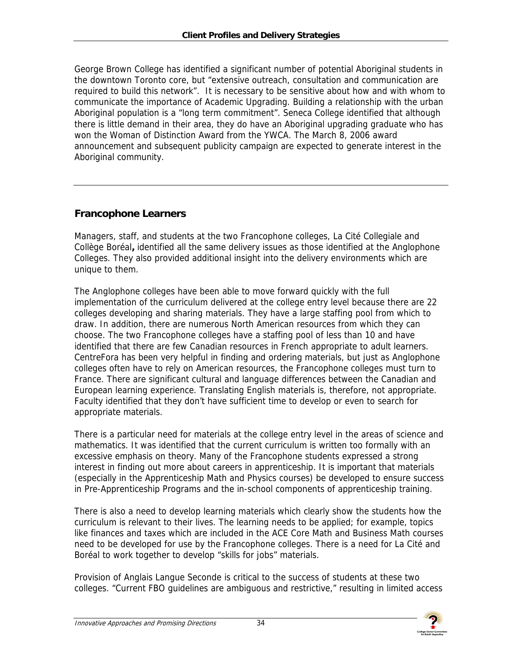George Brown College has identified a significant number of potential Aboriginal students in the downtown Toronto core, but "extensive outreach, consultation and communication are required to build this network". It is necessary to be sensitive about how and with whom to communicate the importance of Academic Upgrading. Building a relationship with the urban Aboriginal population is a "long term commitment". Seneca College identified that although there is little demand in their area, they do have an Aboriginal upgrading graduate who has won the Woman of Distinction Award from the YWCA. The March 8, 2006 award announcement and subsequent publicity campaign are expected to generate interest in the Aboriginal community.

# **Francophone Learners**

Managers, staff, and students at the two Francophone colleges, La Cité Collegiale and Collège Boréal**,** identified all the same delivery issues as those identified at the Anglophone Colleges. They also provided additional insight into the delivery environments which are unique to them.

The Anglophone colleges have been able to move forward quickly with the full implementation of the curriculum delivered at the college entry level because there are 22 colleges developing and sharing materials. They have a large staffing pool from which to draw. In addition, there are numerous North American resources from which they can choose. The two Francophone colleges have a staffing pool of less than 10 and have identified that there are few Canadian resources in French appropriate to adult learners. CentreFora has been very helpful in finding and ordering materials, but just as Anglophone colleges often have to rely on American resources, the Francophone colleges must turn to France. There are significant cultural and language differences between the Canadian and European learning experience. Translating English materials is, therefore, not appropriate. Faculty identified that they don't have sufficient time to develop or even to search for appropriate materials.

There is a particular need for materials at the college entry level in the areas of science and mathematics. It was identified that the current curriculum is written too formally with an excessive emphasis on theory. Many of the Francophone students expressed a strong interest in finding out more about careers in apprenticeship. It is important that materials (especially in the Apprenticeship Math and Physics courses) be developed to ensure success in Pre-Apprenticeship Programs and the in-school components of apprenticeship training.

There is also a need to develop learning materials which clearly show the students how the curriculum is relevant to their lives. The learning needs to be applied; for example, topics like finances and taxes which are included in the ACE Core Math and Business Math courses need to be developed for use by the Francophone colleges. There is a need for La Cité and Boréal to work together to develop "skills for jobs" materials.

Provision of Anglais Langue Seconde is critical to the success of students at these two colleges. "Current FBO guidelines are ambiguous and restrictive," resulting in limited access

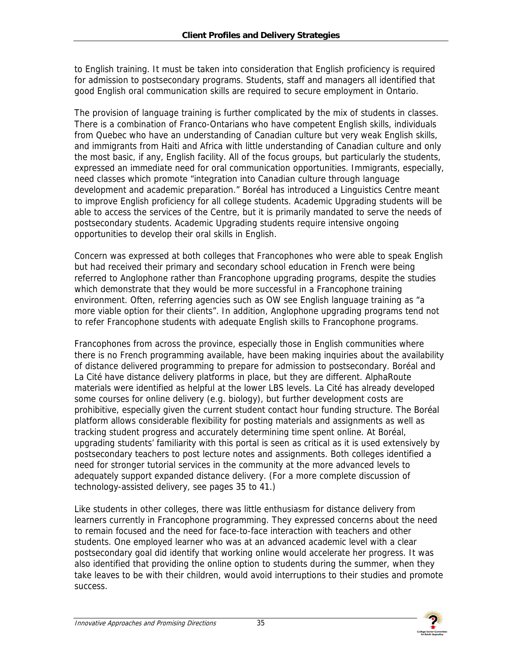to English training. It must be taken into consideration that English proficiency is required for admission to postsecondary programs. Students, staff and managers all identified that good English oral communication skills are required to secure employment in Ontario.

The provision of language training is further complicated by the mix of students in classes. There is a combination of Franco-Ontarians who have competent English skills, individuals from Quebec who have an understanding of Canadian culture but very weak English skills, and immigrants from Haiti and Africa with little understanding of Canadian culture and only the most basic, if any, English facility. All of the focus groups, but particularly the students, expressed an immediate need for oral communication opportunities. Immigrants, especially, need classes which promote "integration into Canadian culture through language development and academic preparation." Boréal has introduced a Linguistics Centre meant to improve English proficiency for all college students. Academic Upgrading students will be able to access the services of the Centre, but it is primarily mandated to serve the needs of postsecondary students. Academic Upgrading students require intensive ongoing opportunities to develop their oral skills in English.

Concern was expressed at both colleges that Francophones who were able to speak English but had received their primary and secondary school education in French were being referred to Anglophone rather than Francophone upgrading programs, despite the studies which demonstrate that they would be more successful in a Francophone training environment. Often, referring agencies such as OW see English language training as "a more viable option for their clients". In addition, Anglophone upgrading programs tend not to refer Francophone students with adequate English skills to Francophone programs.

Francophones from across the province, especially those in English communities where there is no French programming available, have been making inquiries about the availability of distance delivered programming to prepare for admission to postsecondary. Boréal and La Cité have distance delivery platforms in place, but they are different. AlphaRoute materials were identified as helpful at the lower LBS levels. La Cité has already developed some courses for online delivery (e.g. biology), but further development costs are prohibitive, especially given the current student contact hour funding structure. The Boréal platform allows considerable flexibility for posting materials and assignments as well as tracking student progress and accurately determining time spent online. At Boréal, upgrading students' familiarity with this portal is seen as critical as it is used extensively by postsecondary teachers to post lecture notes and assignments. Both colleges identified a need for stronger tutorial services in the community at the more advanced levels to adequately support expanded distance delivery. (For a more complete discussion of technology-assisted delivery, see pages 35 to 41.)

Like students in other colleges, there was little enthusiasm for distance delivery from learners currently in Francophone programming. They expressed concerns about the need to remain focused and the need for face-to-face interaction with teachers and other students. One employed learner who was at an advanced academic level with a clear postsecondary goal did identify that working online would accelerate her progress. It was also identified that providing the online option to students during the summer, when they take leaves to be with their children, would avoid interruptions to their studies and promote success.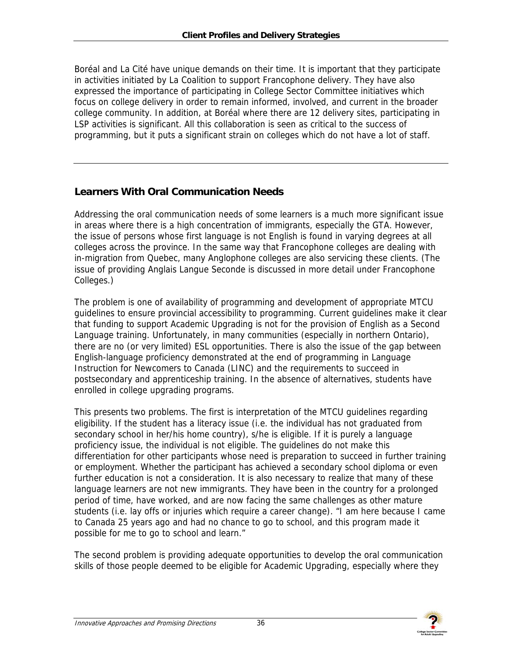Boréal and La Cité have unique demands on their time. It is important that they participate in activities initiated by La Coalition to support Francophone delivery. They have also expressed the importance of participating in College Sector Committee initiatives which focus on college delivery in order to remain informed, involved, and current in the broader college community. In addition, at Boréal where there are 12 delivery sites, participating in LSP activities is significant. All this collaboration is seen as critical to the success of programming, but it puts a significant strain on colleges which do not have a lot of staff.

# **Learners With Oral Communication Needs**

Addressing the oral communication needs of some learners is a much more significant issue in areas where there is a high concentration of immigrants, especially the GTA. However, the issue of persons whose first language is not English is found in varying degrees at all colleges across the province. In the same way that Francophone colleges are dealing with in-migration from Quebec, many Anglophone colleges are also servicing these clients. (The issue of providing Anglais Langue Seconde is discussed in more detail under Francophone Colleges.)

The problem is one of availability of programming and development of appropriate MTCU guidelines to ensure provincial accessibility to programming. Current guidelines make it clear that funding to support Academic Upgrading is not for the provision of English as a Second Language training. Unfortunately, in many communities (especially in northern Ontario), there are no (or very limited) ESL opportunities. There is also the issue of the gap between English-language proficiency demonstrated at the end of programming in Language Instruction for Newcomers to Canada (LINC) and the requirements to succeed in postsecondary and apprenticeship training. In the absence of alternatives, students have enrolled in college upgrading programs.

This presents two problems. The first is interpretation of the MTCU guidelines regarding eligibility. If the student has a literacy issue (i.e. the individual has not graduated from secondary school in her/his home country), s/he is eligible. If it is purely a language proficiency issue, the individual is not eligible. The guidelines do not make this differentiation for other participants whose need is preparation to succeed in further training or employment. Whether the participant has achieved a secondary school diploma or even further education is not a consideration. It is also necessary to realize that many of these language learners are not new immigrants. They have been in the country for a prolonged period of time, have worked, and are now facing the same challenges as other mature students (i.e. lay offs or injuries which require a career change). "I am here because I came to Canada 25 years ago and had no chance to go to school, and this program made it possible for me to go to school and learn."

The second problem is providing adequate opportunities to develop the oral communication skills of those people deemed to be eligible for Academic Upgrading, especially where they

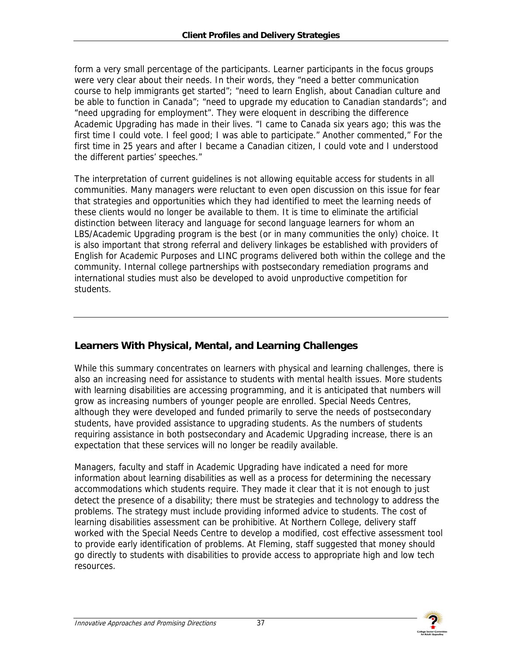form a very small percentage of the participants. Learner participants in the focus groups were very clear about their needs. In their words, they "need a better communication course to help immigrants get started"; "need to learn English, about Canadian culture and be able to function in Canada"; "need to upgrade my education to Canadian standards"; and "need upgrading for employment". They were eloquent in describing the difference Academic Upgrading has made in their lives. "I came to Canada six years ago; this was the first time I could vote. I feel good; I was able to participate." Another commented," For the first time in 25 years and after I became a Canadian citizen, I could vote and I understood the different parties' speeches."

The interpretation of current guidelines is not allowing equitable access for students in all communities. Many managers were reluctant to even open discussion on this issue for fear that strategies and opportunities which they had identified to meet the learning needs of these clients would no longer be available to them. It is time to eliminate the artificial distinction between literacy and language for second language learners for whom an LBS/Academic Upgrading program is the best (or in many communities the only) choice. It is also important that strong referral and delivery linkages be established with providers of English for Academic Purposes and LINC programs delivered both within the college and the community. Internal college partnerships with postsecondary remediation programs and international studies must also be developed to avoid unproductive competition for students.

# **Learners With Physical, Mental, and Learning Challenges**

While this summary concentrates on learners with physical and learning challenges, there is also an increasing need for assistance to students with mental health issues. More students with learning disabilities are accessing programming, and it is anticipated that numbers will grow as increasing numbers of younger people are enrolled. Special Needs Centres, although they were developed and funded primarily to serve the needs of postsecondary students, have provided assistance to upgrading students. As the numbers of students requiring assistance in both postsecondary and Academic Upgrading increase, there is an expectation that these services will no longer be readily available.

Managers, faculty and staff in Academic Upgrading have indicated a need for more information about learning disabilities as well as a process for determining the necessary accommodations which students require. They made it clear that it is not enough to just detect the presence of a disability; there must be strategies and technology to address the problems. The strategy must include providing informed advice to students. The cost of learning disabilities assessment can be prohibitive. At Northern College, delivery staff worked with the Special Needs Centre to develop a modified, cost effective assessment tool to provide early identification of problems. At Fleming, staff suggested that money should go directly to students with disabilities to provide access to appropriate high and low tech resources.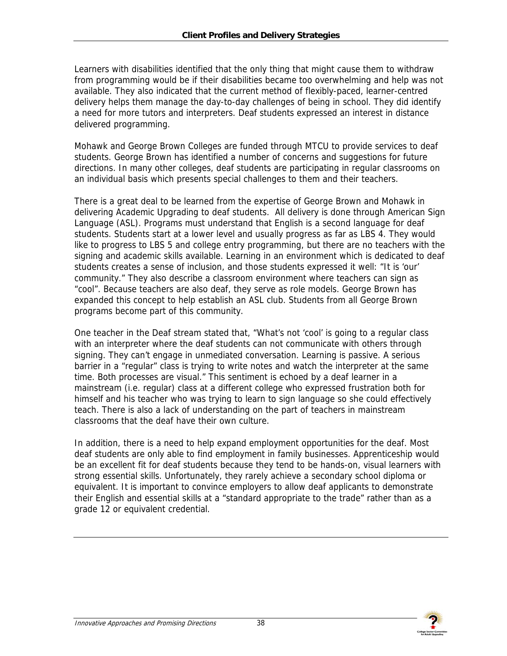Learners with disabilities identified that the only thing that might cause them to withdraw from programming would be if their disabilities became too overwhelming and help was not available. They also indicated that the current method of flexibly-paced, learner-centred delivery helps them manage the day-to-day challenges of being in school. They did identify a need for more tutors and interpreters. Deaf students expressed an interest in distance delivered programming.

Mohawk and George Brown Colleges are funded through MTCU to provide services to deaf students. George Brown has identified a number of concerns and suggestions for future directions. In many other colleges, deaf students are participating in regular classrooms on an individual basis which presents special challenges to them and their teachers.

There is a great deal to be learned from the expertise of George Brown and Mohawk in delivering Academic Upgrading to deaf students. All delivery is done through American Sign Language (ASL). Programs must understand that English is a second language for deaf students. Students start at a lower level and usually progress as far as LBS 4. They would like to progress to LBS 5 and college entry programming, but there are no teachers with the signing and academic skills available. Learning in an environment which is dedicated to deaf students creates a sense of inclusion, and those students expressed it well: "It is 'our' community." They also describe a classroom environment where teachers can sign as "cool". Because teachers are also deaf, they serve as role models. George Brown has expanded this concept to help establish an ASL club. Students from all George Brown programs become part of this community.

One teacher in the Deaf stream stated that, "What's not 'cool' is going to a regular class with an interpreter where the deaf students can not communicate with others through signing. They can't engage in unmediated conversation. Learning is passive. A serious barrier in a "regular" class is trying to write notes and watch the interpreter at the same time. Both processes are visual." This sentiment is echoed by a deaf learner in a mainstream (i.e. regular) class at a different college who expressed frustration both for himself and his teacher who was trying to learn to sign language so she could effectively teach. There is also a lack of understanding on the part of teachers in mainstream classrooms that the deaf have their own culture.

In addition, there is a need to help expand employment opportunities for the deaf. Most deaf students are only able to find employment in family businesses. Apprenticeship would be an excellent fit for deaf students because they tend to be hands-on, visual learners with strong essential skills. Unfortunately, they rarely achieve a secondary school diploma or equivalent. It is important to convince employers to allow deaf applicants to demonstrate their English and essential skills at a "standard appropriate to the trade" rather than as a grade 12 or equivalent credential.

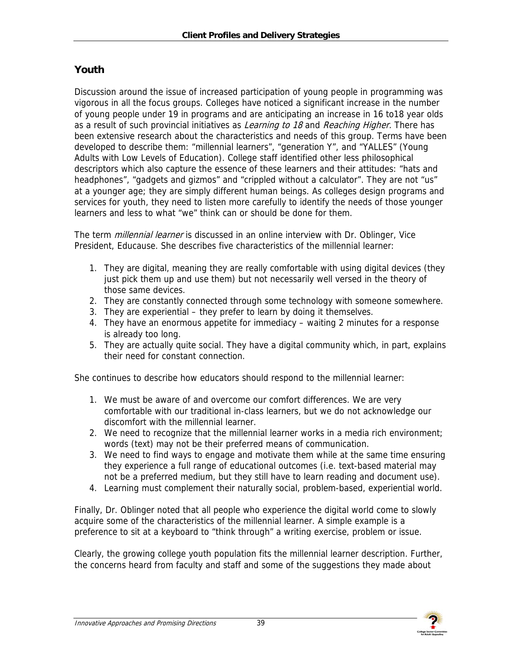# **Youth**

Discussion around the issue of increased participation of young people in programming was vigorous in all the focus groups. Colleges have noticed a significant increase in the number of young people under 19 in programs and are anticipating an increase in 16 to18 year olds as a result of such provincial initiatives as Learning to 18 and Reaching Higher. There has been extensive research about the characteristics and needs of this group. Terms have been developed to describe them: "millennial learners", "generation Y", and "YALLES" (Young Adults with Low Levels of Education). College staff identified other less philosophical descriptors which also capture the essence of these learners and their attitudes: "hats and headphones", "gadgets and gizmos" and "crippled without a calculator". They are not "us" at a younger age; they are simply different human beings. As colleges design programs and services for youth, they need to listen more carefully to identify the needs of those younger learners and less to what "we" think can or should be done for them.

The term *millennial learner* is discussed in an online interview with Dr. Oblinger, Vice President, Educause. She describes five characteristics of the millennial learner:

- 1. They are digital, meaning they are really comfortable with using digital devices (they just pick them up and use them) but not necessarily well versed in the theory of those same devices.
- 2. They are constantly connected through some technology with someone somewhere.
- 3. They are experiential they prefer to learn by doing it themselves.
- 4. They have an enormous appetite for immediacy waiting 2 minutes for a response is already too long.
- 5. They are actually quite social. They have a digital community which, in part, explains their need for constant connection.

She continues to describe how educators should respond to the millennial learner:

- 1. We must be aware of and overcome our comfort differences. We are very comfortable with our traditional in-class learners, but we do not acknowledge our discomfort with the millennial learner.
- 2. We need to recognize that the millennial learner works in a media rich environment; words (text) may not be their preferred means of communication.
- 3. We need to find ways to engage and motivate them while at the same time ensuring they experience a full range of educational outcomes (i.e. text-based material may not be a preferred medium, but they still have to learn reading and document use).
- 4. Learning must complement their naturally social, problem-based, experiential world.

Finally, Dr. Oblinger noted that all people who experience the digital world come to slowly acquire some of the characteristics of the millennial learner. A simple example is a preference to sit at a keyboard to "think through" a writing exercise, problem or issue.

Clearly, the growing college youth population fits the millennial learner description. Further, the concerns heard from faculty and staff and some of the suggestions they made about

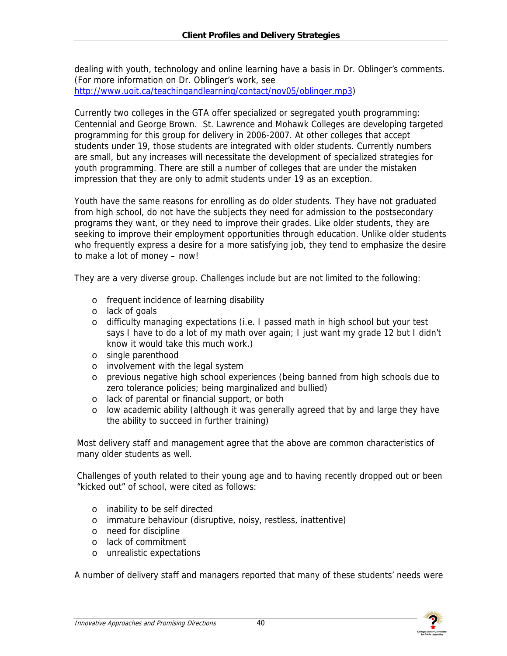dealing with youth, technology and online learning have a basis in Dr. Oblinger's comments. (For more information on Dr. Oblinger's work, see http://www.uoit.ca/teachingandlearning/contact/nov05/oblinger.mp3)

Currently two colleges in the GTA offer specialized or segregated youth programming: Centennial and George Brown. St. Lawrence and Mohawk Colleges are developing targeted programming for this group for delivery in 2006-2007. At other colleges that accept students under 19, those students are integrated with older students. Currently numbers are small, but any increases will necessitate the development of specialized strategies for youth programming. There are still a number of colleges that are under the mistaken impression that they are only to admit students under 19 as an exception.

Youth have the same reasons for enrolling as do older students. They have not graduated from high school, do not have the subjects they need for admission to the postsecondary programs they want, or they need to improve their grades. Like older students, they are seeking to improve their employment opportunities through education. Unlike older students who frequently express a desire for a more satisfying job, they tend to emphasize the desire to make a lot of money – now!

They are a very diverse group. Challenges include but are not limited to the following:

- o frequent incidence of learning disability
- o lack of goals
- o difficulty managing expectations (i.e. I passed math in high school but your test says I have to do a lot of my math over again; I just want my grade 12 but I didn't know it would take this much work.)
- o single parenthood
- o involvement with the legal system
- o previous negative high school experiences (being banned from high schools due to zero tolerance policies; being marginalized and bullied)
- o lack of parental or financial support, or both
- o low academic ability (although it was generally agreed that by and large they have the ability to succeed in further training)

Most delivery staff and management agree that the above are common characteristics of many older students as well.

Challenges of youth related to their young age and to having recently dropped out or been "kicked out" of school, were cited as follows:

- o inability to be self directed
- o immature behaviour (disruptive, noisy, restless, inattentive)
- o need for discipline
- o lack of commitment
- o unrealistic expectations

A number of delivery staff and managers reported that many of these students' needs were

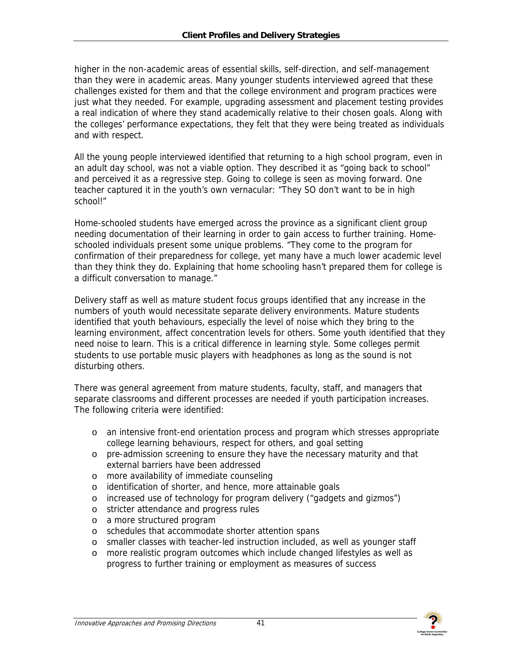higher in the non-academic areas of essential skills, self-direction, and self-management than they were in academic areas. Many younger students interviewed agreed that these challenges existed for them and that the college environment and program practices were just what they needed. For example, upgrading assessment and placement testing provides a real indication of where they stand academically relative to their chosen goals. Along with the colleges' performance expectations, they felt that they were being treated as individuals and with respect.

All the young people interviewed identified that returning to a high school program, even in an adult day school, was not a viable option. They described it as "going back to school" and perceived it as a regressive step. Going to college is seen as moving forward. One teacher captured it in the youth's own vernacular: "They SO don't want to be in high school!"

Home-schooled students have emerged across the province as a significant client group needing documentation of their learning in order to gain access to further training. Homeschooled individuals present some unique problems. "They come to the program for confirmation of their preparedness for college, yet many have a much lower academic level than they think they do. Explaining that home schooling hasn't prepared them for college is a difficult conversation to manage."

Delivery staff as well as mature student focus groups identified that any increase in the numbers of youth would necessitate separate delivery environments. Mature students identified that youth behaviours, especially the level of noise which they bring to the learning environment, affect concentration levels for others. Some youth identified that they need noise to learn. This is a critical difference in learning style. Some colleges permit students to use portable music players with headphones as long as the sound is not disturbing others.

There was general agreement from mature students, faculty, staff, and managers that separate classrooms and different processes are needed if youth participation increases. The following criteria were identified:

- o an intensive front-end orientation process and program which stresses appropriate college learning behaviours, respect for others, and goal setting
- o pre-admission screening to ensure they have the necessary maturity and that external barriers have been addressed
- o more availability of immediate counseling
- o identification of shorter, and hence, more attainable goals
- o increased use of technology for program delivery ("gadgets and gizmos")
- o stricter attendance and progress rules
- o a more structured program
- o schedules that accommodate shorter attention spans
- o smaller classes with teacher-led instruction included, as well as younger staff
- o more realistic program outcomes which include changed lifestyles as well as progress to further training or employment as measures of success

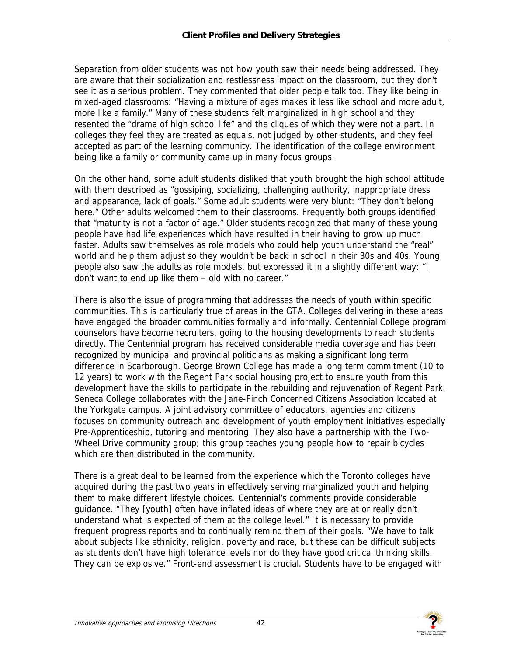Separation from older students was not how youth saw their needs being addressed. They are aware that their socialization and restlessness impact on the classroom, but they don't see it as a serious problem. They commented that older people talk too. They like being in mixed-aged classrooms: "Having a mixture of ages makes it less like school and more adult, more like a family." Many of these students felt marginalized in high school and they resented the "drama of high school life" and the cliques of which they were not a part. In colleges they feel they are treated as equals, not judged by other students, and they feel accepted as part of the learning community. The identification of the college environment being like a family or community came up in many focus groups.

On the other hand, some adult students disliked that youth brought the high school attitude with them described as "gossiping, socializing, challenging authority, inappropriate dress and appearance, lack of goals." Some adult students were very blunt: "They don't belong here." Other adults welcomed them to their classrooms. Frequently both groups identified that "maturity is not a factor of age." Older students recognized that many of these young people have had life experiences which have resulted in their having to grow up much faster. Adults saw themselves as role models who could help youth understand the "real" world and help them adjust so they wouldn't be back in school in their 30s and 40s. Young people also saw the adults as role models, but expressed it in a slightly different way: "I don't want to end up like them – old with no career."

There is also the issue of programming that addresses the needs of youth within specific communities. This is particularly true of areas in the GTA. Colleges delivering in these areas have engaged the broader communities formally and informally. Centennial College program counselors have become recruiters, going to the housing developments to reach students directly. The Centennial program has received considerable media coverage and has been recognized by municipal and provincial politicians as making a significant long term difference in Scarborough. George Brown College has made a long term commitment (10 to 12 years) to work with the Regent Park social housing project to ensure youth from this development have the skills to participate in the rebuilding and rejuvenation of Regent Park. Seneca College collaborates with the Jane-Finch Concerned Citizens Association located at the Yorkgate campus. A joint advisory committee of educators, agencies and citizens focuses on community outreach and development of youth employment initiatives especially Pre-Apprenticeship, tutoring and mentoring. They also have a partnership with the Two-Wheel Drive community group; this group teaches young people how to repair bicycles which are then distributed in the community.

There is a great deal to be learned from the experience which the Toronto colleges have acquired during the past two years in effectively serving marginalized youth and helping them to make different lifestyle choices. Centennial's comments provide considerable guidance. "They [youth] often have inflated ideas of where they are at or really don't understand what is expected of them at the college level." It is necessary to provide frequent progress reports and to continually remind them of their goals. "We have to talk about subjects like ethnicity, religion, poverty and race, but these can be difficult subjects as students don't have high tolerance levels nor do they have good critical thinking skills. They can be explosive." Front-end assessment is crucial. Students have to be engaged with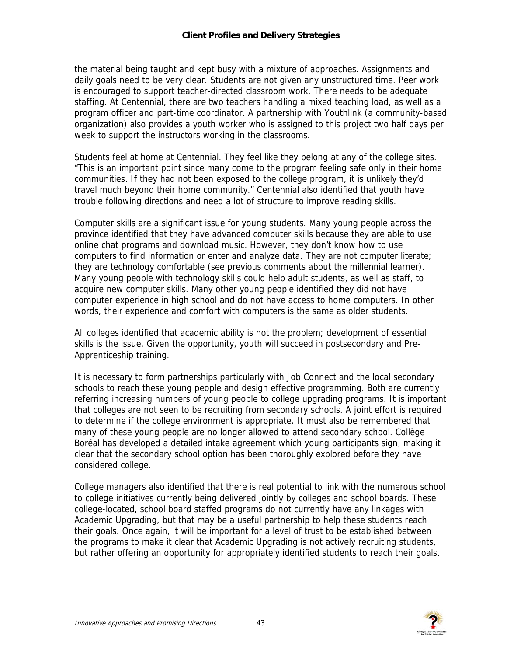the material being taught and kept busy with a mixture of approaches. Assignments and daily goals need to be very clear. Students are not given any unstructured time. Peer work is encouraged to support teacher-directed classroom work. There needs to be adequate staffing. At Centennial, there are two teachers handling a mixed teaching load, as well as a program officer and part-time coordinator. A partnership with Youthlink (a community-based organization) also provides a youth worker who is assigned to this project two half days per week to support the instructors working in the classrooms.

Students feel at home at Centennial. They feel like they belong at any of the college sites. "This is an important point since many come to the program feeling safe only in their home communities. If they had not been exposed to the college program, it is unlikely they'd travel much beyond their home community." Centennial also identified that youth have trouble following directions and need a lot of structure to improve reading skills.

Computer skills are a significant issue for young students. Many young people across the province identified that they have advanced computer skills because they are able to use online chat programs and download music. However, they don't know how to use computers to find information or enter and analyze data. They are not computer literate; they are technology comfortable (see previous comments about the millennial learner). Many young people with technology skills could help adult students, as well as staff, to acquire new computer skills. Many other young people identified they did not have computer experience in high school and do not have access to home computers. In other words, their experience and comfort with computers is the same as older students.

All colleges identified that academic ability is not the problem; development of essential skills is the issue. Given the opportunity, youth will succeed in postsecondary and Pre-Apprenticeship training.

It is necessary to form partnerships particularly with Job Connect and the local secondary schools to reach these young people and design effective programming. Both are currently referring increasing numbers of young people to college upgrading programs. It is important that colleges are not seen to be recruiting from secondary schools. A joint effort is required to determine if the college environment is appropriate. It must also be remembered that many of these young people are no longer allowed to attend secondary school. Collège Boréal has developed a detailed intake agreement which young participants sign, making it clear that the secondary school option has been thoroughly explored before they have considered college.

College managers also identified that there is real potential to link with the numerous school to college initiatives currently being delivered jointly by colleges and school boards. These college-located, school board staffed programs do not currently have any linkages with Academic Upgrading, but that may be a useful partnership to help these students reach their goals. Once again, it will be important for a level of trust to be established between the programs to make it clear that Academic Upgrading is not actively recruiting students, but rather offering an opportunity for appropriately identified students to reach their goals.

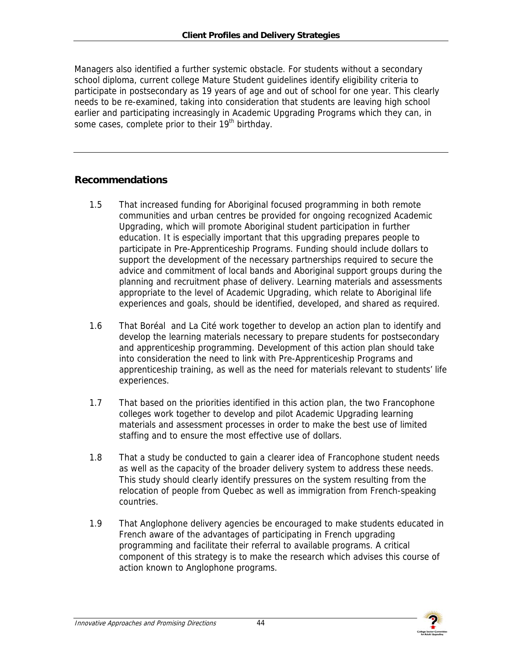Managers also identified a further systemic obstacle. For students without a secondary school diploma, current college Mature Student guidelines identify eligibility criteria to participate in postsecondary as 19 years of age and out of school for one year. This clearly needs to be re-examined, taking into consideration that students are leaving high school earlier and participating increasingly in Academic Upgrading Programs which they can, in some cases, complete prior to their 19<sup>th</sup> birthday.

# **Recommendations**

- 1.5 That increased funding for Aboriginal focused programming in both remote communities and urban centres be provided for ongoing recognized Academic Upgrading, which will promote Aboriginal student participation in further education. It is especially important that this upgrading prepares people to participate in Pre-Apprenticeship Programs. Funding should include dollars to support the development of the necessary partnerships required to secure the advice and commitment of local bands and Aboriginal support groups during the planning and recruitment phase of delivery. Learning materials and assessments appropriate to the level of Academic Upgrading, which relate to Aboriginal life experiences and goals, should be identified, developed, and shared as required.
- 1.6 That Boréal and La Cité work together to develop an action plan to identify and develop the learning materials necessary to prepare students for postsecondary and apprenticeship programming. Development of this action plan should take into consideration the need to link with Pre-Apprenticeship Programs and apprenticeship training, as well as the need for materials relevant to students' life experiences.
- 1.7 That based on the priorities identified in this action plan, the two Francophone colleges work together to develop and pilot Academic Upgrading learning materials and assessment processes in order to make the best use of limited staffing and to ensure the most effective use of dollars.
- 1.8 That a study be conducted to gain a clearer idea of Francophone student needs as well as the capacity of the broader delivery system to address these needs. This study should clearly identify pressures on the system resulting from the relocation of people from Quebec as well as immigration from French-speaking countries.
- 1.9 That Anglophone delivery agencies be encouraged to make students educated in French aware of the advantages of participating in French upgrading programming and facilitate their referral to available programs. A critical component of this strategy is to make the research which advises this course of action known to Anglophone programs.

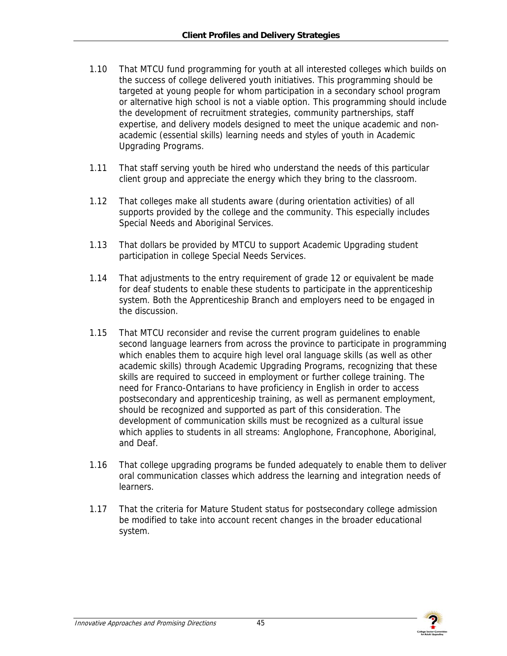- 1.10 That MTCU fund programming for youth at all interested colleges which builds on the success of college delivered youth initiatives. This programming should be targeted at young people for whom participation in a secondary school program or alternative high school is not a viable option. This programming should include the development of recruitment strategies, community partnerships, staff expertise, and delivery models designed to meet the unique academic and nonacademic (essential skills) learning needs and styles of youth in Academic Upgrading Programs.
- 1.11 That staff serving youth be hired who understand the needs of this particular client group and appreciate the energy which they bring to the classroom.
- 1.12 That colleges make all students aware (during orientation activities) of all supports provided by the college and the community. This especially includes Special Needs and Aboriginal Services.
- 1.13 That dollars be provided by MTCU to support Academic Upgrading student participation in college Special Needs Services.
- 1.14 That adjustments to the entry requirement of grade 12 or equivalent be made for deaf students to enable these students to participate in the apprenticeship system. Both the Apprenticeship Branch and employers need to be engaged in the discussion.
- 1.15 That MTCU reconsider and revise the current program guidelines to enable second language learners from across the province to participate in programming which enables them to acquire high level oral language skills (as well as other academic skills) through Academic Upgrading Programs, recognizing that these skills are required to succeed in employment or further college training. The need for Franco-Ontarians to have proficiency in English in order to access postsecondary and apprenticeship training, as well as permanent employment, should be recognized and supported as part of this consideration. The development of communication skills must be recognized as a cultural issue which applies to students in all streams: Anglophone, Francophone, Aboriginal, and Deaf.
- 1.16 That college upgrading programs be funded adequately to enable them to deliver oral communication classes which address the learning and integration needs of learners.
- 1.17 That the criteria for Mature Student status for postsecondary college admission be modified to take into account recent changes in the broader educational system.

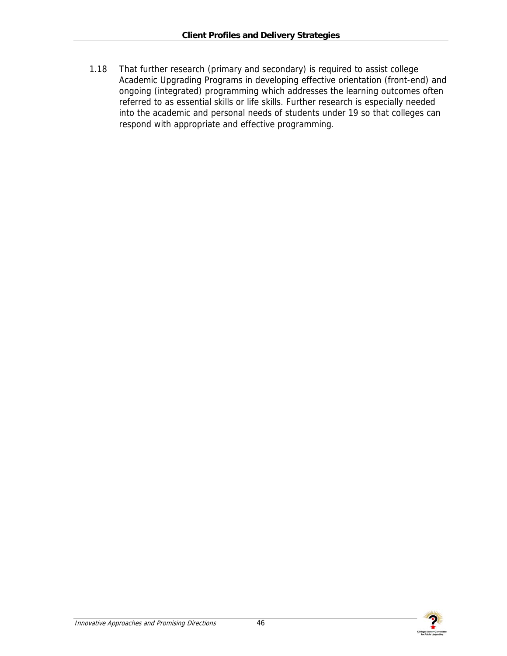1.18 That further research (primary and secondary) is required to assist college Academic Upgrading Programs in developing effective orientation (front-end) and ongoing (integrated) programming which addresses the learning outcomes often referred to as essential skills or life skills. Further research is especially needed into the academic and personal needs of students under 19 so that colleges can respond with appropriate and effective programming.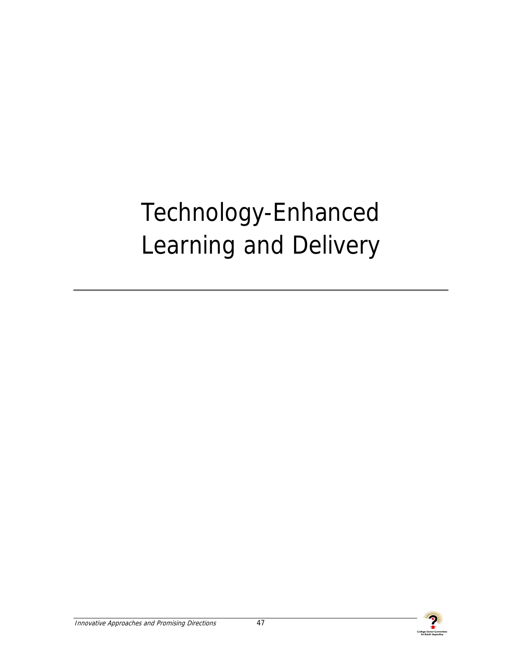# Technology-Enhanced Learning and Delivery

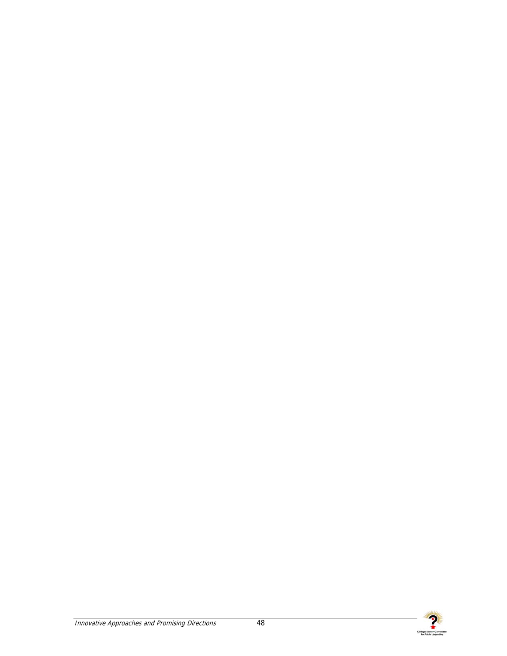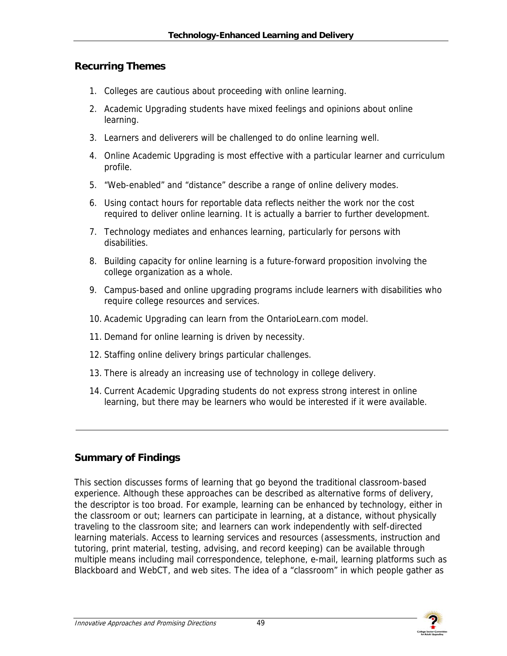#### **Recurring Themes**

- 1. Colleges are cautious about proceeding with online learning.
- 2. Academic Upgrading students have mixed feelings and opinions about online learning.
- 3. Learners and deliverers will be challenged to do online learning well.
- 4. Online Academic Upgrading is most effective with a particular learner and curriculum profile.
- 5. "Web-enabled" and "distance" describe a range of online delivery modes.
- 6. Using contact hours for reportable data reflects neither the work nor the cost required to deliver online learning. It is actually a barrier to further development.
- 7. Technology mediates and enhances learning, particularly for persons with disabilities.
- 8. Building capacity for online learning is a future-forward proposition involving the college organization as a whole.
- 9. Campus-based and online upgrading programs include learners with disabilities who require college resources and services.
- 10. Academic Upgrading can learn from the OntarioLearn.com model.
- 11. Demand for online learning is driven by necessity.
- 12. Staffing online delivery brings particular challenges.
- 13. There is already an increasing use of technology in college delivery.
- 14. Current Academic Upgrading students do not express strong interest in online learning, but there may be learners who would be interested if it were available.

# **Summary of Findings**

This section discusses forms of learning that go beyond the traditional classroom-based experience. Although these approaches can be described as alternative forms of delivery, the descriptor is too broad. For example, learning can be enhanced by technology, either in the classroom or out; learners can participate in learning, at a distance, without physically traveling to the classroom site; and learners can work independently with self-directed learning materials. Access to learning services and resources (assessments, instruction and tutoring, print material, testing, advising, and record keeping) can be available through multiple means including mail correspondence, telephone, e-mail, learning platforms such as Blackboard and WebCT, and web sites. The idea of a "classroom" in which people gather as

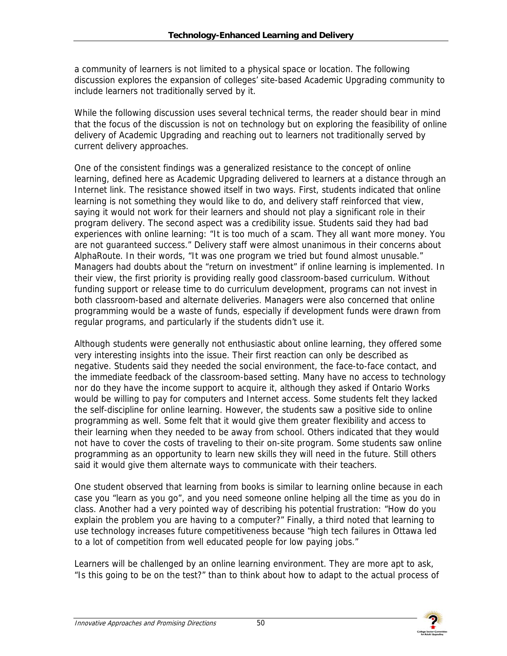a community of learners is not limited to a physical space or location. The following discussion explores the expansion of colleges' site-based Academic Upgrading community to include learners not traditionally served by it.

While the following discussion uses several technical terms, the reader should bear in mind that the focus of the discussion is not on technology but on exploring the feasibility of online delivery of Academic Upgrading and reaching out to learners not traditionally served by current delivery approaches.

One of the consistent findings was a generalized resistance to the concept of online learning, defined here as Academic Upgrading delivered to learners at a distance through an Internet link. The resistance showed itself in two ways. First, students indicated that online learning is not something they would like to do, and delivery staff reinforced that view, saying it would not work for their learners and should not play a significant role in their program delivery. The second aspect was a credibility issue. Students said they had bad experiences with online learning: "It is too much of a scam. They all want more money. You are not guaranteed success." Delivery staff were almost unanimous in their concerns about AlphaRoute. In their words, "It was one program we tried but found almost unusable." Managers had doubts about the "return on investment" if online learning is implemented. In their view, the first priority is providing really good classroom-based curriculum. Without funding support or release time to do curriculum development, programs can not invest in both classroom-based and alternate deliveries. Managers were also concerned that online programming would be a waste of funds, especially if development funds were drawn from regular programs, and particularly if the students didn't use it.

Although students were generally not enthusiastic about online learning, they offered some very interesting insights into the issue. Their first reaction can only be described as negative. Students said they needed the social environment, the face-to-face contact, and the immediate feedback of the classroom-based setting. Many have no access to technology nor do they have the income support to acquire it, although they asked if Ontario Works would be willing to pay for computers and Internet access. Some students felt they lacked the self-discipline for online learning. However, the students saw a positive side to online programming as well. Some felt that it would give them greater flexibility and access to their learning when they needed to be away from school. Others indicated that they would not have to cover the costs of traveling to their on-site program. Some students saw online programming as an opportunity to learn new skills they will need in the future. Still others said it would give them alternate ways to communicate with their teachers.

One student observed that learning from books is similar to learning online because in each case you "learn as you go", and you need someone online helping all the time as you do in class. Another had a very pointed way of describing his potential frustration: "How do you explain the problem you are having to a computer?" Finally, a third noted that learning to use technology increases future competitiveness because "high tech failures in Ottawa led to a lot of competition from well educated people for low paying jobs."

Learners will be challenged by an online learning environment. They are more apt to ask, "Is this going to be on the test?" than to think about how to adapt to the actual process of

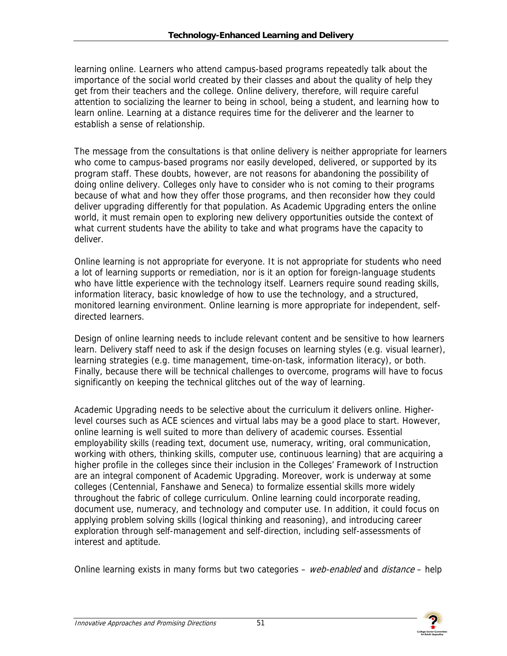learning online. Learners who attend campus-based programs repeatedly talk about the importance of the social world created by their classes and about the quality of help they get from their teachers and the college. Online delivery, therefore, will require careful attention to socializing the learner to being in school, being a student, and learning how to learn online. Learning at a distance requires time for the deliverer and the learner to establish a sense of relationship.

The message from the consultations is that online delivery is neither appropriate for learners who come to campus-based programs nor easily developed, delivered, or supported by its program staff. These doubts, however, are not reasons for abandoning the possibility of doing online delivery. Colleges only have to consider who is not coming to their programs because of what and how they offer those programs, and then reconsider how they could deliver upgrading differently for that population. As Academic Upgrading enters the online world, it must remain open to exploring new delivery opportunities outside the context of what current students have the ability to take and what programs have the capacity to deliver.

Online learning is not appropriate for everyone. It is not appropriate for students who need a lot of learning supports or remediation, nor is it an option for foreign-language students who have little experience with the technology itself. Learners require sound reading skills, information literacy, basic knowledge of how to use the technology, and a structured, monitored learning environment. Online learning is more appropriate for independent, selfdirected learners.

Design of online learning needs to include relevant content and be sensitive to how learners learn. Delivery staff need to ask if the design focuses on learning styles (e.g. visual learner), learning strategies (e.g. time management, time-on-task, information literacy), or both. Finally, because there will be technical challenges to overcome, programs will have to focus significantly on keeping the technical glitches out of the way of learning.

Academic Upgrading needs to be selective about the curriculum it delivers online. Higherlevel courses such as ACE sciences and virtual labs may be a good place to start. However, online learning is well suited to more than delivery of academic courses. Essential employability skills (reading text, document use, numeracy, writing, oral communication, working with others, thinking skills, computer use, continuous learning) that are acquiring a higher profile in the colleges since their inclusion in the Colleges' Framework of Instruction are an integral component of Academic Upgrading. Moreover, work is underway at some colleges (Centennial, Fanshawe and Seneca) to formalize essential skills more widely throughout the fabric of college curriculum. Online learning could incorporate reading, document use, numeracy, and technology and computer use. In addition, it could focus on applying problem solving skills (logical thinking and reasoning), and introducing career exploration through self-management and self-direction, including self-assessments of interest and aptitude.

Online learning exists in many forms but two categories – web-enabled and distance – help

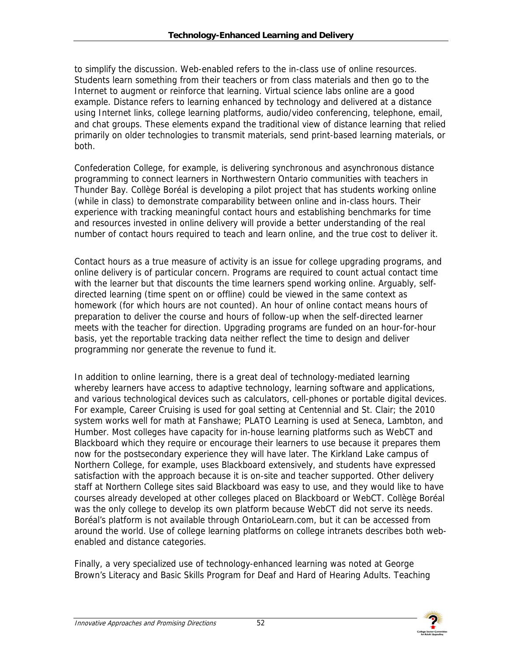to simplify the discussion. Web-enabled refers to the in-class use of online resources. Students learn something from their teachers or from class materials and then go to the Internet to augment or reinforce that learning. Virtual science labs online are a good example. Distance refers to learning enhanced by technology and delivered at a distance using Internet links, college learning platforms, audio/video conferencing, telephone, email, and chat groups. These elements expand the traditional view of distance learning that relied primarily on older technologies to transmit materials, send print-based learning materials, or both.

Confederation College, for example, is delivering synchronous and asynchronous distance programming to connect learners in Northwestern Ontario communities with teachers in Thunder Bay. Collège Boréal is developing a pilot project that has students working online (while in class) to demonstrate comparability between online and in-class hours. Their experience with tracking meaningful contact hours and establishing benchmarks for time and resources invested in online delivery will provide a better understanding of the real number of contact hours required to teach and learn online, and the true cost to deliver it.

Contact hours as a true measure of activity is an issue for college upgrading programs, and online delivery is of particular concern. Programs are required to count actual contact time with the learner but that discounts the time learners spend working online. Arguably, selfdirected learning (time spent on or offline) could be viewed in the same context as homework (for which hours are not counted). An hour of online contact means hours of preparation to deliver the course and hours of follow-up when the self-directed learner meets with the teacher for direction. Upgrading programs are funded on an hour-for-hour basis, yet the reportable tracking data neither reflect the time to design and deliver programming nor generate the revenue to fund it.

In addition to online learning, there is a great deal of technology-mediated learning whereby learners have access to adaptive technology, learning software and applications, and various technological devices such as calculators, cell-phones or portable digital devices. For example, Career Cruising is used for goal setting at Centennial and St. Clair; the 2010 system works well for math at Fanshawe; PLATO Learning is used at Seneca, Lambton, and Humber. Most colleges have capacity for in-house learning platforms such as WebCT and Blackboard which they require or encourage their learners to use because it prepares them now for the postsecondary experience they will have later. The Kirkland Lake campus of Northern College, for example, uses Blackboard extensively, and students have expressed satisfaction with the approach because it is on-site and teacher supported. Other delivery staff at Northern College sites said Blackboard was easy to use, and they would like to have courses already developed at other colleges placed on Blackboard or WebCT. Collège Boréal was the only college to develop its own platform because WebCT did not serve its needs. Boréal's platform is not available through OntarioLearn.com, but it can be accessed from around the world. Use of college learning platforms on college intranets describes both webenabled and distance categories.

Finally, a very specialized use of technology-enhanced learning was noted at George Brown's Literacy and Basic Skills Program for Deaf and Hard of Hearing Adults. Teaching

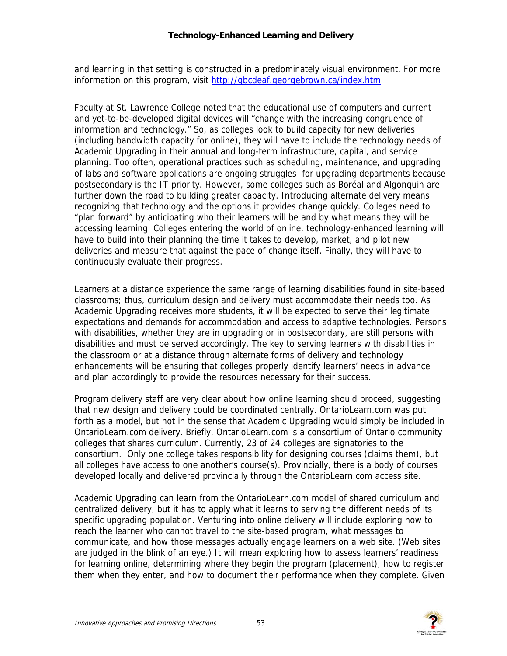and learning in that setting is constructed in a predominately visual environment. For more information on this program, visit http://gbcdeaf.georgebrown.ca/index.htm

Faculty at St. Lawrence College noted that the educational use of computers and current and yet-to-be-developed digital devices will "change with the increasing congruence of information and technology." So, as colleges look to build capacity for new deliveries (including bandwidth capacity for online), they will have to include the technology needs of Academic Upgrading in their annual and long-term infrastructure, capital, and service planning. Too often, operational practices such as scheduling, maintenance, and upgrading of labs and software applications are ongoing struggles for upgrading departments because postsecondary is the IT priority. However, some colleges such as Boréal and Algonquin are further down the road to building greater capacity. Introducing alternate delivery means recognizing that technology and the options it provides change quickly. Colleges need to "plan forward" by anticipating who their learners will be and by what means they will be accessing learning. Colleges entering the world of online, technology-enhanced learning will have to build into their planning the time it takes to develop, market, and pilot new deliveries and measure that against the pace of change itself. Finally, they will have to continuously evaluate their progress.

Learners at a distance experience the same range of learning disabilities found in site-based classrooms; thus, curriculum design and delivery must accommodate their needs too. As Academic Upgrading receives more students, it will be expected to serve their legitimate expectations and demands for accommodation and access to adaptive technologies. Persons with disabilities, whether they are in upgrading or in postsecondary, are still persons with disabilities and must be served accordingly. The key to serving learners with disabilities in the classroom or at a distance through alternate forms of delivery and technology enhancements will be ensuring that colleges properly identify learners' needs in advance and plan accordingly to provide the resources necessary for their success.

Program delivery staff are very clear about how online learning should proceed, suggesting that new design and delivery could be coordinated centrally. OntarioLearn.com was put forth as a model, but not in the sense that Academic Upgrading would simply be included in OntarioLearn.com delivery. Briefly, OntarioLearn.com is a consortium of Ontario community colleges that shares curriculum. Currently, 23 of 24 colleges are signatories to the consortium. Only one college takes responsibility for designing courses (claims them), but all colleges have access to one another's course(s). Provincially, there is a body of courses developed locally and delivered provincially through the OntarioLearn.com access site.

Academic Upgrading can learn from the OntarioLearn.com model of shared curriculum and centralized delivery, but it has to apply what it learns to serving the different needs of its specific upgrading population. Venturing into online delivery will include exploring how to reach the learner who cannot travel to the site-based program, what messages to communicate, and how those messages actually engage learners on a web site. (Web sites are judged in the blink of an eye.) It will mean exploring how to assess learners' readiness for learning online, determining where they begin the program (placement), how to register them when they enter, and how to document their performance when they complete. Given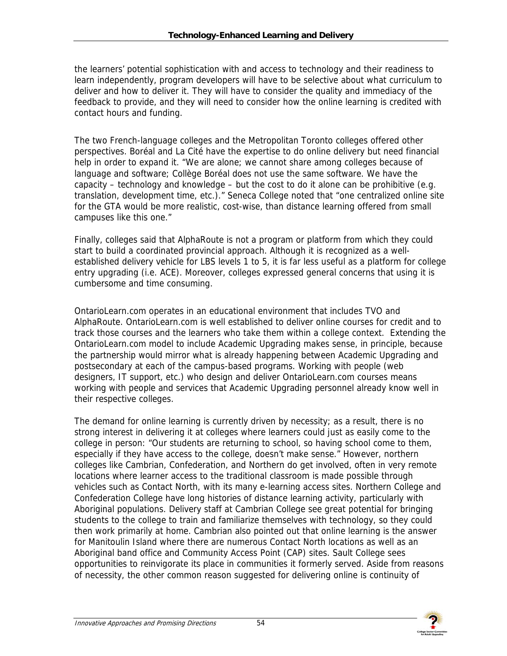the learners' potential sophistication with and access to technology and their readiness to learn independently, program developers will have to be selective about what curriculum to deliver and how to deliver it. They will have to consider the quality and immediacy of the feedback to provide, and they will need to consider how the online learning is credited with contact hours and funding.

The two French-language colleges and the Metropolitan Toronto colleges offered other perspectives. Boréal and La Cité have the expertise to do online delivery but need financial help in order to expand it. "We are alone; we cannot share among colleges because of language and software; Collège Boréal does not use the same software. We have the capacity – technology and knowledge – but the cost to do it alone can be prohibitive (e.g. translation, development time, etc.)." Seneca College noted that "one centralized online site for the GTA would be more realistic, cost-wise, than distance learning offered from small campuses like this one."

Finally, colleges said that AlphaRoute is not a program or platform from which they could start to build a coordinated provincial approach. Although it is recognized as a wellestablished delivery vehicle for LBS levels 1 to 5, it is far less useful as a platform for college entry upgrading (i.e. ACE). Moreover, colleges expressed general concerns that using it is cumbersome and time consuming.

OntarioLearn.com operates in an educational environment that includes TVO and AlphaRoute. OntarioLearn.com is well established to deliver online courses for credit and to track those courses and the learners who take them within a college context. Extending the OntarioLearn.com model to include Academic Upgrading makes sense, in principle, because the partnership would mirror what is already happening between Academic Upgrading and postsecondary at each of the campus-based programs. Working with people (web designers, IT support, etc.) who design and deliver OntarioLearn.com courses means working with people and services that Academic Upgrading personnel already know well in their respective colleges.

The demand for online learning is currently driven by necessity; as a result, there is no strong interest in delivering it at colleges where learners could just as easily come to the college in person: "Our students are returning to school, so having school come to them, especially if they have access to the college, doesn't make sense." However, northern colleges like Cambrian, Confederation, and Northern do get involved, often in very remote locations where learner access to the traditional classroom is made possible through vehicles such as Contact North, with its many e-learning access sites. Northern College and Confederation College have long histories of distance learning activity, particularly with Aboriginal populations. Delivery staff at Cambrian College see great potential for bringing students to the college to train and familiarize themselves with technology, so they could then work primarily at home. Cambrian also pointed out that online learning is the answer for Manitoulin Island where there are numerous Contact North locations as well as an Aboriginal band office and Community Access Point (CAP) sites. Sault College sees opportunities to reinvigorate its place in communities it formerly served. Aside from reasons of necessity, the other common reason suggested for delivering online is continuity of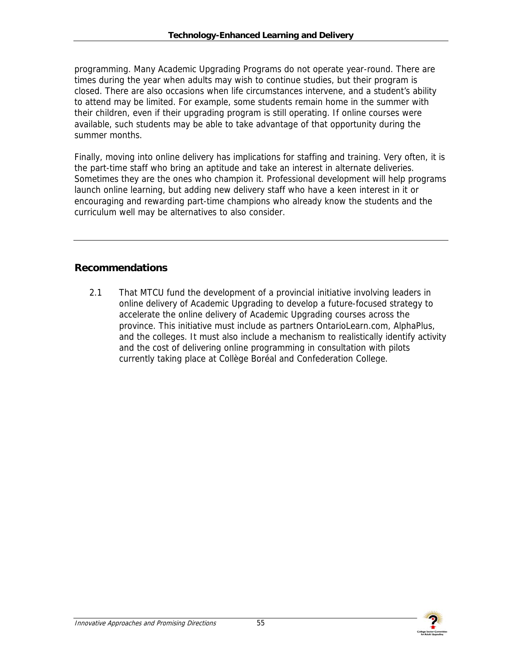programming. Many Academic Upgrading Programs do not operate year-round. There are times during the year when adults may wish to continue studies, but their program is closed. There are also occasions when life circumstances intervene, and a student's ability to attend may be limited. For example, some students remain home in the summer with their children, even if their upgrading program is still operating. If online courses were available, such students may be able to take advantage of that opportunity during the summer months.

Finally, moving into online delivery has implications for staffing and training. Very often, it is the part-time staff who bring an aptitude and take an interest in alternate deliveries. Sometimes they are the ones who champion it. Professional development will help programs launch online learning, but adding new delivery staff who have a keen interest in it or encouraging and rewarding part-time champions who already know the students and the curriculum well may be alternatives to also consider.

#### **Recommendations**

2.1 That MTCU fund the development of a provincial initiative involving leaders in online delivery of Academic Upgrading to develop a future-focused strategy to accelerate the online delivery of Academic Upgrading courses across the province. This initiative must include as partners OntarioLearn.com, AlphaPlus, and the colleges. It must also include a mechanism to realistically identify activity and the cost of delivering online programming in consultation with pilots currently taking place at Collège Boréal and Confederation College.

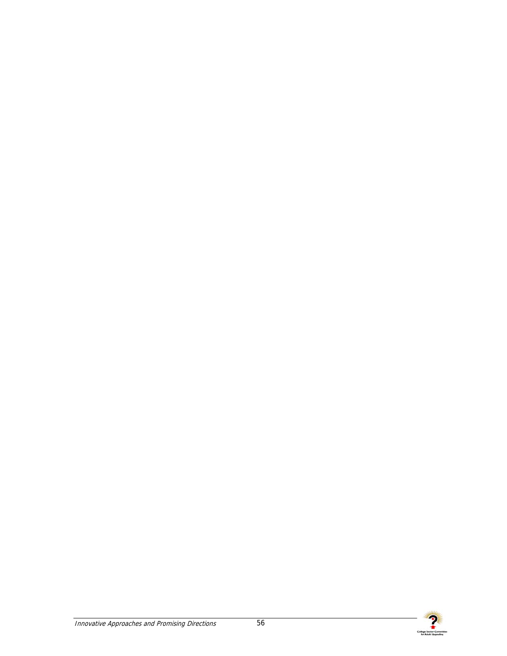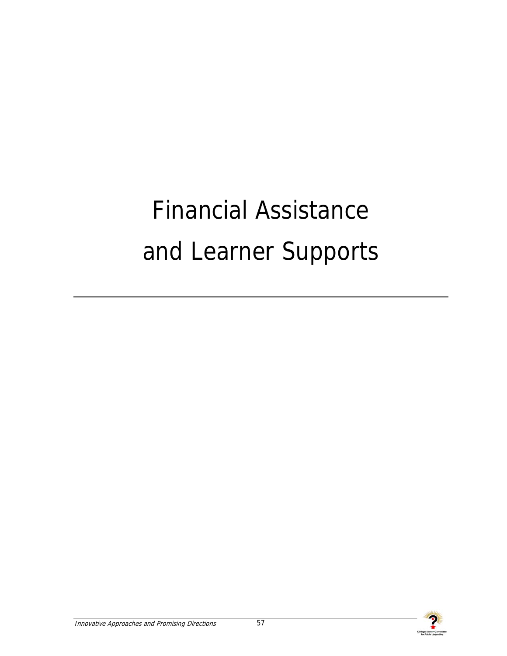# Financial Assistance and Learner Supports

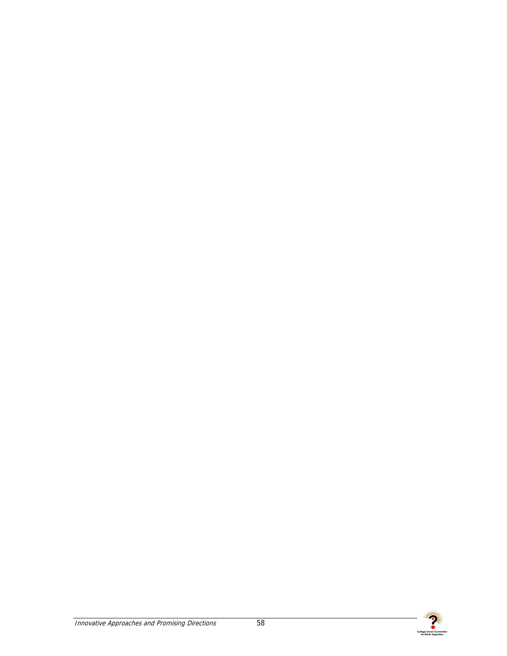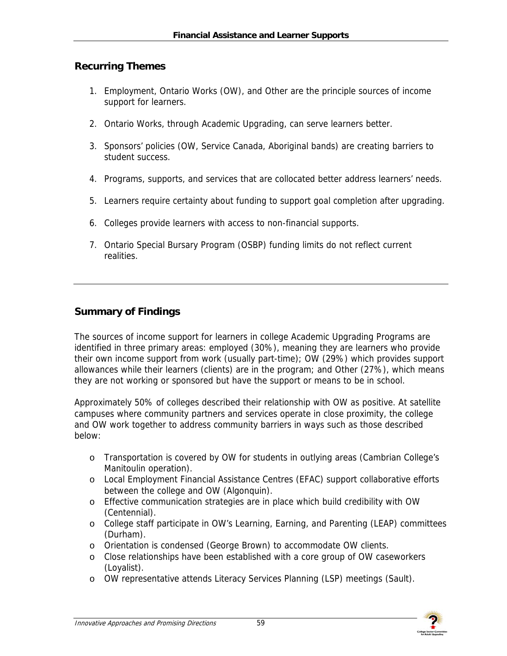#### **Recurring Themes**

- 1. Employment, Ontario Works (OW), and Other are the principle sources of income support for learners.
- 2. Ontario Works, through Academic Upgrading, can serve learners better.
- 3. Sponsors' policies (OW, Service Canada, Aboriginal bands) are creating barriers to student success.
- 4. Programs, supports, and services that are collocated better address learners' needs.
- 5. Learners require certainty about funding to support goal completion after upgrading.
- 6. Colleges provide learners with access to non-financial supports.
- 7. Ontario Special Bursary Program (OSBP) funding limits do not reflect current realities.

#### **Summary of Findings**

The sources of income support for learners in college Academic Upgrading Programs are identified in three primary areas: employed (30%), meaning they are learners who provide their own income support from work (usually part-time); OW (29%) which provides support allowances while their learners (clients) are in the program; and Other (27%), which means they are not working or sponsored but have the support or means to be in school.

Approximately 50% of colleges described their relationship with OW as positive. At satellite campuses where community partners and services operate in close proximity, the college and OW work together to address community barriers in ways such as those described below:

- o Transportation is covered by OW for students in outlying areas (Cambrian College's Manitoulin operation).
- o Local Employment Financial Assistance Centres (EFAC) support collaborative efforts between the college and OW (Algonquin).
- o Effective communication strategies are in place which build credibility with OW (Centennial).
- o College staff participate in OW's Learning, Earning, and Parenting (LEAP) committees (Durham).
- o Orientation is condensed (George Brown) to accommodate OW clients.
- o Close relationships have been established with a core group of OW caseworkers (Loyalist).
- o OW representative attends Literacy Services Planning (LSP) meetings (Sault).

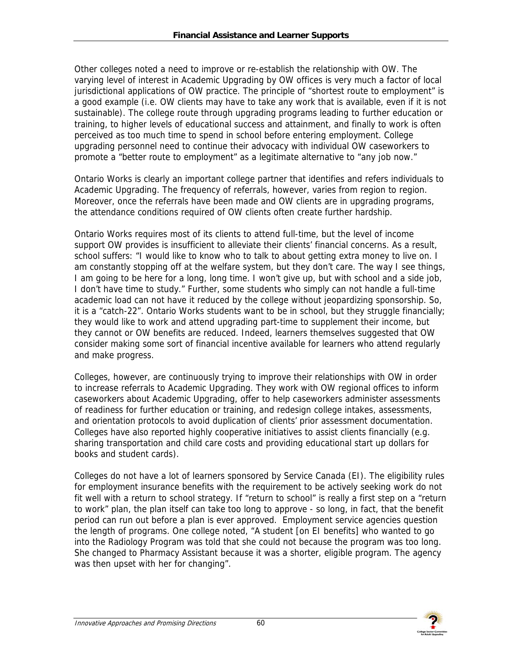Other colleges noted a need to improve or re-establish the relationship with OW. The varying level of interest in Academic Upgrading by OW offices is very much a factor of local jurisdictional applications of OW practice. The principle of "shortest route to employment" is a good example (i.e. OW clients may have to take any work that is available, even if it is not sustainable). The college route through upgrading programs leading to further education or training, to higher levels of educational success and attainment, and finally to work is often perceived as too much time to spend in school before entering employment. College upgrading personnel need to continue their advocacy with individual OW caseworkers to promote a "better route to employment" as a legitimate alternative to "any job now."

Ontario Works is clearly an important college partner that identifies and refers individuals to Academic Upgrading. The frequency of referrals, however, varies from region to region. Moreover, once the referrals have been made and OW clients are in upgrading programs, the attendance conditions required of OW clients often create further hardship.

Ontario Works requires most of its clients to attend full-time, but the level of income support OW provides is insufficient to alleviate their clients' financial concerns. As a result, school suffers: "I would like to know who to talk to about getting extra money to live on. I am constantly stopping off at the welfare system, but they don't care. The way I see things, I am going to be here for a long, long time. I won't give up, but with school and a side job, I don't have time to study." Further, some students who simply can not handle a full-time academic load can not have it reduced by the college without jeopardizing sponsorship. So, it is a "catch-22". Ontario Works students want to be in school, but they struggle financially; they would like to work and attend upgrading part-time to supplement their income, but they cannot or OW benefits are reduced. Indeed, learners themselves suggested that OW consider making some sort of financial incentive available for learners who attend regularly and make progress.

Colleges, however, are continuously trying to improve their relationships with OW in order to increase referrals to Academic Upgrading. They work with OW regional offices to inform caseworkers about Academic Upgrading, offer to help caseworkers administer assessments of readiness for further education or training, and redesign college intakes, assessments, and orientation protocols to avoid duplication of clients' prior assessment documentation. Colleges have also reported highly cooperative initiatives to assist clients financially (e.g. sharing transportation and child care costs and providing educational start up dollars for books and student cards).

Colleges do not have a lot of learners sponsored by Service Canada (EI). The eligibility rules for employment insurance benefits with the requirement to be actively seeking work do not fit well with a return to school strategy. If "return to school" is really a first step on a "return to work" plan, the plan itself can take too long to approve - so long, in fact, that the benefit period can run out before a plan is ever approved. Employment service agencies question the length of programs. One college noted, "A student [on EI benefits] who wanted to go into the Radiology Program was told that she could not because the program was too long. She changed to Pharmacy Assistant because it was a shorter, eligible program. The agency was then upset with her for changing".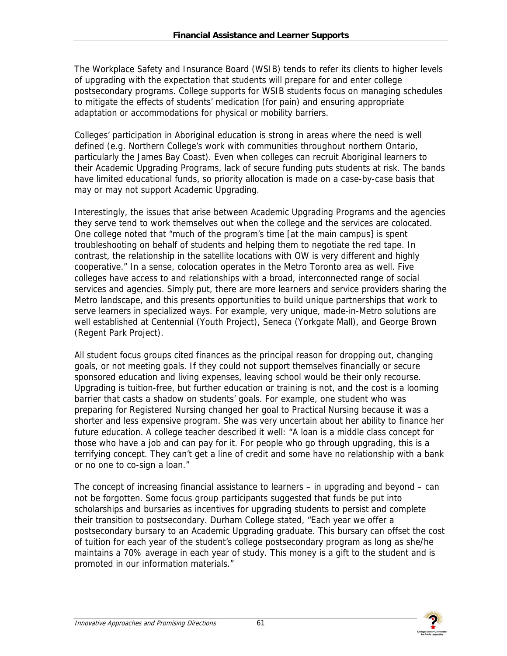The Workplace Safety and Insurance Board (WSIB) tends to refer its clients to higher levels of upgrading with the expectation that students will prepare for and enter college postsecondary programs. College supports for WSIB students focus on managing schedules to mitigate the effects of students' medication (for pain) and ensuring appropriate adaptation or accommodations for physical or mobility barriers.

Colleges' participation in Aboriginal education is strong in areas where the need is well defined (e.g. Northern College's work with communities throughout northern Ontario, particularly the James Bay Coast). Even when colleges can recruit Aboriginal learners to their Academic Upgrading Programs, lack of secure funding puts students at risk. The bands have limited educational funds, so priority allocation is made on a case-by-case basis that may or may not support Academic Upgrading.

Interestingly, the issues that arise between Academic Upgrading Programs and the agencies they serve tend to work themselves out when the college and the services are colocated. One college noted that "much of the program's time [at the main campus] is spent troubleshooting on behalf of students and helping them to negotiate the red tape. In contrast, the relationship in the satellite locations with OW is very different and highly cooperative." In a sense, colocation operates in the Metro Toronto area as well. Five colleges have access to and relationships with a broad, interconnected range of social services and agencies. Simply put, there are more learners and service providers sharing the Metro landscape, and this presents opportunities to build unique partnerships that work to serve learners in specialized ways. For example, very unique, made-in-Metro solutions are well established at Centennial (Youth Project), Seneca (Yorkgate Mall), and George Brown (Regent Park Project).

All student focus groups cited finances as the principal reason for dropping out, changing goals, or not meeting goals. If they could not support themselves financially or secure sponsored education and living expenses, leaving school would be their only recourse. Upgrading is tuition-free, but further education or training is not, and the cost is a looming barrier that casts a shadow on students' goals. For example, one student who was preparing for Registered Nursing changed her goal to Practical Nursing because it was a shorter and less expensive program. She was very uncertain about her ability to finance her future education. A college teacher described it well: "A loan is a middle class concept for those who have a job and can pay for it. For people who go through upgrading, this is a terrifying concept. They can't get a line of credit and some have no relationship with a bank or no one to co-sign a loan."

The concept of increasing financial assistance to learners – in upgrading and beyond – can not be forgotten. Some focus group participants suggested that funds be put into scholarships and bursaries as incentives for upgrading students to persist and complete their transition to postsecondary. Durham College stated, "Each year we offer a postsecondary bursary to an Academic Upgrading graduate. This bursary can offset the cost of tuition for each year of the student's college postsecondary program as long as she/he maintains a 70% average in each year of study. This money is a gift to the student and is promoted in our information materials."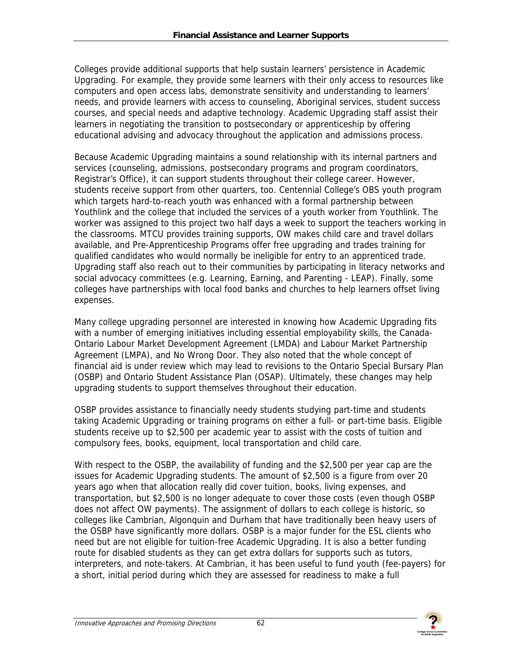Colleges provide additional supports that help sustain learners' persistence in Academic Upgrading. For example, they provide some learners with their only access to resources like computers and open access labs, demonstrate sensitivity and understanding to learners' needs, and provide learners with access to counseling, Aboriginal services, student success courses, and special needs and adaptive technology. Academic Upgrading staff assist their learners in negotiating the transition to postsecondary or apprenticeship by offering educational advising and advocacy throughout the application and admissions process.

Because Academic Upgrading maintains a sound relationship with its internal partners and services (counseling, admissions, postsecondary programs and program coordinators, Registrar's Office), it can support students throughout their college career. However, students receive support from other quarters, too. Centennial College's OBS youth program which targets hard-to-reach youth was enhanced with a formal partnership between Youthlink and the college that included the services of a youth worker from Youthlink. The worker was assigned to this project two half days a week to support the teachers working in the classrooms. MTCU provides training supports, OW makes child care and travel dollars available, and Pre-Apprenticeship Programs offer free upgrading and trades training for qualified candidates who would normally be ineligible for entry to an apprenticed trade. Upgrading staff also reach out to their communities by participating in literacy networks and social advocacy committees (e.g. Learning, Earning, and Parenting - LEAP). Finally, some colleges have partnerships with local food banks and churches to help learners offset living expenses.

Many college upgrading personnel are interested in knowing how Academic Upgrading fits with a number of emerging initiatives including essential employability skills, the Canada-Ontario Labour Market Development Agreement (LMDA) and Labour Market Partnership Agreement (LMPA), and No Wrong Door. They also noted that the whole concept of financial aid is under review which may lead to revisions to the Ontario Special Bursary Plan (OSBP) and Ontario Student Assistance Plan (OSAP). Ultimately, these changes may help upgrading students to support themselves throughout their education.

OSBP provides assistance to financially needy students studying part-time and students taking Academic Upgrading or training programs on either a full- or part-time basis. Eligible students receive up to \$2,500 per academic year to assist with the costs of tuition and compulsory fees, books, equipment, local transportation and child care.

With respect to the OSBP, the availability of funding and the \$2,500 per year cap are the issues for Academic Upgrading students. The amount of \$2,500 is a figure from over 20 years ago when that allocation really did cover tuition, books, living expenses, and transportation, but \$2,500 is no longer adequate to cover those costs (even though OSBP does not affect OW payments). The assignment of dollars to each college is historic, so colleges like Cambrian, Algonquin and Durham that have traditionally been heavy users of the OSBP have significantly more dollars. OSBP is a major funder for the ESL clients who need but are not eligible for tuition-free Academic Upgrading. It is also a better funding route for disabled students as they can get extra dollars for supports such as tutors, interpreters, and note-takers. At Cambrian, it has been useful to fund youth (fee-payers) for a short, initial period during which they are assessed for readiness to make a full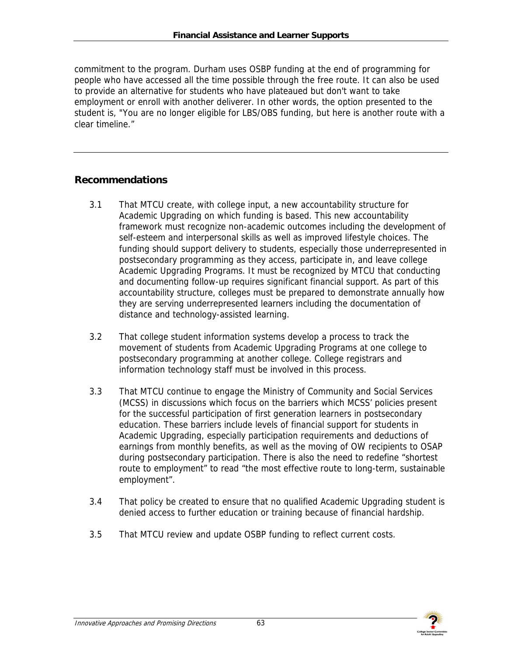commitment to the program. Durham uses OSBP funding at the end of programming for people who have accessed all the time possible through the free route. It can also be used to provide an alternative for students who have plateaued but don't want to take employment or enroll with another deliverer. In other words, the option presented to the student is, "You are no longer eligible for LBS/OBS funding, but here is another route with a clear timeline."

#### **Recommendations**

- 3.1 That MTCU create, with college input, a new accountability structure for Academic Upgrading on which funding is based. This new accountability framework must recognize non-academic outcomes including the development of self-esteem and interpersonal skills as well as improved lifestyle choices. The funding should support delivery to students, especially those underrepresented in postsecondary programming as they access, participate in, and leave college Academic Upgrading Programs. It must be recognized by MTCU that conducting and documenting follow-up requires significant financial support. As part of this accountability structure, colleges must be prepared to demonstrate annually how they are serving underrepresented learners including the documentation of distance and technology-assisted learning.
- 3.2 That college student information systems develop a process to track the movement of students from Academic Upgrading Programs at one college to postsecondary programming at another college. College registrars and information technology staff must be involved in this process.
- 3.3 That MTCU continue to engage the Ministry of Community and Social Services (MCSS) in discussions which focus on the barriers which MCSS' policies present for the successful participation of first generation learners in postsecondary education. These barriers include levels of financial support for students in Academic Upgrading, especially participation requirements and deductions of earnings from monthly benefits, as well as the moving of OW recipients to OSAP during postsecondary participation. There is also the need to redefine "shortest route to employment" to read "the most effective route to long-term, sustainable employment".
- 3.4 That policy be created to ensure that no qualified Academic Upgrading student is denied access to further education or training because of financial hardship.
- 3.5 That MTCU review and update OSBP funding to reflect current costs.

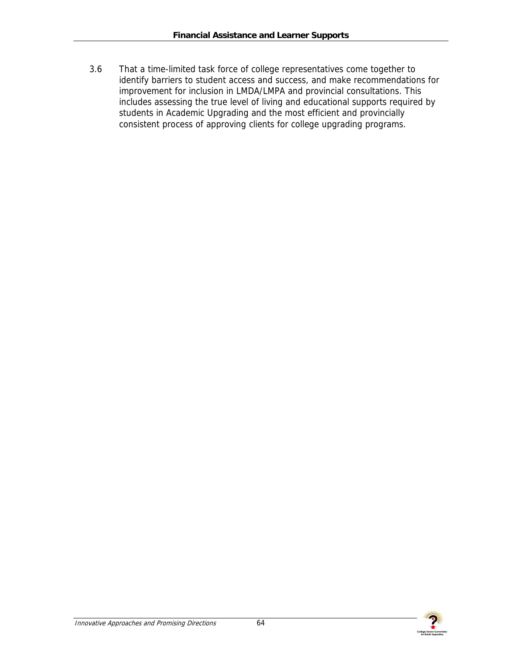3.6 That a time-limited task force of college representatives come together to identify barriers to student access and success, and make recommendations for improvement for inclusion in LMDA/LMPA and provincial consultations. This includes assessing the true level of living and educational supports required by students in Academic Upgrading and the most efficient and provincially consistent process of approving clients for college upgrading programs.

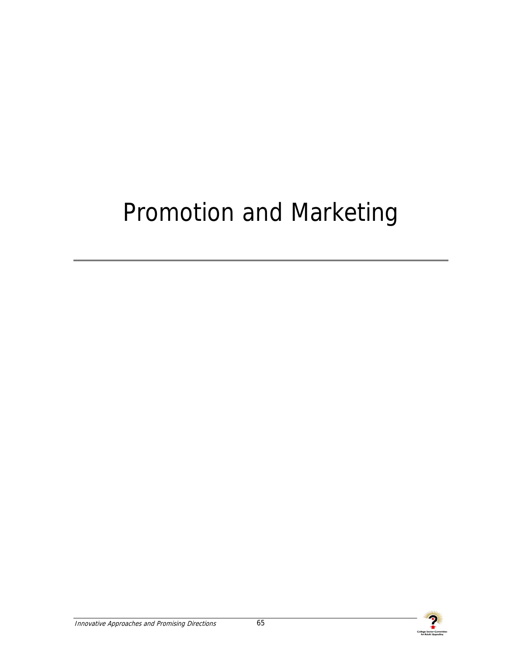# Promotion and Marketing

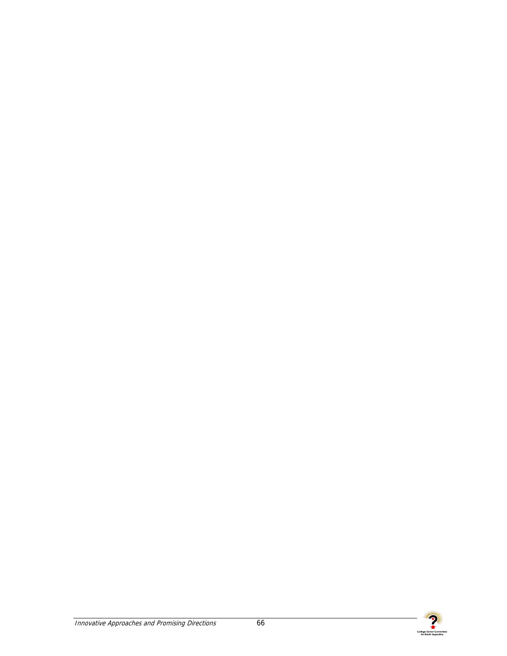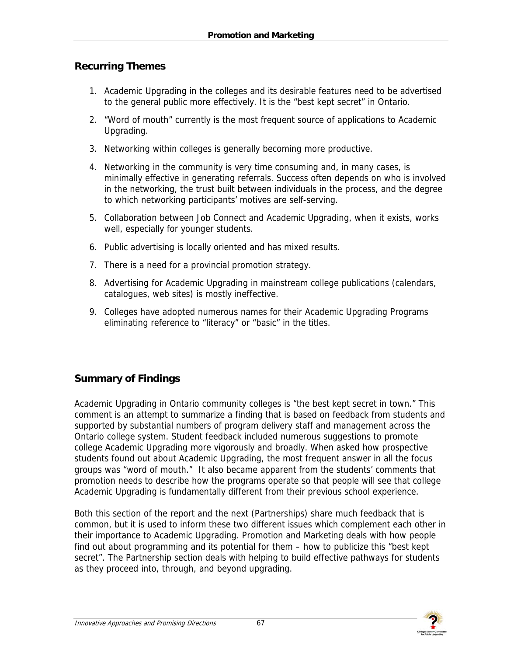### **Recurring Themes**

- 1. Academic Upgrading in the colleges and its desirable features need to be advertised to the general public more effectively. It is the "best kept secret" in Ontario.
- 2. "Word of mouth" currently is the most frequent source of applications to Academic Upgrading.
- 3. Networking within colleges is generally becoming more productive.
- 4. Networking in the community is very time consuming and, in many cases, is minimally effective in generating referrals. Success often depends on who is involved in the networking, the trust built between individuals in the process, and the degree to which networking participants' motives are self-serving.
- 5. Collaboration between Job Connect and Academic Upgrading, when it exists, works well, especially for younger students.
- 6. Public advertising is locally oriented and has mixed results.
- 7. There is a need for a provincial promotion strategy.
- 8. Advertising for Academic Upgrading in mainstream college publications (calendars, catalogues, web sites) is mostly ineffective.
- 9. Colleges have adopted numerous names for their Academic Upgrading Programs eliminating reference to "literacy" or "basic" in the titles.

# **Summary of Findings**

Academic Upgrading in Ontario community colleges is "the best kept secret in town." This comment is an attempt to summarize a finding that is based on feedback from students and supported by substantial numbers of program delivery staff and management across the Ontario college system. Student feedback included numerous suggestions to promote college Academic Upgrading more vigorously and broadly. When asked how prospective students found out about Academic Upgrading, the most frequent answer in all the focus groups was "word of mouth." It also became apparent from the students' comments that promotion needs to describe how the programs operate so that people will see that college Academic Upgrading is fundamentally different from their previous school experience.

Both this section of the report and the next (Partnerships) share much feedback that is common, but it is used to inform these two different issues which complement each other in their importance to Academic Upgrading. Promotion and Marketing deals with how people find out about programming and its potential for them – how to publicize this "best kept secret". The Partnership section deals with helping to build effective pathways for students as they proceed into, through, and beyond upgrading.

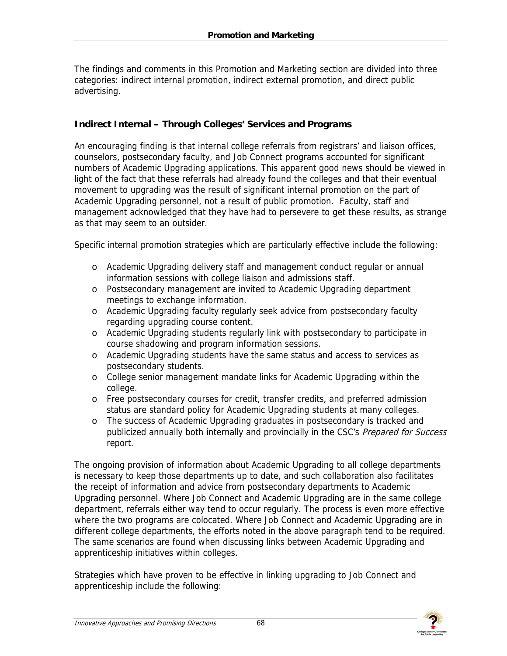The findings and comments in this Promotion and Marketing section are divided into three categories: indirect internal promotion, indirect external promotion, and direct public advertising.

#### **Indirect Internal – Through Colleges' Services and Programs**

An encouraging finding is that internal college referrals from registrars' and liaison offices, counselors, postsecondary faculty, and Job Connect programs accounted for significant numbers of Academic Upgrading applications. This apparent good news should be viewed in light of the fact that these referrals had already found the colleges and that their eventual movement to upgrading was the result of significant internal promotion on the part of Academic Upgrading personnel, not a result of public promotion. Faculty, staff and management acknowledged that they have had to persevere to get these results, as strange as that may seem to an outsider.

Specific internal promotion strategies which are particularly effective include the following:

- o Academic Upgrading delivery staff and management conduct regular or annual information sessions with college liaison and admissions staff.
- o Postsecondary management are invited to Academic Upgrading department meetings to exchange information.
- o Academic Upgrading faculty regularly seek advice from postsecondary faculty regarding upgrading course content.
- o Academic Upgrading students regularly link with postsecondary to participate in course shadowing and program information sessions.
- o Academic Upgrading students have the same status and access to services as postsecondary students.
- o College senior management mandate links for Academic Upgrading within the college.
- o Free postsecondary courses for credit, transfer credits, and preferred admission status are standard policy for Academic Upgrading students at many colleges.
- o The success of Academic Upgrading graduates in postsecondary is tracked and publicized annually both internally and provincially in the CSC's Prepared for Success report.

The ongoing provision of information about Academic Upgrading to all college departments is necessary to keep those departments up to date, and such collaboration also facilitates the receipt of information and advice from postsecondary departments to Academic Upgrading personnel. Where Job Connect and Academic Upgrading are in the same college department, referrals either way tend to occur regularly. The process is even more effective where the two programs are colocated. Where Job Connect and Academic Upgrading are in different college departments, the efforts noted in the above paragraph tend to be required. The same scenarios are found when discussing links between Academic Upgrading and apprenticeship initiatives within colleges.

Strategies which have proven to be effective in linking upgrading to Job Connect and apprenticeship include the following:

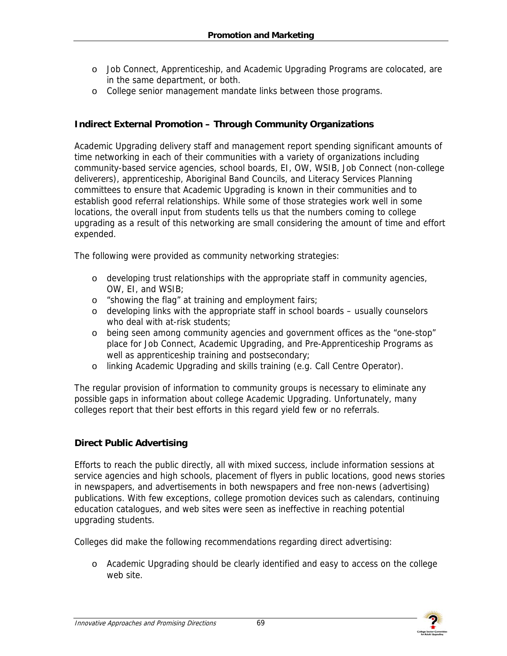- o Job Connect, Apprenticeship, and Academic Upgrading Programs are colocated, are in the same department, or both.
- o College senior management mandate links between those programs.

#### **Indirect External Promotion – Through Community Organizations**

Academic Upgrading delivery staff and management report spending significant amounts of time networking in each of their communities with a variety of organizations including community-based service agencies, school boards, EI, OW, WSIB, Job Connect (non-college deliverers), apprenticeship, Aboriginal Band Councils, and Literacy Services Planning committees to ensure that Academic Upgrading is known in their communities and to establish good referral relationships. While some of those strategies work well in some locations, the overall input from students tells us that the numbers coming to college upgrading as a result of this networking are small considering the amount of time and effort expended.

The following were provided as community networking strategies:

- o developing trust relationships with the appropriate staff in community agencies, OW, EI, and WSIB;
- o "showing the flag" at training and employment fairs;
- o developing links with the appropriate staff in school boards usually counselors who deal with at-risk students;
- o being seen among community agencies and government offices as the "one-stop" place for Job Connect, Academic Upgrading, and Pre-Apprenticeship Programs as well as apprenticeship training and postsecondary;
- o linking Academic Upgrading and skills training (e.g. Call Centre Operator).

The regular provision of information to community groups is necessary to eliminate any possible gaps in information about college Academic Upgrading. Unfortunately, many colleges report that their best efforts in this regard yield few or no referrals.

## **Direct Public Advertising**

Efforts to reach the public directly, all with mixed success, include information sessions at service agencies and high schools, placement of flyers in public locations, good news stories in newspapers, and advertisements in both newspapers and free non-news (advertising) publications. With few exceptions, college promotion devices such as calendars, continuing education catalogues, and web sites were seen as ineffective in reaching potential upgrading students.

Colleges did make the following recommendations regarding direct advertising:

o Academic Upgrading should be clearly identified and easy to access on the college web site.



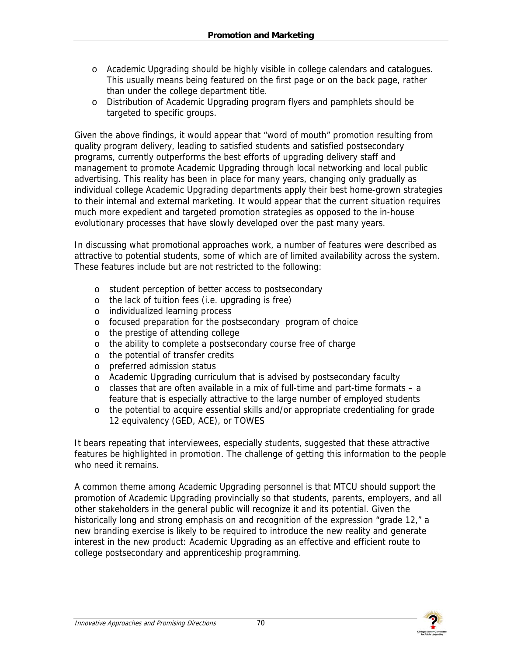- o Academic Upgrading should be highly visible in college calendars and catalogues. This usually means being featured on the first page or on the back page, rather than under the college department title.
- o Distribution of Academic Upgrading program flyers and pamphlets should be targeted to specific groups.

Given the above findings, it would appear that "word of mouth" promotion resulting from quality program delivery, leading to satisfied students and satisfied postsecondary programs, currently outperforms the best efforts of upgrading delivery staff and management to promote Academic Upgrading through local networking and local public advertising. This reality has been in place for many years, changing only gradually as individual college Academic Upgrading departments apply their best home-grown strategies to their internal and external marketing. It would appear that the current situation requires much more expedient and targeted promotion strategies as opposed to the in-house evolutionary processes that have slowly developed over the past many years.

In discussing what promotional approaches work, a number of features were described as attractive to potential students, some of which are of limited availability across the system. These features include but are not restricted to the following:

- o student perception of better access to postsecondary
- o the lack of tuition fees (i.e. upgrading is free)
- o individualized learning process
- o focused preparation for the postsecondary program of choice
- o the prestige of attending college
- o the ability to complete a postsecondary course free of charge
- o the potential of transfer credits
- o preferred admission status
- o Academic Upgrading curriculum that is advised by postsecondary faculty
- o classes that are often available in a mix of full-time and part-time formats a feature that is especially attractive to the large number of employed students
- o the potential to acquire essential skills and/or appropriate credentialing for grade 12 equivalency (GED, ACE), or TOWES

It bears repeating that interviewees, especially students, suggested that these attractive features be highlighted in promotion. The challenge of getting this information to the people who need it remains.

A common theme among Academic Upgrading personnel is that MTCU should support the promotion of Academic Upgrading provincially so that students, parents, employers, and all other stakeholders in the general public will recognize it and its potential. Given the historically long and strong emphasis on and recognition of the expression "grade 12," a new branding exercise is likely to be required to introduce the new reality and generate interest in the new product: Academic Upgrading as an effective and efficient route to college postsecondary and apprenticeship programming.

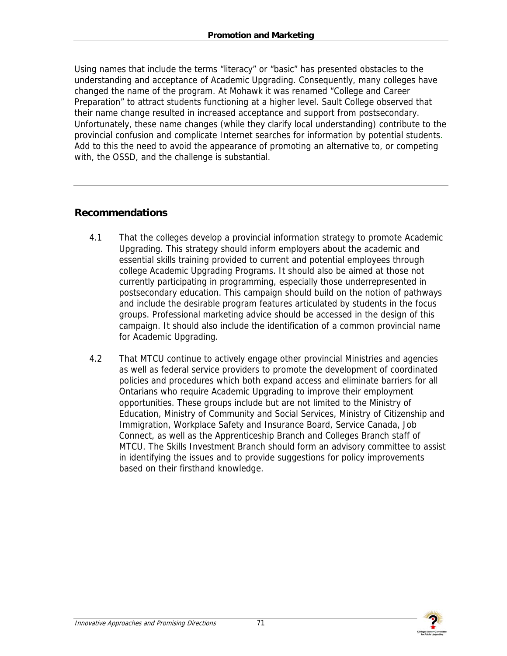Using names that include the terms "literacy" or "basic" has presented obstacles to the understanding and acceptance of Academic Upgrading. Consequently, many colleges have changed the name of the program. At Mohawk it was renamed "College and Career Preparation" to attract students functioning at a higher level. Sault College observed that their name change resulted in increased acceptance and support from postsecondary. Unfortunately, these name changes (while they clarify local understanding) contribute to the provincial confusion and complicate Internet searches for information by potential students. Add to this the need to avoid the appearance of promoting an alternative to, or competing with, the OSSD, and the challenge is substantial.

## **Recommendations**

- 4.1 That the colleges develop a provincial information strategy to promote Academic Upgrading. This strategy should inform employers about the academic and essential skills training provided to current and potential employees through college Academic Upgrading Programs. It should also be aimed at those not currently participating in programming, especially those underrepresented in postsecondary education. This campaign should build on the notion of pathways and include the desirable program features articulated by students in the focus groups. Professional marketing advice should be accessed in the design of this campaign. It should also include the identification of a common provincial name for Academic Upgrading.
- 4.2 That MTCU continue to actively engage other provincial Ministries and agencies as well as federal service providers to promote the development of coordinated policies and procedures which both expand access and eliminate barriers for all Ontarians who require Academic Upgrading to improve their employment opportunities. These groups include but are not limited to the Ministry of Education, Ministry of Community and Social Services, Ministry of Citizenship and Immigration, Workplace Safety and Insurance Board, Service Canada, Job Connect, as well as the Apprenticeship Branch and Colleges Branch staff of MTCU. The Skills Investment Branch should form an advisory committee to assist in identifying the issues and to provide suggestions for policy improvements based on their firsthand knowledge.

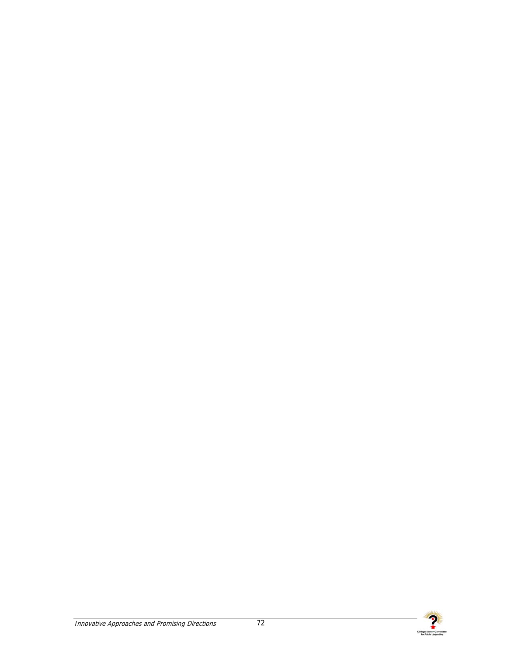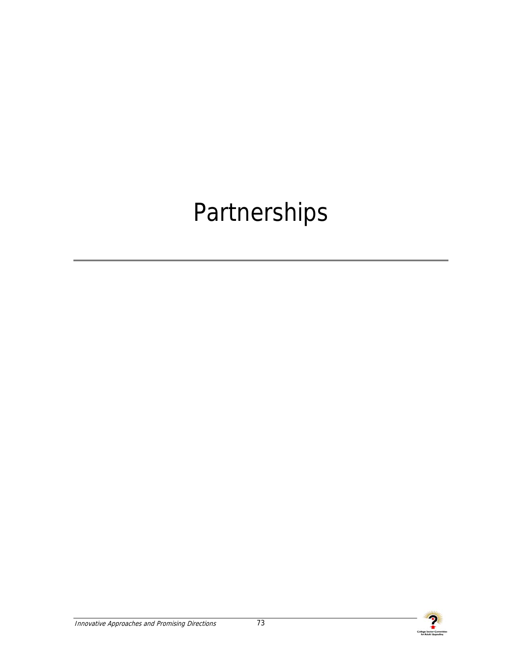# Partnerships

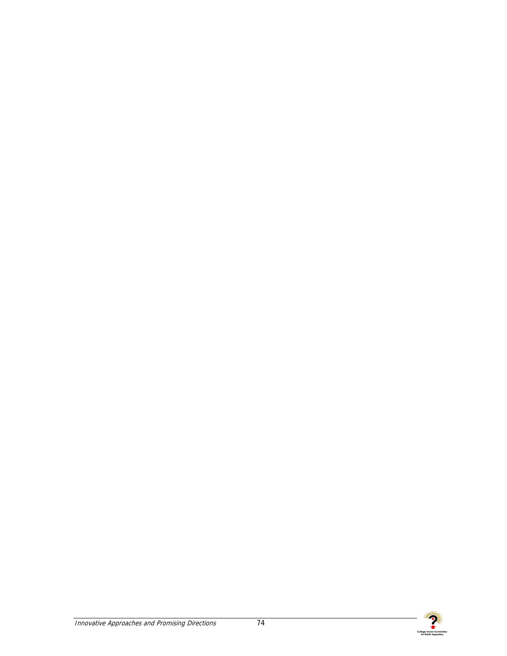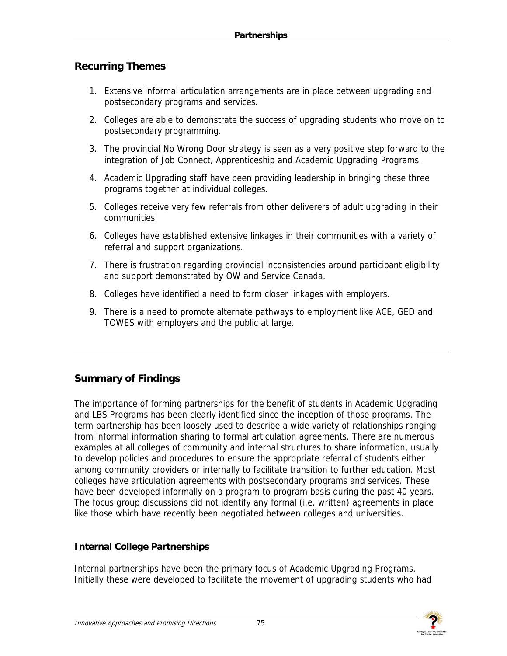## **Recurring Themes**

- 1. Extensive informal articulation arrangements are in place between upgrading and postsecondary programs and services.
- 2. Colleges are able to demonstrate the success of upgrading students who move on to postsecondary programming.
- 3. The provincial No Wrong Door strategy is seen as a very positive step forward to the integration of Job Connect, Apprenticeship and Academic Upgrading Programs.
- 4. Academic Upgrading staff have been providing leadership in bringing these three programs together at individual colleges.
- 5. Colleges receive very few referrals from other deliverers of adult upgrading in their communities.
- 6. Colleges have established extensive linkages in their communities with a variety of referral and support organizations.
- 7. There is frustration regarding provincial inconsistencies around participant eligibility and support demonstrated by OW and Service Canada.
- 8. Colleges have identified a need to form closer linkages with employers.
- 9. There is a need to promote alternate pathways to employment like ACE, GED and TOWES with employers and the public at large.

# **Summary of Findings**

The importance of forming partnerships for the benefit of students in Academic Upgrading and LBS Programs has been clearly identified since the inception of those programs. The term partnership has been loosely used to describe a wide variety of relationships ranging from informal information sharing to formal articulation agreements. There are numerous examples at all colleges of community and internal structures to share information, usually to develop policies and procedures to ensure the appropriate referral of students either among community providers or internally to facilitate transition to further education. Most colleges have articulation agreements with postsecondary programs and services. These have been developed informally on a program to program basis during the past 40 years. The focus group discussions did not identify any formal (i.e. written) agreements in place like those which have recently been negotiated between colleges and universities.

#### **Internal College Partnerships**

Internal partnerships have been the primary focus of Academic Upgrading Programs. Initially these were developed to facilitate the movement of upgrading students who had



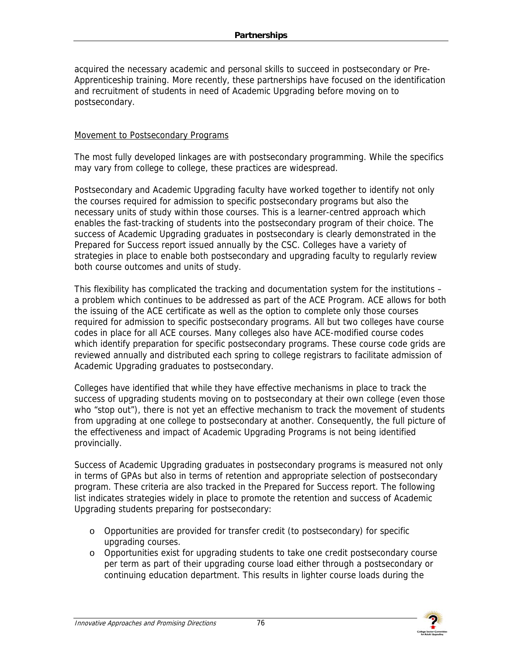acquired the necessary academic and personal skills to succeed in postsecondary or Pre-Apprenticeship training. More recently, these partnerships have focused on the identification and recruitment of students in need of Academic Upgrading before moving on to postsecondary.

#### Movement to Postsecondary Programs

The most fully developed linkages are with postsecondary programming. While the specifics may vary from college to college, these practices are widespread.

Postsecondary and Academic Upgrading faculty have worked together to identify not only the courses required for admission to specific postsecondary programs but also the necessary units of study within those courses. This is a learner-centred approach which enables the fast-tracking of students into the postsecondary program of their choice. The success of Academic Upgrading graduates in postsecondary is clearly demonstrated in the Prepared for Success report issued annually by the CSC. Colleges have a variety of strategies in place to enable both postsecondary and upgrading faculty to regularly review both course outcomes and units of study.

This flexibility has complicated the tracking and documentation system for the institutions – a problem which continues to be addressed as part of the ACE Program. ACE allows for both the issuing of the ACE certificate as well as the option to complete only those courses required for admission to specific postsecondary programs. All but two colleges have course codes in place for all ACE courses. Many colleges also have ACE-modified course codes which identify preparation for specific postsecondary programs. These course code grids are reviewed annually and distributed each spring to college registrars to facilitate admission of Academic Upgrading graduates to postsecondary.

Colleges have identified that while they have effective mechanisms in place to track the success of upgrading students moving on to postsecondary at their own college (even those who "stop out"), there is not yet an effective mechanism to track the movement of students from upgrading at one college to postsecondary at another. Consequently, the full picture of the effectiveness and impact of Academic Upgrading Programs is not being identified provincially.

Success of Academic Upgrading graduates in postsecondary programs is measured not only in terms of GPAs but also in terms of retention and appropriate selection of postsecondary program. These criteria are also tracked in the Prepared for Success report. The following list indicates strategies widely in place to promote the retention and success of Academic Upgrading students preparing for postsecondary:

- o Opportunities are provided for transfer credit (to postsecondary) for specific upgrading courses.
- o Opportunities exist for upgrading students to take one credit postsecondary course per term as part of their upgrading course load either through a postsecondary or continuing education department. This results in lighter course loads during the

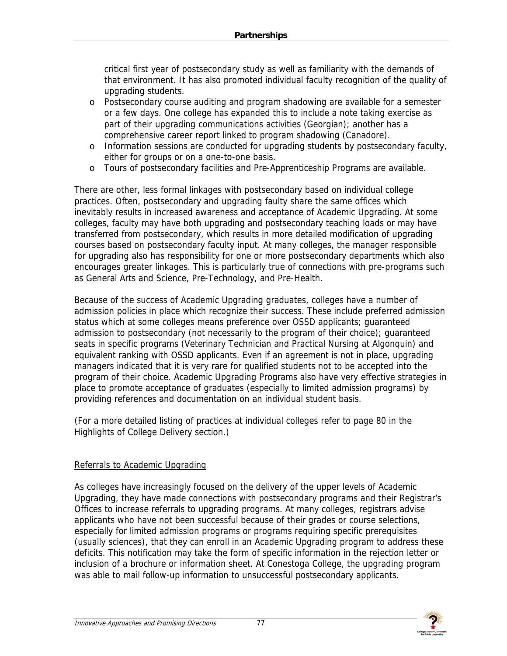critical first year of postsecondary study as well as familiarity with the demands of that environment. It has also promoted individual faculty recognition of the quality of upgrading students.

- o Postsecondary course auditing and program shadowing are available for a semester or a few days. One college has expanded this to include a note taking exercise as part of their upgrading communications activities (Georgian); another has a comprehensive career report linked to program shadowing (Canadore).
- o Information sessions are conducted for upgrading students by postsecondary faculty, either for groups or on a one-to-one basis.
- o Tours of postsecondary facilities and Pre-Apprenticeship Programs are available.

There are other, less formal linkages with postsecondary based on individual college practices. Often, postsecondary and upgrading faulty share the same offices which inevitably results in increased awareness and acceptance of Academic Upgrading. At some colleges, faculty may have both upgrading and postsecondary teaching loads or may have transferred from postsecondary, which results in more detailed modification of upgrading courses based on postsecondary faculty input. At many colleges, the manager responsible for upgrading also has responsibility for one or more postsecondary departments which also encourages greater linkages. This is particularly true of connections with pre-programs such as General Arts and Science, Pre-Technology, and Pre-Health.

Because of the success of Academic Upgrading graduates, colleges have a number of admission policies in place which recognize their success. These include preferred admission status which at some colleges means preference over OSSD applicants; guaranteed admission to postsecondary (not necessarily to the program of their choice); guaranteed seats in specific programs (Veterinary Technician and Practical Nursing at Algonquin) and equivalent ranking with OSSD applicants. Even if an agreement is not in place, upgrading managers indicated that it is very rare for qualified students not to be accepted into the program of their choice. Academic Upgrading Programs also have very effective strategies in place to promote acceptance of graduates (especially to limited admission programs) by providing references and documentation on an individual student basis.

(For a more detailed listing of practices at individual colleges refer to page 80 in the Highlights of College Delivery section.)

## Referrals to Academic Upgrading

As colleges have increasingly focused on the delivery of the upper levels of Academic Upgrading, they have made connections with postsecondary programs and their Registrar's Offices to increase referrals to upgrading programs. At many colleges, registrars advise applicants who have not been successful because of their grades or course selections, especially for limited admission programs or programs requiring specific prerequisites (usually sciences), that they can enroll in an Academic Upgrading program to address these deficits. This notification may take the form of specific information in the rejection letter or inclusion of a brochure or information sheet. At Conestoga College, the upgrading program was able to mail follow-up information to unsuccessful postsecondary applicants.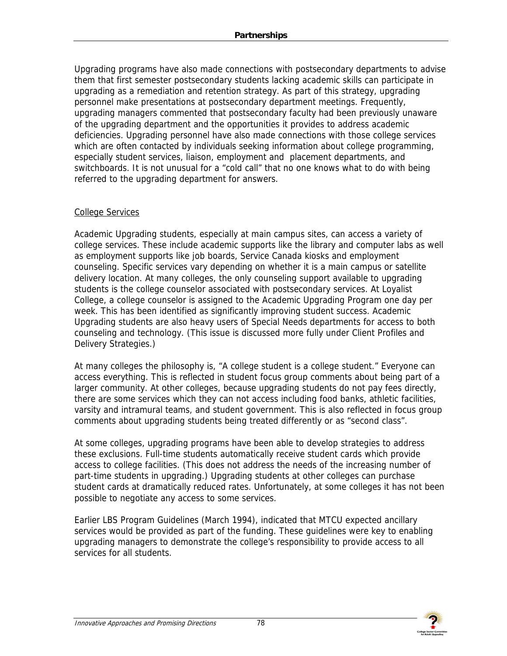Upgrading programs have also made connections with postsecondary departments to advise them that first semester postsecondary students lacking academic skills can participate in upgrading as a remediation and retention strategy. As part of this strategy, upgrading personnel make presentations at postsecondary department meetings. Frequently, upgrading managers commented that postsecondary faculty had been previously unaware of the upgrading department and the opportunities it provides to address academic deficiencies. Upgrading personnel have also made connections with those college services which are often contacted by individuals seeking information about college programming, especially student services, liaison, employment and placement departments, and switchboards. It is not unusual for a "cold call" that no one knows what to do with being referred to the upgrading department for answers.

#### College Services

Academic Upgrading students, especially at main campus sites, can access a variety of college services. These include academic supports like the library and computer labs as well as employment supports like job boards, Service Canada kiosks and employment counseling. Specific services vary depending on whether it is a main campus or satellite delivery location. At many colleges, the only counseling support available to upgrading students is the college counselor associated with postsecondary services. At Loyalist College, a college counselor is assigned to the Academic Upgrading Program one day per week. This has been identified as significantly improving student success. Academic Upgrading students are also heavy users of Special Needs departments for access to both counseling and technology. (This issue is discussed more fully under Client Profiles and Delivery Strategies.)

At many colleges the philosophy is, "A college student is a college student." Everyone can access everything. This is reflected in student focus group comments about being part of a larger community. At other colleges, because upgrading students do not pay fees directly, there are some services which they can not access including food banks, athletic facilities, varsity and intramural teams, and student government. This is also reflected in focus group comments about upgrading students being treated differently or as "second class".

At some colleges, upgrading programs have been able to develop strategies to address these exclusions. Full-time students automatically receive student cards which provide access to college facilities. (This does not address the needs of the increasing number of part-time students in upgrading.) Upgrading students at other colleges can purchase student cards at dramatically reduced rates. Unfortunately, at some colleges it has not been possible to negotiate any access to some services.

Earlier LBS Program Guidelines (March 1994), indicated that MTCU expected ancillary services would be provided as part of the funding. These guidelines were key to enabling upgrading managers to demonstrate the college's responsibility to provide access to all services for all students.

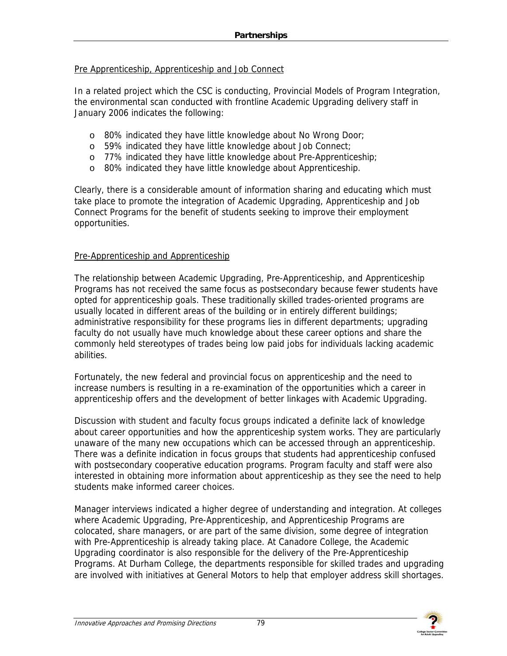#### Pre Apprenticeship, Apprenticeship and Job Connect

In a related project which the CSC is conducting, Provincial Models of Program Integration, the environmental scan conducted with frontline Academic Upgrading delivery staff in January 2006 indicates the following:

- o 80% indicated they have little knowledge about No Wrong Door;
- o 59% indicated they have little knowledge about Job Connect;
- o 77% indicated they have little knowledge about Pre-Apprenticeship;
- o 80% indicated they have little knowledge about Apprenticeship.

Clearly, there is a considerable amount of information sharing and educating which must take place to promote the integration of Academic Upgrading, Apprenticeship and Job Connect Programs for the benefit of students seeking to improve their employment opportunities.

#### Pre-Apprenticeship and Apprenticeship

The relationship between Academic Upgrading, Pre-Apprenticeship, and Apprenticeship Programs has not received the same focus as postsecondary because fewer students have opted for apprenticeship goals. These traditionally skilled trades-oriented programs are usually located in different areas of the building or in entirely different buildings; administrative responsibility for these programs lies in different departments; upgrading faculty do not usually have much knowledge about these career options and share the commonly held stereotypes of trades being low paid jobs for individuals lacking academic abilities.

Fortunately, the new federal and provincial focus on apprenticeship and the need to increase numbers is resulting in a re-examination of the opportunities which a career in apprenticeship offers and the development of better linkages with Academic Upgrading.

Discussion with student and faculty focus groups indicated a definite lack of knowledge about career opportunities and how the apprenticeship system works. They are particularly unaware of the many new occupations which can be accessed through an apprenticeship. There was a definite indication in focus groups that students had apprenticeship confused with postsecondary cooperative education programs. Program faculty and staff were also interested in obtaining more information about apprenticeship as they see the need to help students make informed career choices.

Manager interviews indicated a higher degree of understanding and integration. At colleges where Academic Upgrading, Pre-Apprenticeship, and Apprenticeship Programs are colocated, share managers, or are part of the same division, some degree of integration with Pre-Apprenticeship is already taking place. At Canadore College, the Academic Upgrading coordinator is also responsible for the delivery of the Pre-Apprenticeship Programs. At Durham College, the departments responsible for skilled trades and upgrading are involved with initiatives at General Motors to help that employer address skill shortages.

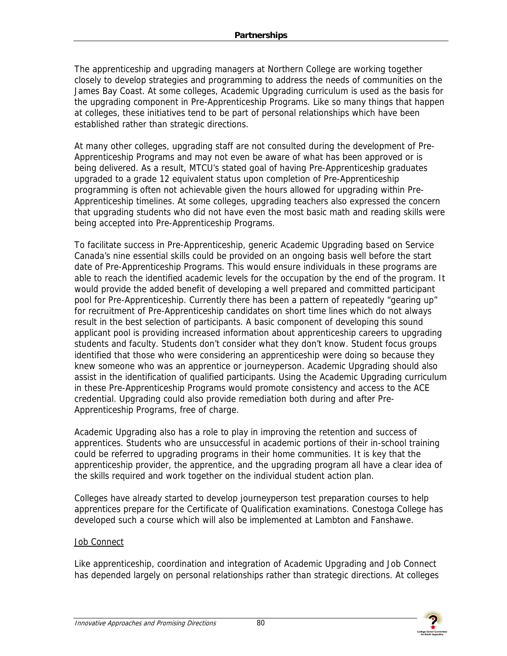The apprenticeship and upgrading managers at Northern College are working together closely to develop strategies and programming to address the needs of communities on the James Bay Coast. At some colleges, Academic Upgrading curriculum is used as the basis for the upgrading component in Pre-Apprenticeship Programs. Like so many things that happen at colleges, these initiatives tend to be part of personal relationships which have been established rather than strategic directions.

At many other colleges, upgrading staff are not consulted during the development of Pre-Apprenticeship Programs and may not even be aware of what has been approved or is being delivered. As a result, MTCU's stated goal of having Pre-Apprenticeship graduates upgraded to a grade 12 equivalent status upon completion of Pre-Apprenticeship programming is often not achievable given the hours allowed for upgrading within Pre-Apprenticeship timelines. At some colleges, upgrading teachers also expressed the concern that upgrading students who did not have even the most basic math and reading skills were being accepted into Pre-Apprenticeship Programs.

To facilitate success in Pre-Apprenticeship, generic Academic Upgrading based on Service Canada's nine essential skills could be provided on an ongoing basis well before the start date of Pre-Apprenticeship Programs. This would ensure individuals in these programs are able to reach the identified academic levels for the occupation by the end of the program. It would provide the added benefit of developing a well prepared and committed participant pool for Pre-Apprenticeship. Currently there has been a pattern of repeatedly "gearing up" for recruitment of Pre-Apprenticeship candidates on short time lines which do not always result in the best selection of participants. A basic component of developing this sound applicant pool is providing increased information about apprenticeship careers to upgrading students and faculty. Students don't consider what they don't know. Student focus groups identified that those who were considering an apprenticeship were doing so because they knew someone who was an apprentice or journeyperson. Academic Upgrading should also assist in the identification of qualified participants. Using the Academic Upgrading curriculum in these Pre-Apprenticeship Programs would promote consistency and access to the ACE credential. Upgrading could also provide remediation both during and after Pre-Apprenticeship Programs, free of charge.

Academic Upgrading also has a role to play in improving the retention and success of apprentices. Students who are unsuccessful in academic portions of their in-school training could be referred to upgrading programs in their home communities. It is key that the apprenticeship provider, the apprentice, and the upgrading program all have a clear idea of the skills required and work together on the individual student action plan.

Colleges have already started to develop journeyperson test preparation courses to help apprentices prepare for the Certificate of Qualification examinations. Conestoga College has developed such a course which will also be implemented at Lambton and Fanshawe.

#### Job Connect

Like apprenticeship, coordination and integration of Academic Upgrading and Job Connect has depended largely on personal relationships rather than strategic directions. At colleges

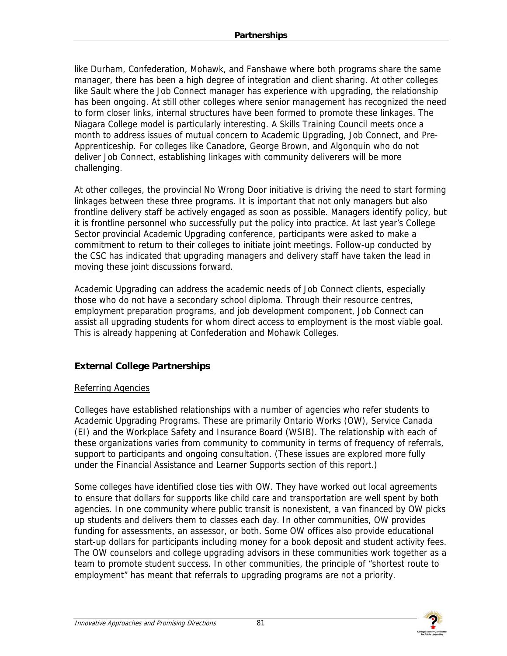like Durham, Confederation, Mohawk, and Fanshawe where both programs share the same manager, there has been a high degree of integration and client sharing. At other colleges like Sault where the Job Connect manager has experience with upgrading, the relationship has been ongoing. At still other colleges where senior management has recognized the need to form closer links, internal structures have been formed to promote these linkages. The Niagara College model is particularly interesting. A Skills Training Council meets once a month to address issues of mutual concern to Academic Upgrading, Job Connect, and Pre-Apprenticeship. For colleges like Canadore, George Brown, and Algonquin who do not deliver Job Connect, establishing linkages with community deliverers will be more challenging.

At other colleges, the provincial No Wrong Door initiative is driving the need to start forming linkages between these three programs. It is important that not only managers but also frontline delivery staff be actively engaged as soon as possible. Managers identify policy, but it is frontline personnel who successfully put the policy into practice. At last year's College Sector provincial Academic Upgrading conference, participants were asked to make a commitment to return to their colleges to initiate joint meetings. Follow-up conducted by the CSC has indicated that upgrading managers and delivery staff have taken the lead in moving these joint discussions forward.

Academic Upgrading can address the academic needs of Job Connect clients, especially those who do not have a secondary school diploma. Through their resource centres, employment preparation programs, and job development component, Job Connect can assist all upgrading students for whom direct access to employment is the most viable goal. This is already happening at Confederation and Mohawk Colleges.

## **External College Partnerships**

#### Referring Agencies

Colleges have established relationships with a number of agencies who refer students to Academic Upgrading Programs. These are primarily Ontario Works (OW), Service Canada (EI) and the Workplace Safety and Insurance Board (WSIB). The relationship with each of these organizations varies from community to community in terms of frequency of referrals, support to participants and ongoing consultation. (These issues are explored more fully under the Financial Assistance and Learner Supports section of this report.)

Some colleges have identified close ties with OW. They have worked out local agreements to ensure that dollars for supports like child care and transportation are well spent by both agencies. In one community where public transit is nonexistent, a van financed by OW picks up students and delivers them to classes each day. In other communities, OW provides funding for assessments, an assessor, or both. Some OW offices also provide educational start-up dollars for participants including money for a book deposit and student activity fees. The OW counselors and college upgrading advisors in these communities work together as a team to promote student success. In other communities, the principle of "shortest route to employment" has meant that referrals to upgrading programs are not a priority.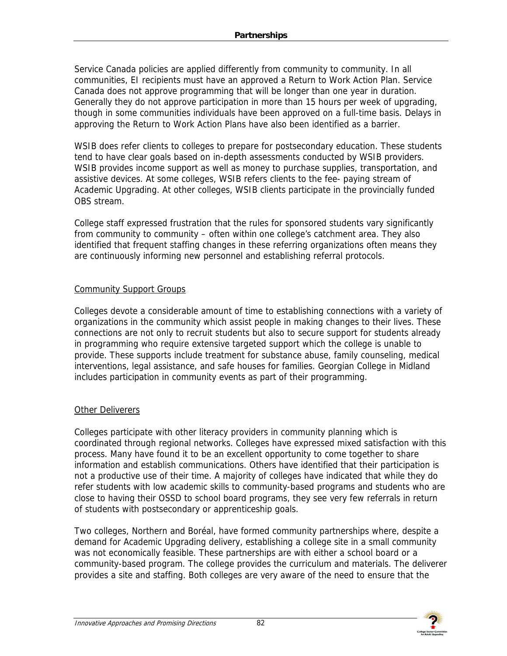Service Canada policies are applied differently from community to community. In all communities, EI recipients must have an approved a Return to Work Action Plan. Service Canada does not approve programming that will be longer than one year in duration. Generally they do not approve participation in more than 15 hours per week of upgrading, though in some communities individuals have been approved on a full-time basis. Delays in approving the Return to Work Action Plans have also been identified as a barrier.

WSIB does refer clients to colleges to prepare for postsecondary education. These students tend to have clear goals based on in-depth assessments conducted by WSIB providers. WSIB provides income support as well as money to purchase supplies, transportation, and assistive devices. At some colleges, WSIB refers clients to the fee- paying stream of Academic Upgrading. At other colleges, WSIB clients participate in the provincially funded OBS stream.

College staff expressed frustration that the rules for sponsored students vary significantly from community to community – often within one college's catchment area. They also identified that frequent staffing changes in these referring organizations often means they are continuously informing new personnel and establishing referral protocols.

#### Community Support Groups

Colleges devote a considerable amount of time to establishing connections with a variety of organizations in the community which assist people in making changes to their lives. These connections are not only to recruit students but also to secure support for students already in programming who require extensive targeted support which the college is unable to provide. These supports include treatment for substance abuse, family counseling, medical interventions, legal assistance, and safe houses for families. Georgian College in Midland includes participation in community events as part of their programming.

#### Other Deliverers

Colleges participate with other literacy providers in community planning which is coordinated through regional networks. Colleges have expressed mixed satisfaction with this process. Many have found it to be an excellent opportunity to come together to share information and establish communications. Others have identified that their participation is not a productive use of their time. A majority of colleges have indicated that while they do refer students with low academic skills to community-based programs and students who are close to having their OSSD to school board programs, they see very few referrals in return of students with postsecondary or apprenticeship goals.

Two colleges, Northern and Boréal, have formed community partnerships where, despite a demand for Academic Upgrading delivery, establishing a college site in a small community was not economically feasible. These partnerships are with either a school board or a community-based program. The college provides the curriculum and materials. The deliverer provides a site and staffing. Both colleges are very aware of the need to ensure that the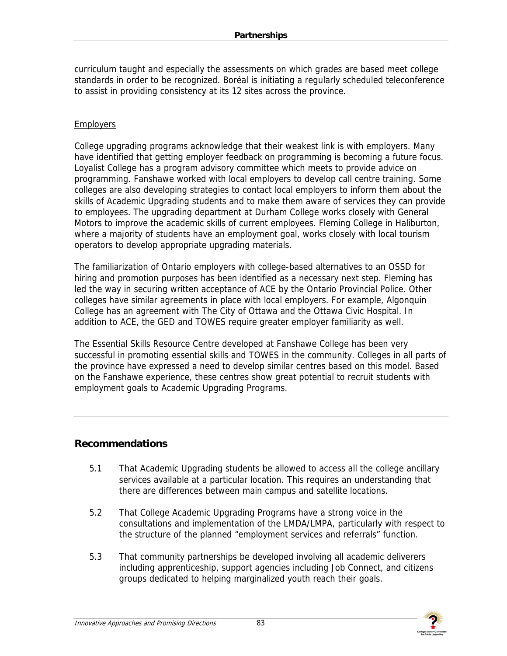curriculum taught and especially the assessments on which grades are based meet college standards in order to be recognized. Boréal is initiating a regularly scheduled teleconference to assist in providing consistency at its 12 sites across the province.

#### **Employers**

College upgrading programs acknowledge that their weakest link is with employers. Many have identified that getting employer feedback on programming is becoming a future focus. Loyalist College has a program advisory committee which meets to provide advice on programming. Fanshawe worked with local employers to develop call centre training. Some colleges are also developing strategies to contact local employers to inform them about the skills of Academic Upgrading students and to make them aware of services they can provide to employees. The upgrading department at Durham College works closely with General Motors to improve the academic skills of current employees. Fleming College in Haliburton, where a majority of students have an employment goal, works closely with local tourism operators to develop appropriate upgrading materials.

The familiarization of Ontario employers with college-based alternatives to an OSSD for hiring and promotion purposes has been identified as a necessary next step. Fleming has led the way in securing written acceptance of ACE by the Ontario Provincial Police. Other colleges have similar agreements in place with local employers. For example, Algonquin College has an agreement with The City of Ottawa and the Ottawa Civic Hospital. In addition to ACE, the GED and TOWES require greater employer familiarity as well.

The Essential Skills Resource Centre developed at Fanshawe College has been very successful in promoting essential skills and TOWES in the community. Colleges in all parts of the province have expressed a need to develop similar centres based on this model. Based on the Fanshawe experience, these centres show great potential to recruit students with employment goals to Academic Upgrading Programs.

## **Recommendations**

- 5.1 That Academic Upgrading students be allowed to access all the college ancillary services available at a particular location. This requires an understanding that there are differences between main campus and satellite locations.
- 5.2 That College Academic Upgrading Programs have a strong voice in the consultations and implementation of the LMDA/LMPA, particularly with respect to the structure of the planned "employment services and referrals" function.
- 5.3 That community partnerships be developed involving all academic deliverers including apprenticeship, support agencies including Job Connect, and citizens groups dedicated to helping marginalized youth reach their goals.

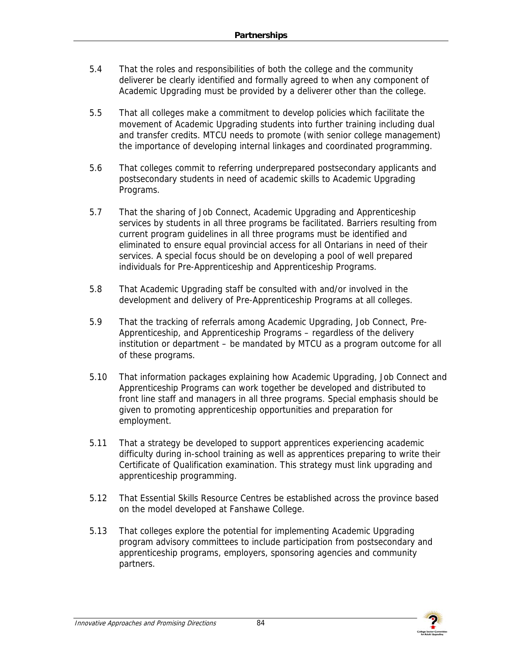- 5.4 That the roles and responsibilities of both the college and the community deliverer be clearly identified and formally agreed to when any component of Academic Upgrading must be provided by a deliverer other than the college.
- 5.5 That all colleges make a commitment to develop policies which facilitate the movement of Academic Upgrading students into further training including dual and transfer credits. MTCU needs to promote (with senior college management) the importance of developing internal linkages and coordinated programming.
- 5.6 That colleges commit to referring underprepared postsecondary applicants and postsecondary students in need of academic skills to Academic Upgrading Programs.
- 5.7 That the sharing of Job Connect, Academic Upgrading and Apprenticeship services by students in all three programs be facilitated. Barriers resulting from current program guidelines in all three programs must be identified and eliminated to ensure equal provincial access for all Ontarians in need of their services. A special focus should be on developing a pool of well prepared individuals for Pre-Apprenticeship and Apprenticeship Programs.
- 5.8 That Academic Upgrading staff be consulted with and/or involved in the development and delivery of Pre-Apprenticeship Programs at all colleges.
- 5.9 That the tracking of referrals among Academic Upgrading, Job Connect, Pre-Apprenticeship, and Apprenticeship Programs – regardless of the delivery institution or department – be mandated by MTCU as a program outcome for all of these programs.
- 5.10 That information packages explaining how Academic Upgrading, Job Connect and Apprenticeship Programs can work together be developed and distributed to front line staff and managers in all three programs. Special emphasis should be given to promoting apprenticeship opportunities and preparation for employment.
- 5.11 That a strategy be developed to support apprentices experiencing academic difficulty during in-school training as well as apprentices preparing to write their Certificate of Qualification examination. This strategy must link upgrading and apprenticeship programming.
- 5.12 That Essential Skills Resource Centres be established across the province based on the model developed at Fanshawe College.
- 5.13 That colleges explore the potential for implementing Academic Upgrading program advisory committees to include participation from postsecondary and apprenticeship programs, employers, sponsoring agencies and community partners.

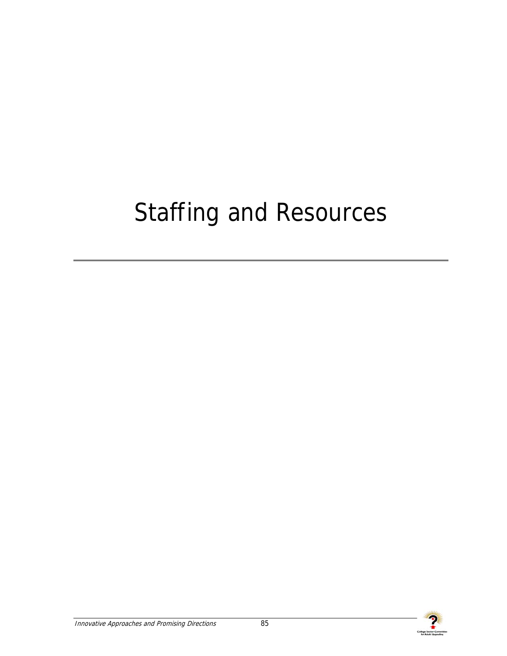# Staffing and Resources

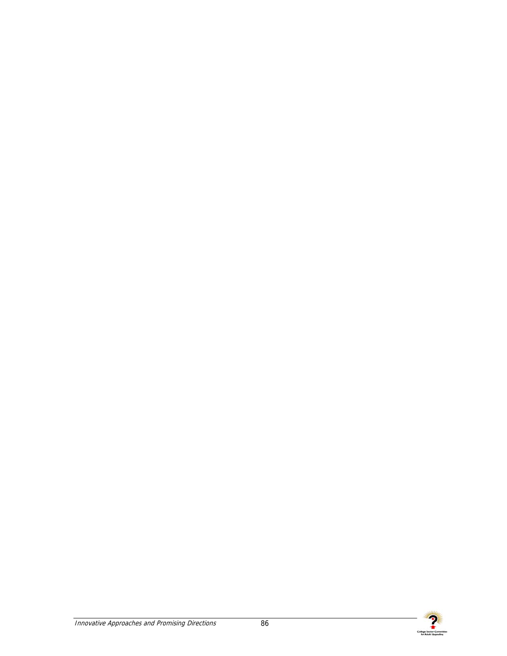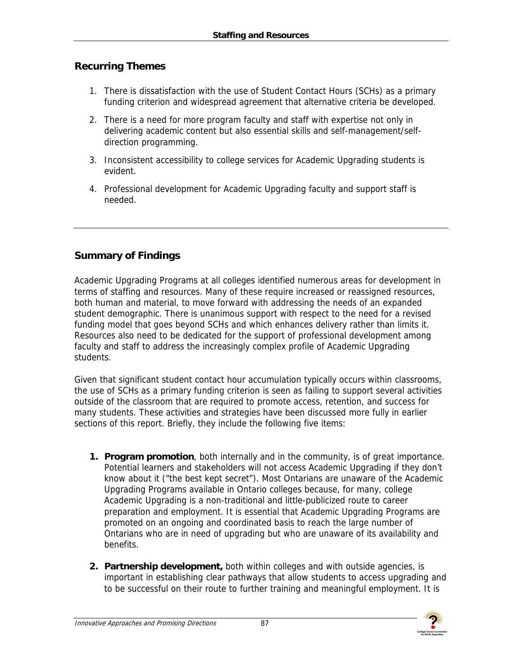## **Recurring Themes**

- 1. There is dissatisfaction with the use of Student Contact Hours (SCHs) as a primary funding criterion and widespread agreement that alternative criteria be developed.
- 2. There is a need for more program faculty and staff with expertise not only in delivering academic content but also essential skills and self-management/selfdirection programming.
- 3. Inconsistent accessibility to college services for Academic Upgrading students is evident.
- 4. Professional development for Academic Upgrading faculty and support staff is needed.

# **Summary of Findings**

Academic Upgrading Programs at all colleges identified numerous areas for development in terms of staffing and resources. Many of these require increased or reassigned resources, both human and material, to move forward with addressing the needs of an expanded student demographic. There is unanimous support with respect to the need for a revised funding model that goes beyond SCHs and which enhances delivery rather than limits it. Resources also need to be dedicated for the support of professional development among faculty and staff to address the increasingly complex profile of Academic Upgrading students.

Given that significant student contact hour accumulation typically occurs within classrooms, the use of SCHs as a primary funding criterion is seen as failing to support several activities outside of the classroom that are required to promote access, retention, and success for many students. These activities and strategies have been discussed more fully in earlier sections of this report. Briefly, they include the following five items:

- **1. Program promotion**, both internally and in the community, is of great importance. Potential learners and stakeholders will not access Academic Upgrading if they don't know about it ("the best kept secret"). Most Ontarians are unaware of the Academic Upgrading Programs available in Ontario colleges because, for many, college Academic Upgrading is a non-traditional and little-publicized route to career preparation and employment. It is essential that Academic Upgrading Programs are promoted on an ongoing and coordinated basis to reach the large number of Ontarians who are in need of upgrading but who are unaware of its availability and benefits.
- **2. Partnership development,** both within colleges and with outside agencies, is important in establishing clear pathways that allow students to access upgrading and to be successful on their route to further training and meaningful employment. It is

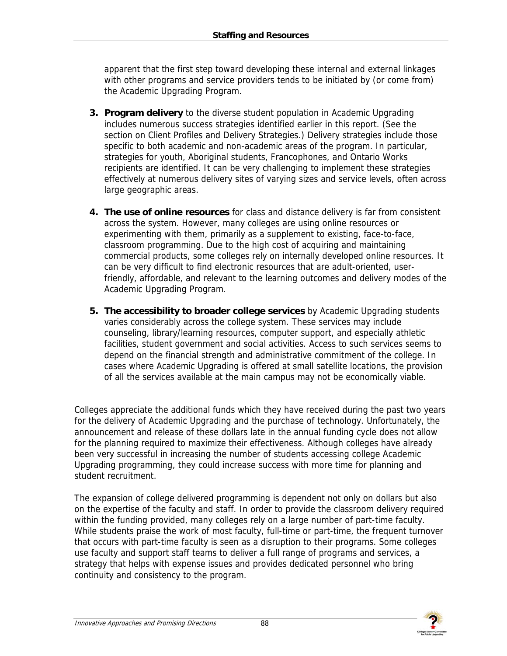apparent that the first step toward developing these internal and external linkages with other programs and service providers tends to be initiated by (or come from) the Academic Upgrading Program.

- **3. Program delivery** to the diverse student population in Academic Upgrading includes numerous success strategies identified earlier in this report. (See the section on Client Profiles and Delivery Strategies.) Delivery strategies include those specific to both academic and non-academic areas of the program. In particular, strategies for youth, Aboriginal students, Francophones, and Ontario Works recipients are identified. It can be very challenging to implement these strategies effectively at numerous delivery sites of varying sizes and service levels, often across large geographic areas.
- **4. The use of online resources** for class and distance delivery is far from consistent across the system. However, many colleges are using online resources or experimenting with them, primarily as a supplement to existing, face-to-face, classroom programming. Due to the high cost of acquiring and maintaining commercial products, some colleges rely on internally developed online resources. It can be very difficult to find electronic resources that are adult-oriented, userfriendly, affordable, and relevant to the learning outcomes and delivery modes of the Academic Upgrading Program.
- **5. The accessibility to broader college services** by Academic Upgrading students varies considerably across the college system. These services may include counseling, library/learning resources, computer support, and especially athletic facilities, student government and social activities. Access to such services seems to depend on the financial strength and administrative commitment of the college. In cases where Academic Upgrading is offered at small satellite locations, the provision of all the services available at the main campus may not be economically viable.

Colleges appreciate the additional funds which they have received during the past two years for the delivery of Academic Upgrading and the purchase of technology. Unfortunately, the announcement and release of these dollars late in the annual funding cycle does not allow for the planning required to maximize their effectiveness. Although colleges have already been very successful in increasing the number of students accessing college Academic Upgrading programming, they could increase success with more time for planning and student recruitment.

The expansion of college delivered programming is dependent not only on dollars but also on the expertise of the faculty and staff. In order to provide the classroom delivery required within the funding provided, many colleges rely on a large number of part-time faculty. While students praise the work of most faculty, full-time or part-time, the frequent turnover that occurs with part-time faculty is seen as a disruption to their programs. Some colleges use faculty and support staff teams to deliver a full range of programs and services, a strategy that helps with expense issues and provides dedicated personnel who bring continuity and consistency to the program.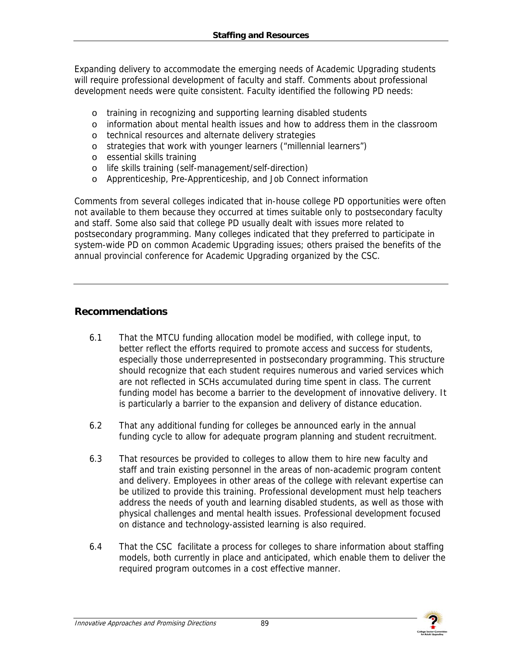Expanding delivery to accommodate the emerging needs of Academic Upgrading students will require professional development of faculty and staff. Comments about professional development needs were quite consistent. Faculty identified the following PD needs:

- o training in recognizing and supporting learning disabled students
- o information about mental health issues and how to address them in the classroom
- o technical resources and alternate delivery strategies
- o strategies that work with younger learners ("millennial learners")
- o essential skills training
- o life skills training (self-management/self-direction)
- o Apprenticeship, Pre-Apprenticeship, and Job Connect information

Comments from several colleges indicated that in-house college PD opportunities were often not available to them because they occurred at times suitable only to postsecondary faculty and staff. Some also said that college PD usually dealt with issues more related to postsecondary programming. Many colleges indicated that they preferred to participate in system-wide PD on common Academic Upgrading issues; others praised the benefits of the annual provincial conference for Academic Upgrading organized by the CSC.

## **Recommendations**

- 6.1 That the MTCU funding allocation model be modified, with college input, to better reflect the efforts required to promote access and success for students, especially those underrepresented in postsecondary programming. This structure should recognize that each student requires numerous and varied services which are not reflected in SCHs accumulated during time spent in class. The current funding model has become a barrier to the development of innovative delivery. It is particularly a barrier to the expansion and delivery of distance education.
- 6.2 That any additional funding for colleges be announced early in the annual funding cycle to allow for adequate program planning and student recruitment.
- 6.3 That resources be provided to colleges to allow them to hire new faculty and staff and train existing personnel in the areas of non-academic program content and delivery. Employees in other areas of the college with relevant expertise can be utilized to provide this training. Professional development must help teachers address the needs of youth and learning disabled students, as well as those with physical challenges and mental health issues. Professional development focused on distance and technology-assisted learning is also required.
- 6.4 That the CSC facilitate a process for colleges to share information about staffing models, both currently in place and anticipated, which enable them to deliver the required program outcomes in a cost effective manner.

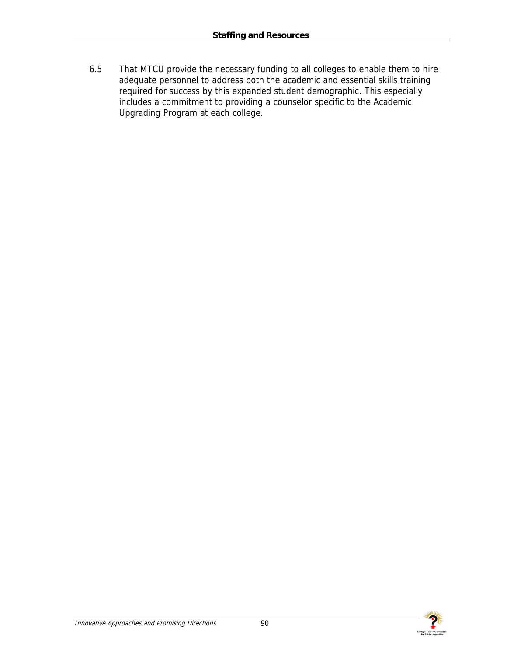6.5 That MTCU provide the necessary funding to all colleges to enable them to hire adequate personnel to address both the academic and essential skills training required for success by this expanded student demographic. This especially includes a commitment to providing a counselor specific to the Academic Upgrading Program at each college.

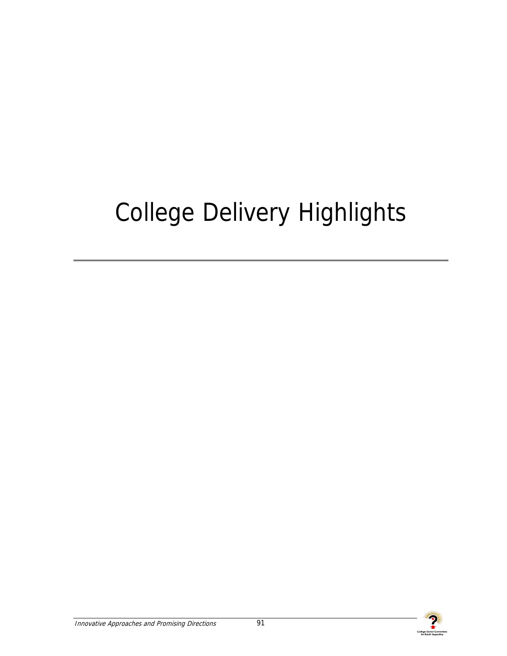# College Delivery Highlights

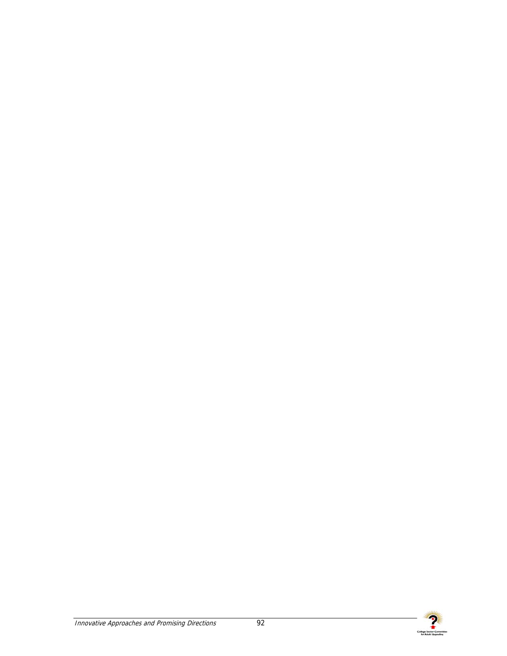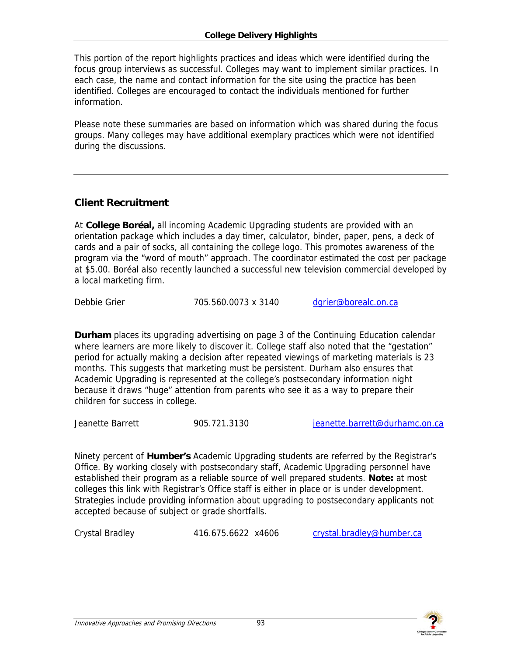This portion of the report highlights practices and ideas which were identified during the focus group interviews as successful. Colleges may want to implement similar practices. In each case, the name and contact information for the site using the practice has been identified. Colleges are encouraged to contact the individuals mentioned for further information.

Please note these summaries are based on information which was shared during the focus groups. Many colleges may have additional exemplary practices which were not identified during the discussions.

# **Client Recruitment**

At **College Boréal,** all incoming Academic Upgrading students are provided with an orientation package which includes a day timer, calculator, binder, paper, pens, a deck of cards and a pair of socks, all containing the college logo. This promotes awareness of the program via the "word of mouth" approach. The coordinator estimated the cost per package at \$5.00. Boréal also recently launched a successful new television commercial developed by a local marketing firm.

Debbie Grier 705.560.0073 x 3140 dgrier@borealc.on.ca

**Durham** places its upgrading advertising on page 3 of the Continuing Education calendar where learners are more likely to discover it. College staff also noted that the "gestation" period for actually making a decision after repeated viewings of marketing materials is 23 months. This suggests that marketing must be persistent. Durham also ensures that Academic Upgrading is represented at the college's postsecondary information night because it draws "huge" attention from parents who see it as a way to prepare their children for success in college.

Jeanette Barrett 905.721.3130 jeanette.barrett@durhamc.on.ca

Ninety percent of **Humber's** Academic Upgrading students are referred by the Registrar's Office. By working closely with postsecondary staff, Academic Upgrading personnel have established their program as a reliable source of well prepared students. **Note:** at most colleges this link with Registrar's Office staff is either in place or is under development. Strategies include providing information about upgrading to postsecondary applicants not accepted because of subject or grade shortfalls.

Crystal Bradley 416.675.6622 x4606 crystal.bradley@humber.ca



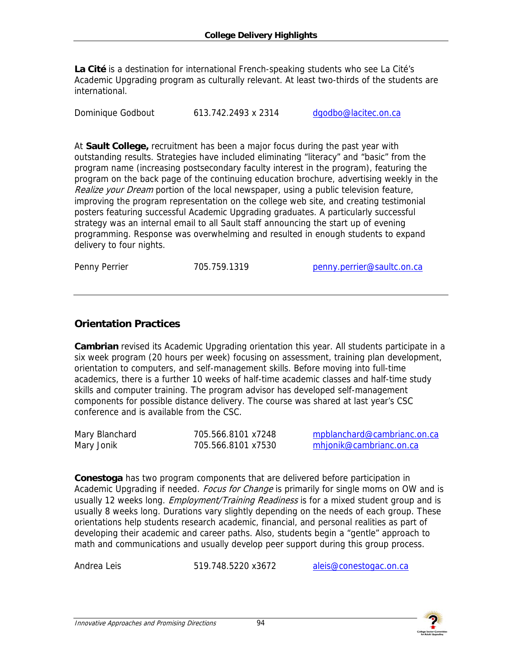**La Cité** is a destination for international French-speaking students who see La Cité's Academic Upgrading program as culturally relevant. At least two-thirds of the students are international.

Dominique Godbout 613.742.2493 x 2314 dgodbo@lacitec.on.ca

At **Sault College,** recruitment has been a major focus during the past year with outstanding results. Strategies have included eliminating "literacy" and "basic" from the program name (increasing postsecondary faculty interest in the program), featuring the program on the back page of the continuing education brochure, advertising weekly in the Realize your Dream portion of the local newspaper, using a public television feature, improving the program representation on the college web site, and creating testimonial posters featuring successful Academic Upgrading graduates. A particularly successful strategy was an internal email to all Sault staff announcing the start up of evening programming. Response was overwhelming and resulted in enough students to expand delivery to four nights.

| Penny Perrier | 705.759.1319 | penny.perrier@saultc.on.ca |
|---------------|--------------|----------------------------|
|---------------|--------------|----------------------------|

## **Orientation Practices**

**Cambrian** revised its Academic Upgrading orientation this year. All students participate in a six week program (20 hours per week) focusing on assessment, training plan development, orientation to computers, and self-management skills. Before moving into full-time academics, there is a further 10 weeks of half-time academic classes and half-time study skills and computer training. The program advisor has developed self-management components for possible distance delivery. The course was shared at last year's CSC conference and is available from the CSC.

| Mary Blanchard | 705.566.8101 x7248 | mpblanchard@cambrianc.on.ca |
|----------------|--------------------|-----------------------------|
| Mary Jonik     | 705.566.8101 x7530 | mhjonik@cambrianc.on.ca     |

**Conestoga** has two program components that are delivered before participation in Academic Upgrading if needed. *Focus for Change* is primarily for single moms on OW and is usually 12 weeks long. *Employment/Training Readiness* is for a mixed student group and is usually 8 weeks long. Durations vary slightly depending on the needs of each group. These orientations help students research academic, financial, and personal realities as part of developing their academic and career paths. Also, students begin a "gentle" approach to math and communications and usually develop peer support during this group process.

Andrea Leis 619.748.5220 x 3672 aleis@conestogac.on.ca

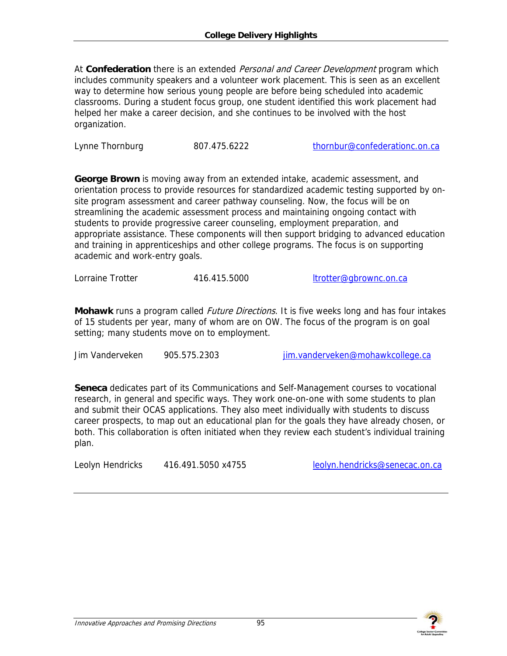At **Confederation** there is an extended Personal and Career Development program which includes community speakers and a volunteer work placement. This is seen as an excellent way to determine how serious young people are before being scheduled into academic classrooms. During a student focus group, one student identified this work placement had helped her make a career decision, and she continues to be involved with the host organization.

Lynne Thornburg 807.475.6222 thornbur@confederationc.on.ca

**George Brown** is moving away from an extended intake, academic assessment, and orientation process to provide resources for standardized academic testing supported by onsite program assessment and career pathway counseling. Now, the focus will be on streamlining the academic assessment process and maintaining ongoing contact with students to provide progressive career counseling, employment preparation, and appropriate assistance. These components will then support bridging to advanced education and training in apprenticeships and other college programs. The focus is on supporting academic and work-entry goals.

Lorraine Trotter **416.415.5000** ltrotter@gbrownc.on.ca

**Mohawk** runs a program called *Future Directions*. It is five weeks long and has four intakes of 15 students per year, many of whom are on OW. The focus of the program is on goal setting; many students move on to employment.

Jim Vanderveken 905.575.2303 jim.vanderveken@mohawkcollege.ca

**Seneca** dedicates part of its Communications and Self-Management courses to vocational research, in general and specific ways. They work one-on-one with some students to plan and submit their OCAS applications. They also meet individually with students to discuss career prospects, to map out an educational plan for the goals they have already chosen, or both. This collaboration is often initiated when they review each student's individual training plan.

Leolyn Hendricks 416.491.5050 x4755 leolyn.hendricks@senecac.on.ca

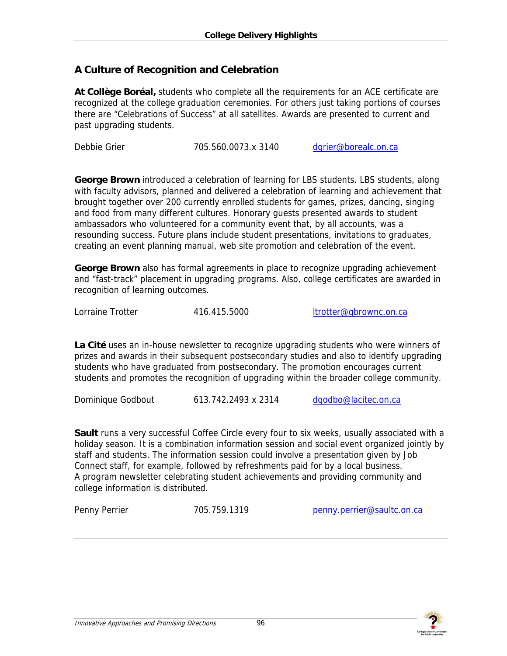## **A Culture of Recognition and Celebration**

**At Collège Boréal,** students who complete all the requirements for an ACE certificate are recognized at the college graduation ceremonies. For others just taking portions of courses there are "Celebrations of Success" at all satellites. Awards are presented to current and past upgrading students.

Debbie Grier The Christian of the Tobalism of the Christian of the Debbie Grief Oriental Christian of the Debbie of the Debbie of the Debbie of the Debbie of the Debbie of the Debbie of the Debbie of the Debbie of the Debb

**George Brown** introduced a celebration of learning for LBS students. LBS students, along with faculty advisors, planned and delivered a celebration of learning and achievement that brought together over 200 currently enrolled students for games, prizes, dancing, singing and food from many different cultures. Honorary guests presented awards to student ambassadors who volunteered for a community event that, by all accounts, was a resounding success. Future plans include student presentations, invitations to graduates, creating an event planning manual, web site promotion and celebration of the event.

**George Brown** also has formal agreements in place to recognize upgrading achievement and "fast-track" placement in upgrading programs. Also, college certificates are awarded in recognition of learning outcomes.

Lorraine Trotter **416.415.5000** ltrotter@gbrownc.on.ca

**La Cité** uses an in-house newsletter to recognize upgrading students who were winners of prizes and awards in their subsequent postsecondary studies and also to identify upgrading students who have graduated from postsecondary. The promotion encourages current students and promotes the recognition of upgrading within the broader college community.

Dominique Godbout 613.742.2493 x 2314 dgodbo@lacitec.on.ca

Sault runs a very successful Coffee Circle every four to six weeks, usually associated with a holiday season. It is a combination information session and social event organized jointly by staff and students. The information session could involve a presentation given by Job Connect staff, for example, followed by refreshments paid for by a local business. A program newsletter celebrating student achievements and providing community and college information is distributed.

Penny Perrier **19.1319** penny.perrier@saultc.on.ca

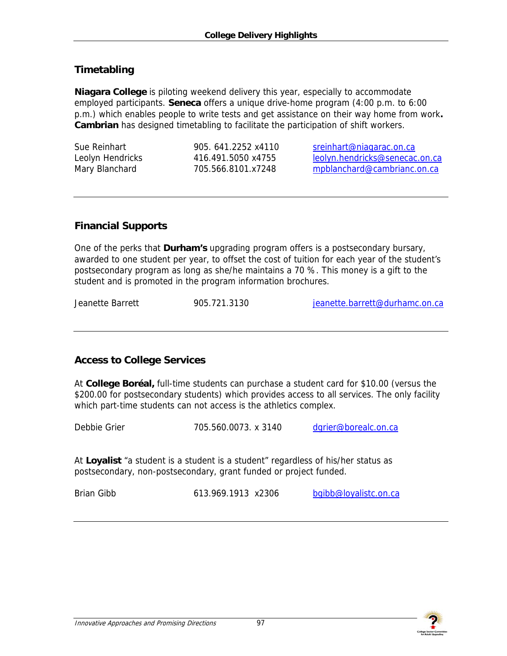# **Timetabling**

**Niagara College** is piloting weekend delivery this year, especially to accommodate employed participants. **Seneca** offers a unique drive-home program (4:00 p.m. to 6:00 p.m.) which enables people to write tests and get assistance on their way home from work**. Cambrian** has designed timetabling to facilitate the participation of shift workers.

Sue Reinhart **905. 641.2252 x4110** sreinhart@niagarac.on.ca Leolyn Hendricks 416.491.5050 x4755 leolyn.hendricks@senecac.on.ca Mary Blanchard **1998** 705.566.8101.x7248 mpblanchard@cambrianc.on.ca

## **Financial Supports**

One of the perks that **Durham's** upgrading program offers is a postsecondary bursary, awarded to one student per year, to offset the cost of tuition for each year of the student's postsecondary program as long as she/he maintains a 70 %. This money is a gift to the student and is promoted in the program information brochures.

Jeanette Barrett **905.721.3130** *jeanette.barrett@durhamc.on.ca* 

#### **Access to College Services**

At **College Boréal,** full-time students can purchase a student card for \$10.00 (versus the \$200.00 for postsecondary students) which provides access to all services. The only facility which part-time students can not access is the athletics complex.

Debbie Grier 705.560.0073. x 3140 dgrier@borealc.on.ca

At **Loyalist** "a student is a student is a student" regardless of his/her status as postsecondary, non-postsecondary, grant funded or project funded.

Brian Gibb 613.969.1913 x2306 bgibb@loyalistc.on.ca

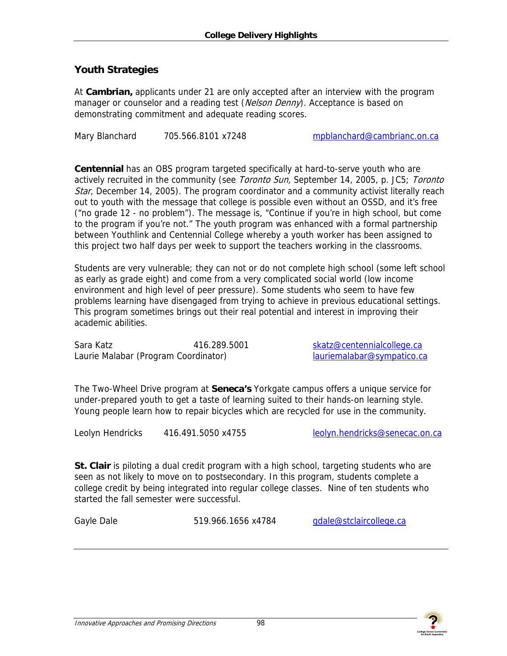## **Youth Strategies**

At **Cambrian,** applicants under 21 are only accepted after an interview with the program manager or counselor and a reading test (Nelson Denny). Acceptance is based on demonstrating commitment and adequate reading scores.

Mary Blanchard 705.566.8101 x7248 mpblanchard@cambrianc.on.ca

**Centennial** has an OBS program targeted specifically at hard-to-serve youth who are actively recruited in the community (see *Toronto Sun*, September 14, 2005, p. JC5; Toronto Star, December 14, 2005). The program coordinator and a community activist literally reach out to youth with the message that college is possible even without an OSSD, and it's free ("no grade 12 - no problem"). The message is, "Continue if you're in high school, but come to the program if you're not." The youth program was enhanced with a formal partnership between Youthlink and Centennial College whereby a youth worker has been assigned to this project two half days per week to support the teachers working in the classrooms.

Students are very vulnerable; they can not or do not complete high school (some left school as early as grade eight) and come from a very complicated social world (low income environment and high level of peer pressure). Some students who seem to have few problems learning have disengaged from trying to achieve in previous educational settings. This program sometimes brings out their real potential and interest in improving their academic abilities.

Sara Katz 416.289.5001 skatz@centennialcollege.ca Laurie Malabar (Program Coordinator) lauriemalabar@sympatico.ca

The Two-Wheel Drive program at **Seneca's** Yorkgate campus offers a unique service for under-prepared youth to get a taste of learning suited to their hands-on learning style. Young people learn how to repair bicycles which are recycled for use in the community.

Leolyn Hendricks 416.491.5050 x4755 leolyn.hendricks@senecac.on.ca

**St. Clair** is piloting a dual credit program with a high school, targeting students who are seen as not likely to move on to postsecondary. In this program, students complete a college credit by being integrated into regular college classes. Nine of ten students who started the fall semester were successful.

Gayle Dale 619.966.1656 x4784 gdale@stclaircollege.ca

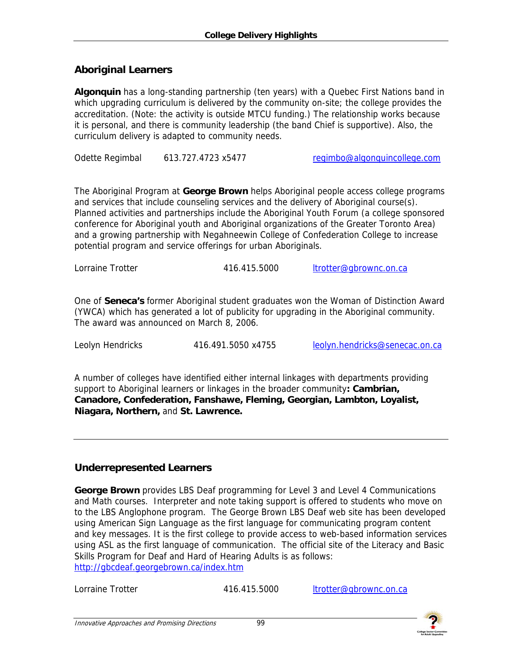### **Aboriginal Learners**

**Algonquin** has a long-standing partnership (ten years) with a Quebec First Nations band in which upgrading curriculum is delivered by the community on-site; the college provides the accreditation. (Note: the activity is outside MTCU funding.) The relationship works because it is personal, and there is community leadership (the band Chief is supportive). Also, the curriculum delivery is adapted to community needs.

Odette Regimbal 613.727.4723 x5477 regimbo@algonquincollege.com

The Aboriginal Program at **George Brown** helps Aboriginal people access college programs and services that include counseling services and the delivery of Aboriginal course(s). Planned activities and partnerships include the Aboriginal Youth Forum (a college sponsored conference for Aboriginal youth and Aboriginal organizations of the Greater Toronto Area) and a growing partnership with Negahneewin College of Confederation College to increase potential program and service offerings for urban Aboriginals.

Lorraine Trotter 116.415.5000 ltrotter@gbrownc.on.ca

One of **Seneca's** former Aboriginal student graduates won the Woman of Distinction Award (YWCA) which has generated a lot of publicity for upgrading in the Aboriginal community. The award was announced on March 8, 2006.

Leolyn Hendricks 416.491.5050 x4755 leolyn.hendricks@senecac.on.ca

A number of colleges have identified either internal linkages with departments providing support to Aboriginal learners or linkages in the broader community**: Cambrian, Canadore, Confederation, Fanshawe, Fleming, Georgian, Lambton, Loyalist, Niagara, Northern,** and **St. Lawrence.** 

## **Underrepresented Learners**

**George Brown** provides LBS Deaf programming for Level 3 and Level 4 Communications and Math courses. Interpreter and note taking support is offered to students who move on to the LBS Anglophone program. The George Brown LBS Deaf web site has been developed using American Sign Language as the first language for communicating program content and key messages. It is the first college to provide access to web-based information services using ASL as the first language of communication. The official site of the Literacy and Basic Skills Program for Deaf and Hard of Hearing Adults is as follows: http://gbcdeaf.georgebrown.ca/index.htm

Lorraine Trotter **116.415.5000** ltrotter@gbrownc.on.ca

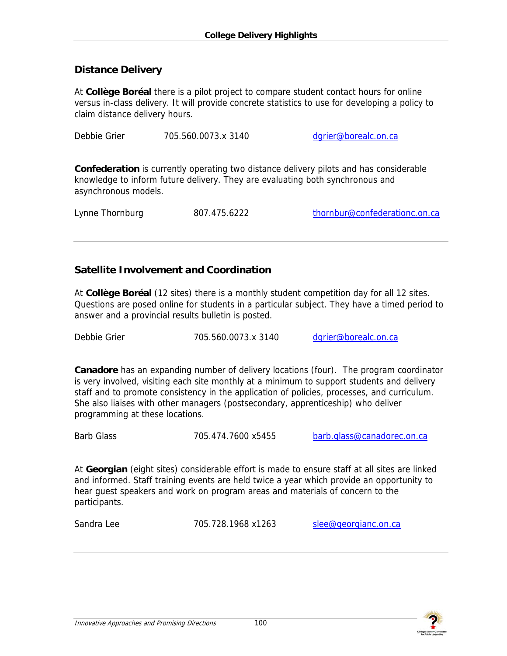#### **Distance Delivery**

At **Collège Boréal** there is a pilot project to compare student contact hours for online versus in-class delivery. It will provide concrete statistics to use for developing a policy to claim distance delivery hours.

Debbie Grier 705.560.0073.x 3140 dgrier@borealc.on.ca

**Confederation** is currently operating two distance delivery pilots and has considerable knowledge to inform future delivery. They are evaluating both synchronous and asynchronous models.

| Lynne Thornburg | 807.475.6222 | thornbur@confederationc.on.ca |
|-----------------|--------------|-------------------------------|
|                 |              |                               |

## **Satellite Involvement and Coordination**

At **Collège Boréal** (12 sites) there is a monthly student competition day for all 12 sites. Questions are posed online for students in a particular subject. They have a timed period to answer and a provincial results bulletin is posted.

Debbie Grier 705.560.0073.x 3140 dgrier@borealc.on.ca

**Canadore** has an expanding number of delivery locations (four). The program coordinator is very involved, visiting each site monthly at a minimum to support students and delivery staff and to promote consistency in the application of policies, processes, and curriculum. She also liaises with other managers (postsecondary, apprenticeship) who deliver programming at these locations.

Barb Glass The Contract of the Top-474.7600 x5455 barb.glass@canadorec.on.ca

At **Georgian** (eight sites) considerable effort is made to ensure staff at all sites are linked and informed. Staff training events are held twice a year which provide an opportunity to hear guest speakers and work on program areas and materials of concern to the participants.

Sandra Lee The Research 205.728.1968 x1263 slee@georgianc.on.ca

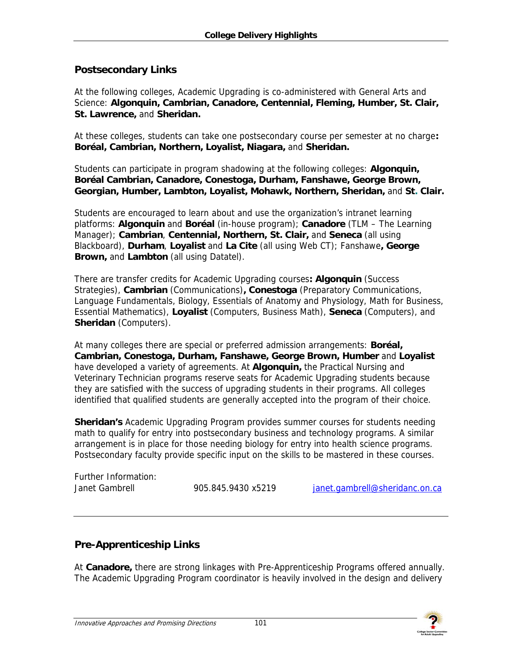#### **Postsecondary Links**

At the following colleges, Academic Upgrading is co-administered with General Arts and Science: **Algonquin, Cambrian, Canadore, Centennial, Fleming, Humber, St. Clair, St. Lawrence,** and **Sheridan.**

At these colleges, students can take one postsecondary course per semester at no charge**: Boréal, Cambrian, Northern, Loyalist, Niagara,** and **Sheridan.**

Students can participate in program shadowing at the following colleges: **Algonquin, Boréal Cambrian, Canadore, Conestoga, Durham, Fanshawe, George Brown, Georgian, Humber, Lambton, Loyalist, Mohawk, Northern, Sheridan,** and **St. Clair.** 

Students are encouraged to learn about and use the organization's intranet learning platforms: **Algonquin** and **Boréal** (in-house program); **Canadore** (TLM – The Learning Manager); **Cambrian**, **Centennial, Northern, St. Clair,** and **Seneca** (all using Blackboard), **Durham**, **Loyalist** and **La Cite** (all using Web CT); Fanshawe**, George Brown,** and **Lambton** (all using Datatel).

There are transfer credits for Academic Upgrading courses**: Algonquin** (Success Strategies), **Cambrian** (Communications)**, Conestoga** (Preparatory Communications, Language Fundamentals, Biology, Essentials of Anatomy and Physiology, Math for Business, Essential Mathematics), **Loyalist** (Computers, Business Math), **Seneca** (Computers), and **Sheridan** (Computers).

At many colleges there are special or preferred admission arrangements: **Boréal, Cambrian, Conestoga, Durham, Fanshawe, George Brown, Humber** and **Loyalist**  have developed a variety of agreements. At **Algonquin,** the Practical Nursing and Veterinary Technician programs reserve seats for Academic Upgrading students because they are satisfied with the success of upgrading students in their programs. All colleges identified that qualified students are generally accepted into the program of their choice.

**Sheridan's** Academic Upgrading Program provides summer courses for students needing math to qualify for entry into postsecondary business and technology programs. A similar arrangement is in place for those needing biology for entry into health science programs. Postsecondary faculty provide specific input on the skills to be mastered in these courses.

Further Information:

Janet Gambrell 905.845.9430 x5219 janet.gambrell@sheridanc.on.ca

## **Pre-Apprenticeship Links**

At **Canadore,** there are strong linkages with Pre-Apprenticeship Programs offered annually. The Academic Upgrading Program coordinator is heavily involved in the design and delivery

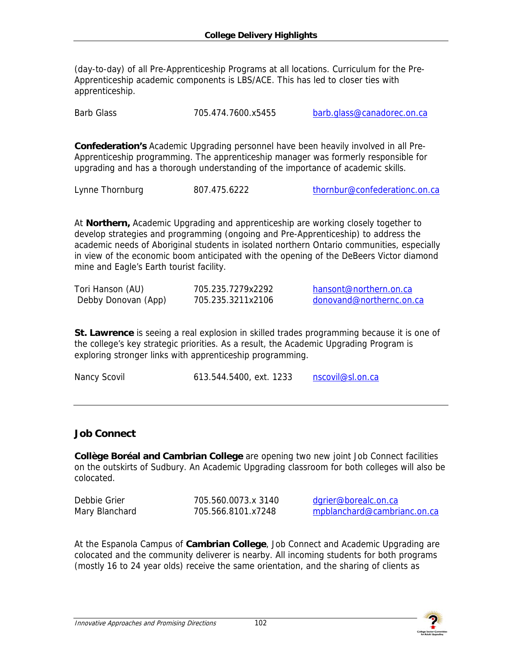(day-to-day) of all Pre-Apprenticeship Programs at all locations. Curriculum for the Pre-Apprenticeship academic components is LBS/ACE. This has led to closer ties with apprenticeship.

| <b>Barb Glass</b> | 705.474.7600.x5455 | barb.glass@canadorec.on.ca |
|-------------------|--------------------|----------------------------|
|                   |                    |                            |

**Confederation's** Academic Upgrading personnel have been heavily involved in all Pre-Apprenticeship programming. The apprenticeship manager was formerly responsible for upgrading and has a thorough understanding of the importance of academic skills.

Lynne Thornburg **807.475.6222** thornbur@confederationc.on.ca

At **Northern,** Academic Upgrading and apprenticeship are working closely together to develop strategies and programming (ongoing and Pre-Apprenticeship) to address the academic needs of Aboriginal students in isolated northern Ontario communities, especially in view of the economic boom anticipated with the opening of the DeBeers Victor diamond mine and Eagle's Earth tourist facility.

| Tori Hanson (AU)    | 705.235.7279x2292 | hansont@northern.on.ca   |
|---------------------|-------------------|--------------------------|
| Debby Donovan (App) | 705.235.3211x2106 | donovand@northernc.on.ca |

**St. Lawrence** is seeing a real explosion in skilled trades programming because it is one of the college's key strategic priorities. As a result, the Academic Upgrading Program is exploring stronger links with apprenticeship programming.

Nancy Scovil 613.544.5400, ext. 1233 nscovil@sl.on.ca

#### **Job Connect**

**Collège Boréal and Cambrian College** are opening two new joint Job Connect facilities on the outskirts of Sudbury. An Academic Upgrading classroom for both colleges will also be colocated.

Debbie Grier 705.560.0073.x 3140 dgrier@borealc.on.ca

Mary Blanchard **705.566.8101.x7248** mpblanchard@cambrianc.on.ca

At the Espanola Campus of **Cambrian College**, Job Connect and Academic Upgrading are colocated and the community deliverer is nearby. All incoming students for both programs (mostly 16 to 24 year olds) receive the same orientation, and the sharing of clients as

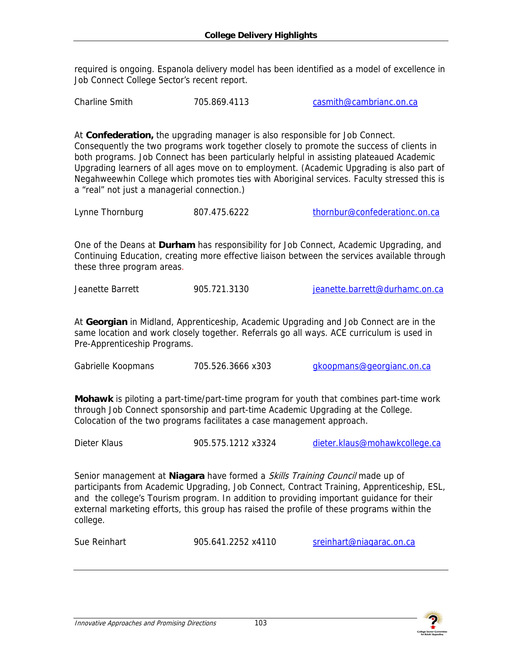required is ongoing. Espanola delivery model has been identified as a model of excellence in Job Connect College Sector's recent report.

| <b>Charline Smith</b> | 705.869.4113 | casmith@cambrianc.on.ca |
|-----------------------|--------------|-------------------------|
|                       |              |                         |

At **Confederation,** the upgrading manager is also responsible for Job Connect. Consequently the two programs work together closely to promote the success of clients in both programs. Job Connect has been particularly helpful in assisting plateaued Academic Upgrading learners of all ages move on to employment. (Academic Upgrading is also part of Negahweewhin College which promotes ties with Aboriginal services. Faculty stressed this is a "real" not just a managerial connection.)

| Lynne Thornburg | 807.475.6222 | thornbur@confederationc.on.ca |
|-----------------|--------------|-------------------------------|
|                 |              |                               |

One of the Deans at **Durham** has responsibility for Job Connect, Academic Upgrading, and Continuing Education, creating more effective liaison between the services available through these three program areas.

| Jeanette Barrett | 905.721.3130 | jeanette.barrett@durhamc.on.ca |
|------------------|--------------|--------------------------------|
|                  |              |                                |

At **Georgian** in Midland, Apprenticeship, Academic Upgrading and Job Connect are in the same location and work closely together. Referrals go all ways. ACE curriculum is used in Pre-Apprenticeship Programs.

Gabrielle Koopmans 705.526.3666 x303 gkoopmans@georgianc.on.ca

**Mohawk** is piloting a part-time/part-time program for youth that combines part-time work through Job Connect sponsorship and part-time Academic Upgrading at the College. Colocation of the two programs facilitates a case management approach.

Dieter Klaus 905.575.1212 x3324 dieter.klaus@mohawkcollege.ca

Senior management at **Niagara** have formed a Skills Training Council made up of participants from Academic Upgrading, Job Connect, Contract Training, Apprenticeship, ESL, and the college's Tourism program. In addition to providing important guidance for their external marketing efforts, this group has raised the profile of these programs within the college.

Sue Reinhart **1905.641.2252 x4110** sreinhart@niagarac.on.ca

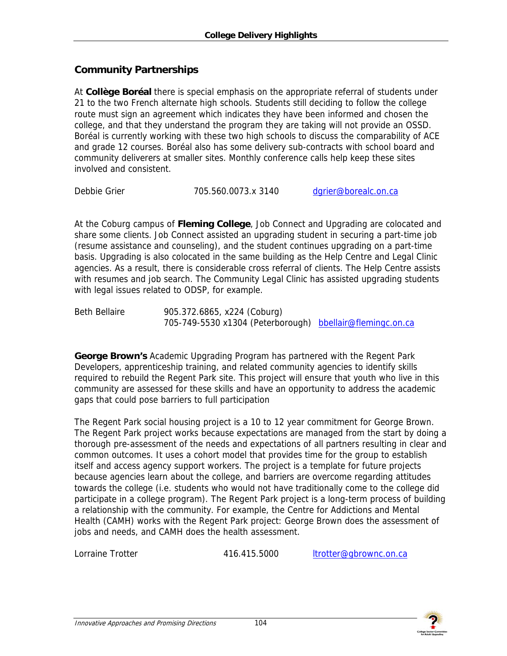## **Community Partnerships**

At **Collège Boréal** there is special emphasis on the appropriate referral of students under 21 to the two French alternate high schools. Students still deciding to follow the college route must sign an agreement which indicates they have been informed and chosen the college, and that they understand the program they are taking will not provide an OSSD. Boréal is currently working with these two high schools to discuss the comparability of ACE and grade 12 courses. Boréal also has some delivery sub-contracts with school board and community deliverers at smaller sites. Monthly conference calls help keep these sites involved and consistent.

Debbie Grier 705.560.0073.x 3140 dgrier@borealc.on.ca

At the Coburg campus of **Fleming College**, Job Connect and Upgrading are colocated and share some clients. Job Connect assisted an upgrading student in securing a part-time job (resume assistance and counseling), and the student continues upgrading on a part-time basis. Upgrading is also colocated in the same building as the Help Centre and Legal Clinic agencies. As a result, there is considerable cross referral of clients. The Help Centre assists with resumes and job search. The Community Legal Clinic has assisted upgrading students with legal issues related to ODSP, for example.

Beth Bellaire 905.372.6865, x224 (Coburg) 705-749-5530 x1304 (Peterborough) bbellair@flemingc.on.ca

**George Brown's** Academic Upgrading Program has partnered with the Regent Park Developers, apprenticeship training, and related community agencies to identify skills required to rebuild the Regent Park site. This project will ensure that youth who live in this community are assessed for these skills and have an opportunity to address the academic gaps that could pose barriers to full participation

The Regent Park social housing project is a 10 to 12 year commitment for George Brown. The Regent Park project works because expectations are managed from the start by doing a thorough pre-assessment of the needs and expectations of all partners resulting in clear and common outcomes. It uses a cohort model that provides time for the group to establish itself and access agency support workers. The project is a template for future projects because agencies learn about the college, and barriers are overcome regarding attitudes towards the college (i.e. students who would not have traditionally come to the college did participate in a college program). The Regent Park project is a long-term process of building a relationship with the community. For example, the Centre for Addictions and Mental Health (CAMH) works with the Regent Park project: George Brown does the assessment of jobs and needs, and CAMH does the health assessment.

Lorraine Trotter **116.415.5000** ltrotter@gbrownc.on.ca

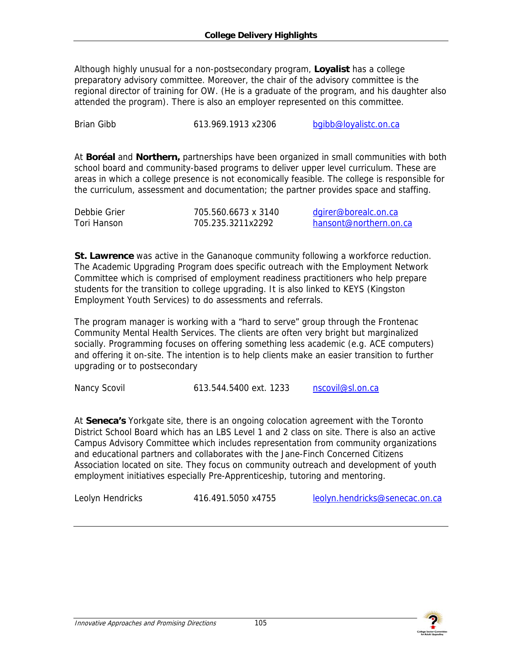Although highly unusual for a non-postsecondary program, **Loyalist** has a college preparatory advisory committee. Moreover, the chair of the advisory committee is the regional director of training for OW. (He is a graduate of the program, and his daughter also attended the program). There is also an employer represented on this committee.

Brian Gibb 613.969.1913 x2306 bgibb@loyalistc.on.ca

At **Boréal** and **Northern,** partnerships have been organized in small communities with both school board and community-based programs to deliver upper level curriculum. These are areas in which a college presence is not economically feasible. The college is responsible for the curriculum, assessment and documentation; the partner provides space and staffing.

| Debbie Grier | 705.560.6673 x 3140 | dgirer@borealc.on.ca   |
|--------------|---------------------|------------------------|
| Tori Hanson  | 705.235.3211x2292   | hansont@northern.on.ca |

**St. Lawrence** was active in the Gananoque community following a workforce reduction. The Academic Upgrading Program does specific outreach with the Employment Network Committee which is comprised of employment readiness practitioners who help prepare students for the transition to college upgrading. It is also linked to KEYS (Kingston Employment Youth Services) to do assessments and referrals.

The program manager is working with a "hard to serve" group through the Frontenac Community Mental Health Services. The clients are often very bright but marginalized socially. Programming focuses on offering something less academic (e.g. ACE computers) and offering it on-site. The intention is to help clients make an easier transition to further upgrading or to postsecondary

Nancy Scovil **613.544.5400** ext. 1233 nscovil@sl.on.ca

At **Seneca's** Yorkgate site, there is an ongoing colocation agreement with the Toronto District School Board which has an LBS Level 1 and 2 class on site. There is also an active Campus Advisory Committee which includes representation from community organizations and educational partners and collaborates with the Jane-Finch Concerned Citizens Association located on site. They focus on community outreach and development of youth employment initiatives especially Pre-Apprenticeship, tutoring and mentoring.

Leolyn Hendricks 416.491.5050 x4755 leolyn.hendricks@senecac.on.ca

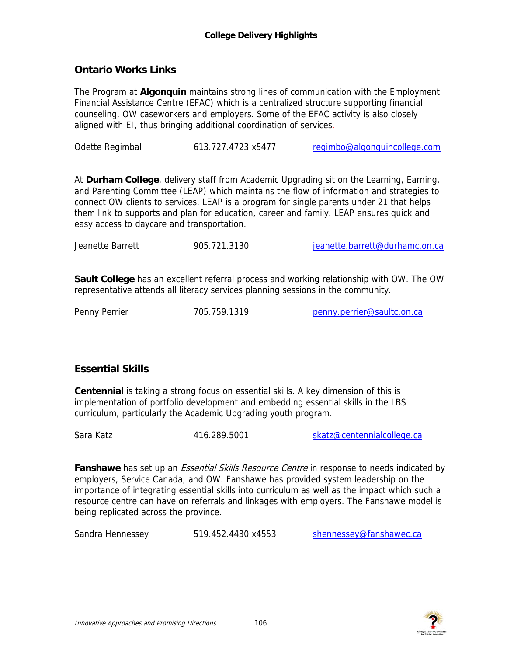## **Ontario Works Links**

The Program at **Algonquin** maintains strong lines of communication with the Employment Financial Assistance Centre (EFAC) which is a centralized structure supporting financial counseling, OW caseworkers and employers. Some of the EFAC activity is also closely aligned with EI, thus bringing additional coordination of services.

Odette Regimbal 613.727.4723 x5477 regimbo@algonquincollege.com

At **Durham College**, delivery staff from Academic Upgrading sit on the Learning, Earning, and Parenting Committee (LEAP) which maintains the flow of information and strategies to connect OW clients to services. LEAP is a program for single parents under 21 that helps them link to supports and plan for education, career and family. LEAP ensures quick and easy access to daycare and transportation.

Jeanette Barrett **905.721.3130** jeanette.barrett@durhamc.on.ca

**Sault College** has an excellent referral process and working relationship with OW. The OW representative attends all literacy services planning sessions in the community.

Penny Perrier **1992 1993 1995.759.1319 penny.perrier@saultc.on.ca** 

## **Essential Skills**

**Centennial** is taking a strong focus on essential skills. A key dimension of this is implementation of portfolio development and embedding essential skills in the LBS curriculum, particularly the Academic Upgrading youth program.

Sara Katz 416.289.5001 skatz@centennialcollege.ca

**Fanshawe** has set up an *Essential Skills Resource Centre* in response to needs indicated by employers, Service Canada, and OW. Fanshawe has provided system leadership on the importance of integrating essential skills into curriculum as well as the impact which such a resource centre can have on referrals and linkages with employers. The Fanshawe model is being replicated across the province.

Sandra Hennessey 619.452.4430 x4553 shennessey@fanshawec.ca

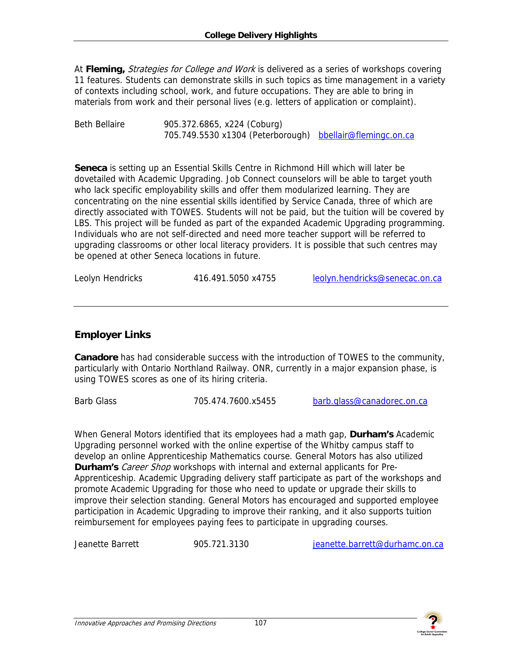At **Fleming,** Strategies for College and Work is delivered as a series of workshops covering 11 features. Students can demonstrate skills in such topics as time management in a variety of contexts including school, work, and future occupations. They are able to bring in materials from work and their personal lives (e.g. letters of application or complaint).

Beth Bellaire 905.372.6865, x224 (Coburg) 705.749.5530 x1304 (Peterborough) bbellair@flemingc.on.ca

**Seneca** is setting up an Essential Skills Centre in Richmond Hill which will later be dovetailed with Academic Upgrading. Job Connect counselors will be able to target youth who lack specific employability skills and offer them modularized learning. They are concentrating on the nine essential skills identified by Service Canada, three of which are directly associated with TOWES. Students will not be paid, but the tuition will be covered by LBS. This project will be funded as part of the expanded Academic Upgrading programming. Individuals who are not self-directed and need more teacher support will be referred to upgrading classrooms or other local literacy providers. It is possible that such centres may be opened at other Seneca locations in future.

| Leolyn Hendricks | 416.491.5050 x4755 | leolyn.hendricks@senecac.on.ca |  |
|------------------|--------------------|--------------------------------|--|
|                  |                    |                                |  |

## **Employer Links**

**Canadore** has had considerable success with the introduction of TOWES to the community, particularly with Ontario Northland Railway. ONR, currently in a major expansion phase, is using TOWES scores as one of its hiring criteria.

Barb Glass 705.474.7600.x5455 barb.glass@canadorec.on.ca

When General Motors identified that its employees had a math gap, **Durham's** Academic Upgrading personnel worked with the online expertise of the Whitby campus staff to develop an online Apprenticeship Mathematics course. General Motors has also utilized **Durham's** Career Shop workshops with internal and external applicants for Pre-Apprenticeship. Academic Upgrading delivery staff participate as part of the workshops and promote Academic Upgrading for those who need to update or upgrade their skills to improve their selection standing. General Motors has encouraged and supported employee participation in Academic Upgrading to improve their ranking, and it also supports tuition reimbursement for employees paying fees to participate in upgrading courses.

Jeanette Barrett 905.721.3130 jeanette.barrett@durhamc.on.ca



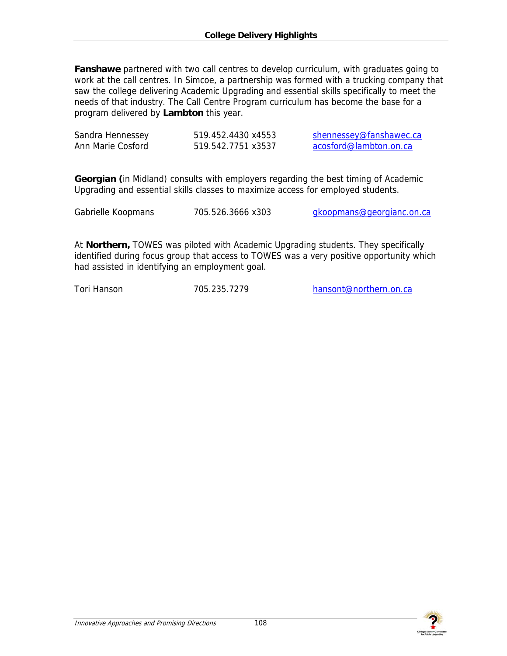**Fanshawe** partnered with two call centres to develop curriculum, with graduates going to work at the call centres. In Simcoe, a partnership was formed with a trucking company that saw the college delivering Academic Upgrading and essential skills specifically to meet the needs of that industry. The Call Centre Program curriculum has become the base for a program delivered by **Lambton** this year.

| Sandra Hennessey  | 519.452.4430 x4553 | shennessey@fanshawec.ca |
|-------------------|--------------------|-------------------------|
| Ann Marie Cosford | 519.542.7751 x3537 | acosford@lambton.on.ca  |

**Georgian (**in Midland) consults with employers regarding the best timing of Academic Upgrading and essential skills classes to maximize access for employed students.

| Gabrielle Koopmans | 705.526.3666 x303 |  | gkoopmans@georgianc.on.ca |
|--------------------|-------------------|--|---------------------------|
|                    |                   |  |                           |

At **Northern,** TOWES was piloted with Academic Upgrading students. They specifically identified during focus group that access to TOWES was a very positive opportunity which had assisted in identifying an employment goal.

Tori Hanson **1992 105.235.7279** hansont@northern.on.ca

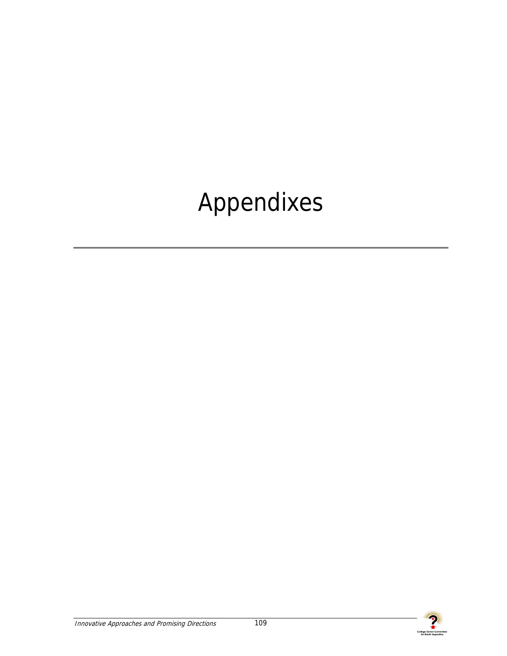# Appendixes

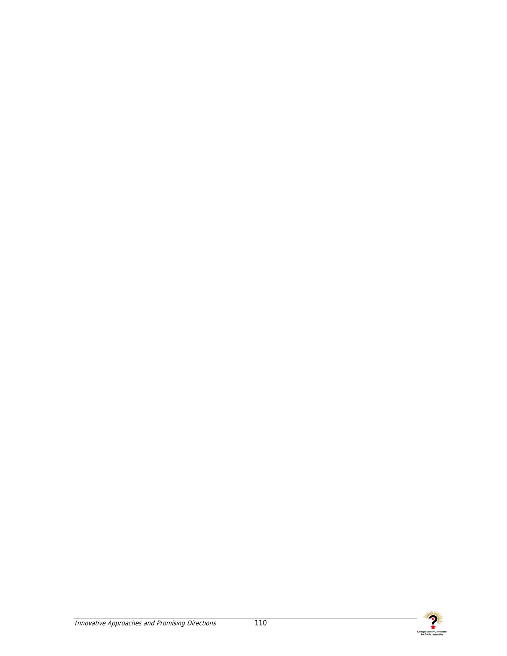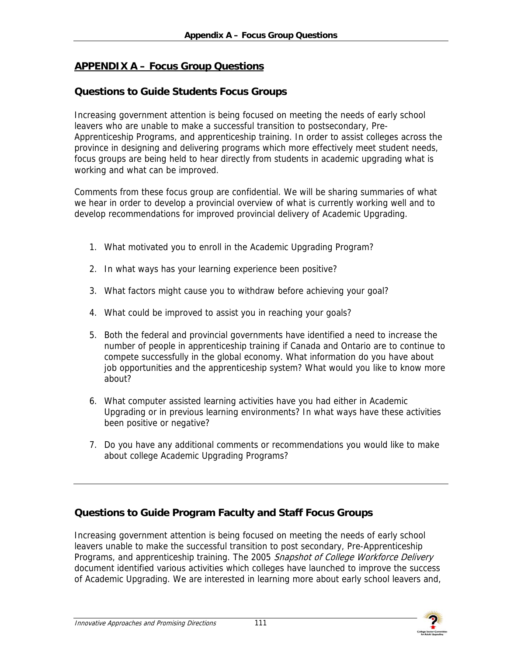## **APPENDIX A – Focus Group Questions**

#### **Questions to Guide Students Focus Groups**

Increasing government attention is being focused on meeting the needs of early school leavers who are unable to make a successful transition to postsecondary, Pre-Apprenticeship Programs, and apprenticeship training. In order to assist colleges across the province in designing and delivering programs which more effectively meet student needs, focus groups are being held to hear directly from students in academic upgrading what is working and what can be improved.

Comments from these focus group are confidential. We will be sharing summaries of what we hear in order to develop a provincial overview of what is currently working well and to develop recommendations for improved provincial delivery of Academic Upgrading.

- 1. What motivated you to enroll in the Academic Upgrading Program?
- 2. In what ways has your learning experience been positive?
- 3. What factors might cause you to withdraw before achieving your goal?
- 4. What could be improved to assist you in reaching your goals?
- 5. Both the federal and provincial governments have identified a need to increase the number of people in apprenticeship training if Canada and Ontario are to continue to compete successfully in the global economy. What information do you have about job opportunities and the apprenticeship system? What would you like to know more about?
- 6. What computer assisted learning activities have you had either in Academic Upgrading or in previous learning environments? In what ways have these activities been positive or negative?
- 7. Do you have any additional comments or recommendations you would like to make about college Academic Upgrading Programs?

## **Questions to Guide Program Faculty and Staff Focus Groups**

Increasing government attention is being focused on meeting the needs of early school leavers unable to make the successful transition to post secondary, Pre-Apprenticeship Programs, and apprenticeship training. The 2005 Snapshot of College Workforce Delivery document identified various activities which colleges have launched to improve the success of Academic Upgrading. We are interested in learning more about early school leavers and,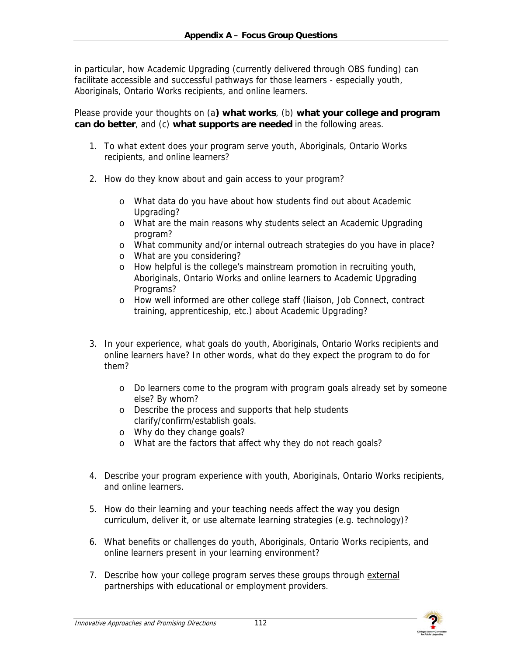in particular, how Academic Upgrading (currently delivered through OBS funding) can facilitate accessible and successful pathways for those learners - especially youth, Aboriginals, Ontario Works recipients, and online learners.

Please provide your thoughts on (a**) what works**, (b) **what your college and program can do better**, and (c) **what supports are needed** in the following areas.

- 1. To what extent does your program serve youth, Aboriginals, Ontario Works recipients, and online learners?
- 2. How do they know about and gain access to your program?
	- o What data do you have about how students find out about Academic Upgrading?
	- o What are the main reasons why students select an Academic Upgrading program?
	- o What community and/or internal outreach strategies do you have in place?
	- o What are you considering?
	- o How helpful is the college's mainstream promotion in recruiting youth, Aboriginals, Ontario Works and online learners to Academic Upgrading Programs?
	- o How well informed are other college staff (liaison, Job Connect, contract training, apprenticeship, etc.) about Academic Upgrading?
- 3. In your experience, what goals do youth, Aboriginals, Ontario Works recipients and online learners have? In other words, what do they expect the program to do for them?
	- o Do learners come to the program with program goals already set by someone else? By whom?
	- o Describe the process and supports that help students clarify/confirm/establish goals.
	- o Why do they change goals?
	- o What are the factors that affect why they do not reach goals?
- 4. Describe your program experience with youth, Aboriginals, Ontario Works recipients, and online learners.
- 5. How do their learning and your teaching needs affect the way you design curriculum, deliver it, or use alternate learning strategies (e.g. technology)?
- 6. What benefits or challenges do youth, Aboriginals, Ontario Works recipients, and online learners present in your learning environment?
- 7. Describe how your college program serves these groups through external partnerships with educational or employment providers.

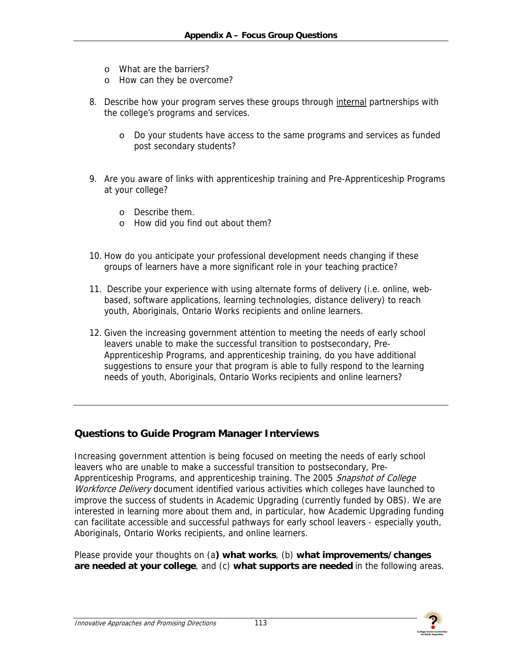- o What are the barriers?
- o How can they be overcome?
- 8. Describe how your program serves these groups through internal partnerships with the college's programs and services.
	- o Do your students have access to the same programs and services as funded post secondary students?
- 9. Are you aware of links with apprenticeship training and Pre-Apprenticeship Programs at your college?
	- o Describe them.
	- o How did you find out about them?
- 10. How do you anticipate your professional development needs changing if these groups of learners have a more significant role in your teaching practice?
- 11. Describe your experience with using alternate forms of delivery (i.e. online, webbased, software applications, learning technologies, distance delivery) to reach youth, Aboriginals, Ontario Works recipients and online learners.
- 12. Given the increasing government attention to meeting the needs of early school leavers unable to make the successful transition to postsecondary, Pre-Apprenticeship Programs, and apprenticeship training, do you have additional suggestions to ensure your that program is able to fully respond to the learning needs of youth, Aboriginals, Ontario Works recipients and online learners?

# **Questions to Guide Program Manager Interviews**

Increasing government attention is being focused on meeting the needs of early school leavers who are unable to make a successful transition to postsecondary, Pre-Apprenticeship Programs, and apprenticeship training. The 2005 Snapshot of College Workforce Delivery document identified various activities which colleges have launched to improve the success of students in Academic Upgrading (currently funded by OBS). We are interested in learning more about them and, in particular, how Academic Upgrading funding can facilitate accessible and successful pathways for early school leavers - especially youth, Aboriginals, Ontario Works recipients, and online learners.

Please provide your thoughts on (a**) what works**, (b) **what improvements/changes are needed at your college**, and (c) **what supports are needed** in the following areas.

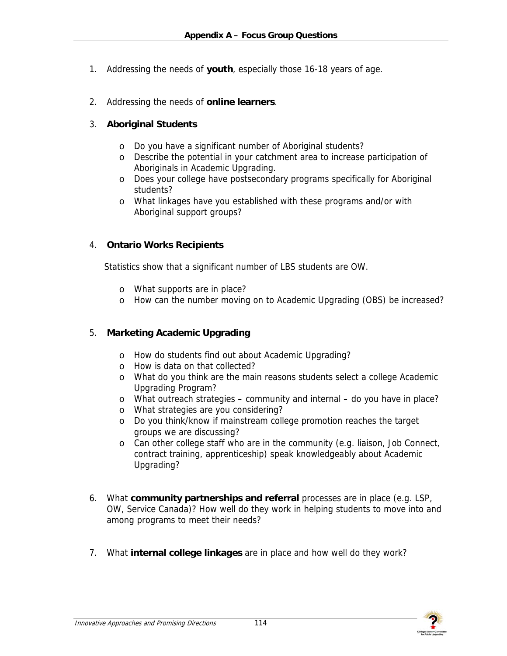- 1. Addressing the needs of **youth**, especially those 16-18 years of age.
- 2. Addressing the needs of **online learners**.

#### 3. **Aboriginal Students**

- o Do you have a significant number of Aboriginal students?
- o Describe the potential in your catchment area to increase participation of Aboriginals in Academic Upgrading.
- o Does your college have postsecondary programs specifically for Aboriginal students?
- o What linkages have you established with these programs and/or with Aboriginal support groups?

## 4. **Ontario Works Recipients**

Statistics show that a significant number of LBS students are OW.

- o What supports are in place?
- o How can the number moving on to Academic Upgrading (OBS) be increased?

## 5. **Marketing Academic Upgrading**

- o How do students find out about Academic Upgrading?
- o How is data on that collected?
- o What do you think are the main reasons students select a college Academic Upgrading Program?
- o What outreach strategies community and internal do you have in place?
- o What strategies are you considering?
- o Do you think/know if mainstream college promotion reaches the target groups we are discussing?
- o Can other college staff who are in the community (e.g. liaison, Job Connect, contract training, apprenticeship) speak knowledgeably about Academic Upgrading?
- 6. What **community partnerships and referral** processes are in place (e.g. LSP, OW, Service Canada)? How well do they work in helping students to move into and among programs to meet their needs?
- 7. What **internal college linkages** are in place and how well do they work?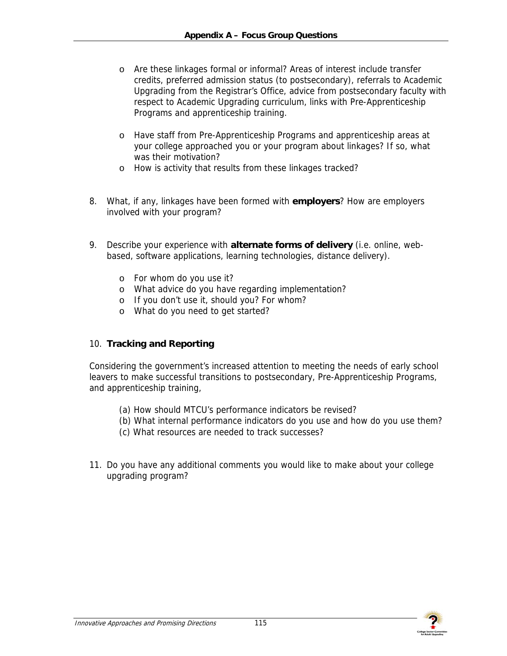- o Are these linkages formal or informal? Areas of interest include transfer credits, preferred admission status (to postsecondary), referrals to Academic Upgrading from the Registrar's Office, advice from postsecondary faculty with respect to Academic Upgrading curriculum, links with Pre-Apprenticeship Programs and apprenticeship training.
- o Have staff from Pre-Apprenticeship Programs and apprenticeship areas at your college approached you or your program about linkages? If so, what was their motivation?
- o How is activity that results from these linkages tracked?
- 8. What, if any, linkages have been formed with **employers**? How are employers involved with your program?
- 9. Describe your experience with **alternate forms of delivery** (i.e. online, webbased, software applications, learning technologies, distance delivery).
	- o For whom do you use it?
	- o What advice do you have regarding implementation?
	- o If you don't use it, should you? For whom?
	- o What do you need to get started?

#### 10. **Tracking and Reporting**

Considering the government's increased attention to meeting the needs of early school leavers to make successful transitions to postsecondary, Pre-Apprenticeship Programs, and apprenticeship training,

- (a) How should MTCU's performance indicators be revised?
- (b) What internal performance indicators do you use and how do you use them?
- (c) What resources are needed to track successes?
- 11. Do you have any additional comments you would like to make about your college upgrading program?

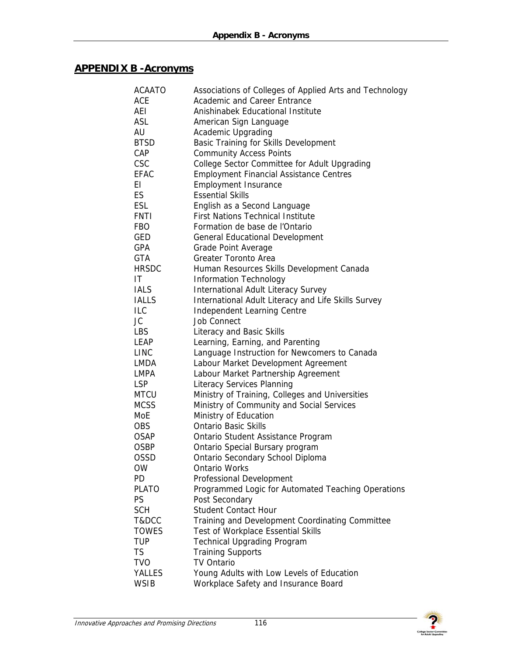## **APPENDIX B -Acronyms**

| <b>ACAATO</b> | Associations of Colleges of Applied Arts and Technology |
|---------------|---------------------------------------------------------|
| ACE           | <b>Academic and Career Entrance</b>                     |
| AEI           | Anishinabek Educational Institute                       |
| <b>ASL</b>    | American Sign Language                                  |
| AU            | <b>Academic Upgrading</b>                               |
| <b>BTSD</b>   | Basic Training for Skills Development                   |
| CAP           | <b>Community Access Points</b>                          |
| <b>CSC</b>    | College Sector Committee for Adult Upgrading            |
| <b>EFAC</b>   | <b>Employment Financial Assistance Centres</b>          |
| ΕI            | Employment Insurance                                    |
| ES.           | <b>Essential Skills</b>                                 |
| ESL           | English as a Second Language                            |
| FNTI          | <b>First Nations Technical Institute</b>                |
| FBO.          | Formation de base de l'Ontario                          |
| <b>GED</b>    | <b>General Educational Development</b>                  |
| <b>GPA</b>    | Grade Point Average                                     |
| <b>GTA</b>    | <b>Greater Toronto Area</b>                             |
| <b>HRSDC</b>  | Human Resources Skills Development Canada               |
| IT            | <b>Information Technology</b>                           |
| <b>IALS</b>   | <b>International Adult Literacy Survey</b>              |
| <b>IALLS</b>  | International Adult Literacy and Life Skills Survey     |
| ILC           | Independent Learning Centre                             |
| JC.           | <b>Job Connect</b>                                      |
| LBS           | Literacy and Basic Skills                               |
| LEAP          | Learning, Earning, and Parenting                        |
| LINC          | Language Instruction for Newcomers to Canada            |
| LMDA          | Labour Market Development Agreement                     |
| <b>LMPA</b>   | Labour Market Partnership Agreement                     |
| <b>LSP</b>    | <b>Literacy Services Planning</b>                       |
| <b>MTCU</b>   | Ministry of Training, Colleges and Universities         |
| <b>MCSS</b>   | Ministry of Community and Social Services               |
| MoE           | Ministry of Education                                   |
| <b>OBS</b>    | <b>Ontario Basic Skills</b>                             |
| <b>OSAP</b>   | Ontario Student Assistance Program                      |
| <b>OSBP</b>   | Ontario Special Bursary program                         |
| <b>OSSD</b>   | Ontario Secondary School Diploma                        |
| <b>OW</b>     | <b>Ontario Works</b>                                    |
| PD            | Professional Development                                |
| <b>PLATO</b>  | Programmed Logic for Automated Teaching Operations      |
| PS            | Post Secondary                                          |
| <b>SCH</b>    | <b>Student Contact Hour</b>                             |
| T&DCC         | Training and Development Coordinating Committee         |
| <b>TOWES</b>  | Test of Workplace Essential Skills                      |
| <b>TUP</b>    | <b>Technical Upgrading Program</b>                      |
| <b>TS</b>     | <b>Training Supports</b>                                |
| <b>TVO</b>    | <b>TV Ontario</b>                                       |
| YALLES        | Young Adults with Low Levels of Education               |
| <b>WSIB</b>   | Workplace Safety and Insurance Board                    |

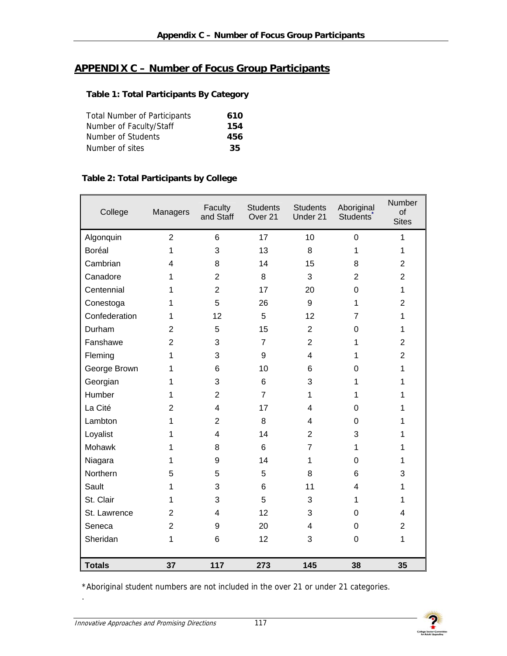# **APPENDIX C – Number of Focus Group Participants**

#### **Table 1: Total Participants By Category**

| Total Number of Participants | 610 |
|------------------------------|-----|
| Number of Faculty/Staff      | 154 |
| Number of Students           | 456 |
| Number of sites              | 35  |

#### **Table 2: Total Participants by College**

| College       | Managers       | Faculty<br>and Staff | <b>Students</b><br>Over <sub>21</sub> | <b>Students</b><br>Under 21 | Aboriginal<br>Students <sup>*</sup> | Number<br>of<br><b>Sites</b> |
|---------------|----------------|----------------------|---------------------------------------|-----------------------------|-------------------------------------|------------------------------|
| Algonquin     | $\overline{2}$ | 6                    | 17                                    | 10                          | 0                                   | 1                            |
| Boréal        | 1              | 3                    | 13                                    | 8                           | 1                                   | 1                            |
| Cambrian      | 4              | 8                    | 14                                    | 15                          | 8                                   | $\overline{2}$               |
| Canadore      | 1              | $\overline{2}$       | 8                                     | 3                           | $\overline{2}$                      | $\overline{2}$               |
| Centennial    | 1              | $\overline{2}$       | 17                                    | 20                          | 0                                   | 1                            |
| Conestoga     | 1              | 5                    | 26                                    | 9                           | 1                                   | $\overline{2}$               |
| Confederation | 1              | 12                   | 5                                     | 12                          | 7                                   | 1                            |
| Durham        | 2              | 5                    | 15                                    | $\overline{2}$              | $\Omega$                            | 1                            |
| Fanshawe      | $\overline{2}$ | 3                    | $\overline{7}$                        | $\overline{2}$              | 1                                   | 2                            |
| Fleming       | 1              | 3                    | 9                                     | 4                           | 1                                   | $\overline{2}$               |
| George Brown  | 1              | 6                    | 10                                    | 6                           | 0                                   | 1                            |
| Georgian      | 1              | 3                    | 6                                     | 3                           | 1                                   | 1                            |
| Humber        | 1              | $\overline{2}$       | $\overline{7}$                        | 1                           | 1                                   | 1                            |
| La Cité       | $\overline{2}$ | 4                    | 17                                    | 4                           | 0                                   | 1                            |
| Lambton       | 1              | $\overline{2}$       | 8                                     | 4                           | $\Omega$                            | 1                            |
| Loyalist      | 1              | 4                    | 14                                    | $\overline{2}$              | 3                                   | 1                            |
| Mohawk        | 1              | 8                    | 6                                     | $\overline{7}$              | 1                                   | 1                            |
| Niagara       | 1              | 9                    | 14                                    | 1                           | 0                                   | 1                            |
| Northern      | 5              | 5                    | 5                                     | 8                           | 6                                   | 3                            |
| Sault         | 1              | 3                    | 6                                     | 11                          | 4                                   | 1                            |
| St. Clair     | 1              | 3                    | 5                                     | 3                           | 1                                   | 1                            |
| St. Lawrence  | 2              | 4                    | 12                                    | 3                           | 0                                   | 4                            |
| Seneca        | $\overline{2}$ | 9                    | 20                                    | 4                           | $\Omega$                            | $\overline{2}$               |
| Sheridan      | 1              | 6                    | 12                                    | 3                           | 0                                   | $\mathbf{1}$                 |
|               |                |                      |                                       |                             |                                     |                              |
| <b>Totals</b> | 37             | 117                  | 273                                   | 145                         | 38                                  | 35                           |

\*Aboriginal student numbers are not included in the over 21 or under 21 categories.

.

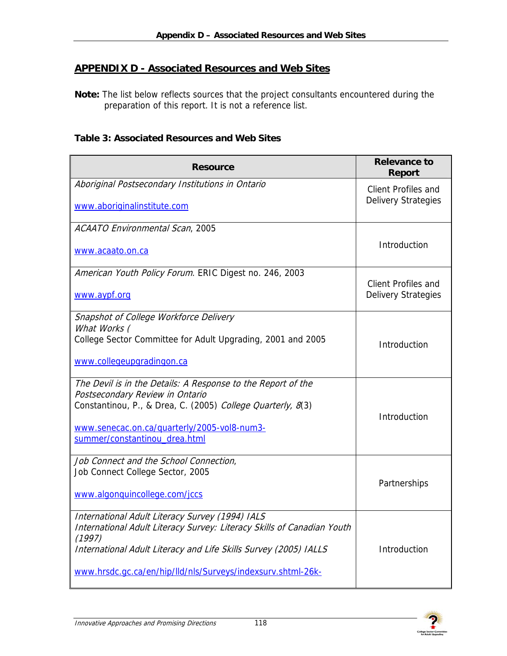# **APPENDIX D - Associated Resources and Web Sites**

**Note:** The list below reflects sources that the project consultants encountered during the preparation of this report. It is not a reference list.

#### **Table 3: Associated Resources and Web Sites**

| Resource                                                                                                                            | <b>Relevance to</b><br>Report |  |
|-------------------------------------------------------------------------------------------------------------------------------------|-------------------------------|--|
| Aboriginal Postsecondary Institutions in Ontario                                                                                    | <b>Client Profiles and</b>    |  |
| www.aboriginalinstitute.com                                                                                                         | <b>Delivery Strategies</b>    |  |
| ACAATO Environmental Scan, 2005                                                                                                     |                               |  |
| www.acaato.on.ca                                                                                                                    | Introduction                  |  |
| American Youth Policy Forum. ERIC Digest no. 246, 2003                                                                              | <b>Client Profiles and</b>    |  |
| www.aypf.org                                                                                                                        | <b>Delivery Strategies</b>    |  |
| Snapshot of College Workforce Delivery<br>What Works (                                                                              |                               |  |
| College Sector Committee for Adult Upgrading, 2001 and 2005                                                                         | Introduction                  |  |
| www.collegeupgradingon.ca                                                                                                           |                               |  |
| The Devil is in the Details: A Response to the Report of the<br>Postsecondary Review in Ontario                                     |                               |  |
| Constantinou, P., & Drea, C. (2005) College Quarterly, 8(3)                                                                         | Introduction                  |  |
| www.senecac.on.ca/quarterly/2005-vol8-num3-                                                                                         |                               |  |
| summer/constantinou_drea.html                                                                                                       |                               |  |
| Job Connect and the School Connection,<br>Job Connect College Sector, 2005                                                          |                               |  |
| www.algonquincollege.com/jccs                                                                                                       | Partnerships                  |  |
|                                                                                                                                     |                               |  |
| International Adult Literacy Survey (1994) IALS<br>International Adult Literacy Survey: Literacy Skills of Canadian Youth<br>(1997) |                               |  |
| International Adult Literacy and Life Skills Survey (2005) IALLS                                                                    | Introduction                  |  |
| www.hrsdc.gc.ca/en/hip/lld/nls/Surveys/indexsurv.shtml-26k-                                                                         |                               |  |

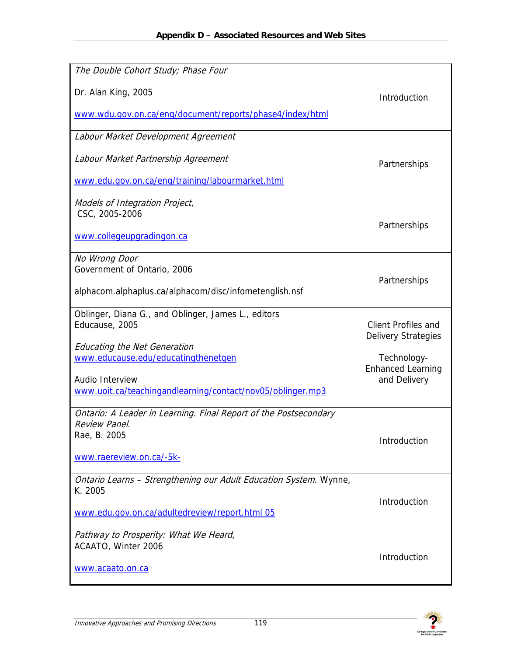| The Double Cohort Study; Phase Four                                                               |                                                          |
|---------------------------------------------------------------------------------------------------|----------------------------------------------------------|
| Dr. Alan King, 2005                                                                               | Introduction                                             |
| www.wdu.gov.on.ca/eng/document/reports/phase4/index/html                                          |                                                          |
| Labour Market Development Agreement                                                               |                                                          |
| Labour Market Partnership Agreement                                                               | Partnerships                                             |
| www.edu.gov.on.ca/eng/training/labourmarket.html                                                  |                                                          |
| Models of Integration Project,<br>CSC, 2005-2006                                                  | Partnerships                                             |
| www.collegeupgradingon.ca                                                                         |                                                          |
| No Wrong Door<br>Government of Ontario, 2006                                                      | Partnerships                                             |
| alphacom.alphaplus.ca/alphacom/disc/infometenglish.nsf                                            |                                                          |
| Oblinger, Diana G., and Oblinger, James L., editors<br>Educause, 2005                             | <b>Client Profiles and</b><br><b>Delivery Strategies</b> |
| <b>Educating the Net Generation</b><br>www.educause.edu/educatingthenetgen                        | Technology-<br><b>Enhanced Learning</b>                  |
| Audio Interview<br>www.uoit.ca/teachingandlearning/contact/nov05/oblinger.mp3                     | and Delivery                                             |
| Ontario: A Leader in Learning. Final Report of the Postsecondary<br>Review Panel.<br>Rae, B. 2005 | Introduction                                             |
| www.raereview.on.ca/-5k-                                                                          |                                                          |
| Ontario Learns - Strengthening our Adult Education System. Wynne,<br>K. 2005                      | Introduction                                             |
| www.edu.gov.on.ca/adultedreview/report.html 05                                                    |                                                          |
| Pathway to Prosperity: What We Heard,<br>ACAATO, Winter 2006                                      | Introduction                                             |
| www.acaato.on.ca                                                                                  |                                                          |